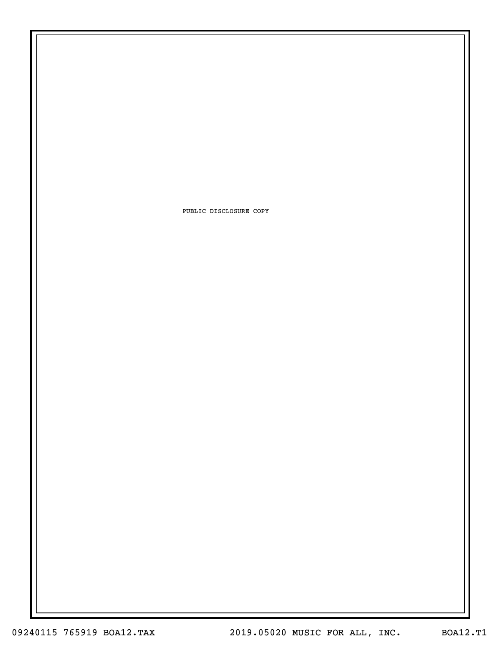PUBLIC DISCLOSURE COPY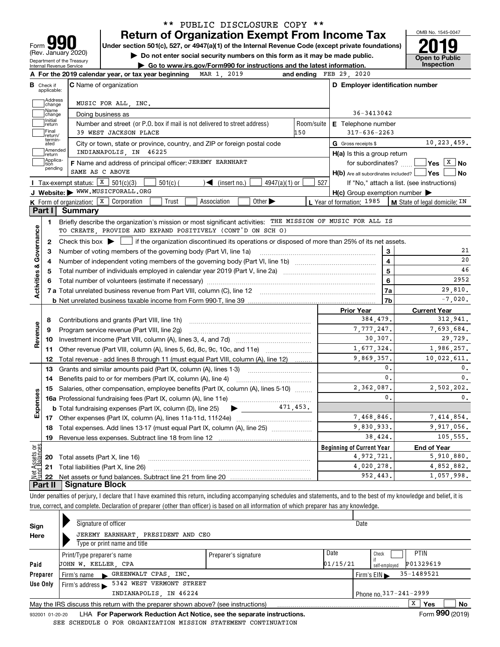| Form                                                          |
|---------------------------------------------------------------|
| (Rev. January 2020)                                           |
| Department of the Treasury<br><b>Internal Revenue Service</b> |

### **Return of Organization Exempt From Income Tax** \*\* PUBLIC DISCLOSURE COPY \*\*

Under section 501(c), 527, or 4947(a)(1) of the Internal Revenue Code (except private foundations) **2019** 

**| Do not enter social security numbers on this form as it may be made public.**

**| Go to www.irs.gov/Form990 for instructions and the latest information. Inspection**

OMB No. 1545-0047 **Open to Public** 

| Address                   |                                                                                               |                                                                                                                                                                                                                                                                                                                                                                                                                                                                                                                                                                                                                                                                                                                                                                     |                                                                                                                                                                                                                                                                                                                                                                                                                                                                                                                                                                                                                   |                                                                                                                                                                                                                                                                                                                                                                                                                                                                                                      |
|---------------------------|-----------------------------------------------------------------------------------------------|---------------------------------------------------------------------------------------------------------------------------------------------------------------------------------------------------------------------------------------------------------------------------------------------------------------------------------------------------------------------------------------------------------------------------------------------------------------------------------------------------------------------------------------------------------------------------------------------------------------------------------------------------------------------------------------------------------------------------------------------------------------------|-------------------------------------------------------------------------------------------------------------------------------------------------------------------------------------------------------------------------------------------------------------------------------------------------------------------------------------------------------------------------------------------------------------------------------------------------------------------------------------------------------------------------------------------------------------------------------------------------------------------|------------------------------------------------------------------------------------------------------------------------------------------------------------------------------------------------------------------------------------------------------------------------------------------------------------------------------------------------------------------------------------------------------------------------------------------------------------------------------------------------------|
| change                    | MUSIC FOR ALL, INC.                                                                           |                                                                                                                                                                                                                                                                                                                                                                                                                                                                                                                                                                                                                                                                                                                                                                     |                                                                                                                                                                                                                                                                                                                                                                                                                                                                                                                                                                                                                   |                                                                                                                                                                                                                                                                                                                                                                                                                                                                                                      |
| Name<br>change            | Doing business as                                                                             | 36-3413042                                                                                                                                                                                                                                                                                                                                                                                                                                                                                                                                                                                                                                                                                                                                                          |                                                                                                                                                                                                                                                                                                                                                                                                                                                                                                                                                                                                                   |                                                                                                                                                                                                                                                                                                                                                                                                                                                                                                      |
| <br>  Initial<br>  return | Number and street (or P.O. box if mail is not delivered to street address)                    | Room/suite                                                                                                                                                                                                                                                                                                                                                                                                                                                                                                                                                                                                                                                                                                                                                          | <b>E</b> Telephone number                                                                                                                                                                                                                                                                                                                                                                                                                                                                                                                                                                                         |                                                                                                                                                                                                                                                                                                                                                                                                                                                                                                      |
| Final<br>return/          | 39 WEST JACKSON PLACE                                                                         | 150                                                                                                                                                                                                                                                                                                                                                                                                                                                                                                                                                                                                                                                                                                                                                                 | $317 - 636 - 2263$                                                                                                                                                                                                                                                                                                                                                                                                                                                                                                                                                                                                |                                                                                                                                                                                                                                                                                                                                                                                                                                                                                                      |
| termin-<br>ated           |                                                                                               |                                                                                                                                                                                                                                                                                                                                                                                                                                                                                                                                                                                                                                                                                                                                                                     | G Gross receipts \$                                                                                                                                                                                                                                                                                                                                                                                                                                                                                                                                                                                               | 10,223,459.                                                                                                                                                                                                                                                                                                                                                                                                                                                                                          |
|                           | INDIANAPOLIS, IN 46225                                                                        |                                                                                                                                                                                                                                                                                                                                                                                                                                                                                                                                                                                                                                                                                                                                                                     |                                                                                                                                                                                                                                                                                                                                                                                                                                                                                                                                                                                                                   |                                                                                                                                                                                                                                                                                                                                                                                                                                                                                                      |
|                           |                                                                                               |                                                                                                                                                                                                                                                                                                                                                                                                                                                                                                                                                                                                                                                                                                                                                                     |                                                                                                                                                                                                                                                                                                                                                                                                                                                                                                                                                                                                                   | $\sqrt{\mathsf{Yes}\ \boxed{\mathrm{X}}}$ No                                                                                                                                                                                                                                                                                                                                                                                                                                                         |
|                           | SAME AS C ABOVE                                                                               |                                                                                                                                                                                                                                                                                                                                                                                                                                                                                                                                                                                                                                                                                                                                                                     |                                                                                                                                                                                                                                                                                                                                                                                                                                                                                                                                                                                                                   | l No                                                                                                                                                                                                                                                                                                                                                                                                                                                                                                 |
|                           | $501(c)$ (                                                                                    | 527                                                                                                                                                                                                                                                                                                                                                                                                                                                                                                                                                                                                                                                                                                                                                                 |                                                                                                                                                                                                                                                                                                                                                                                                                                                                                                                                                                                                                   | If "No," attach a list. (see instructions)                                                                                                                                                                                                                                                                                                                                                                                                                                                           |
|                           |                                                                                               |                                                                                                                                                                                                                                                                                                                                                                                                                                                                                                                                                                                                                                                                                                                                                                     |                                                                                                                                                                                                                                                                                                                                                                                                                                                                                                                                                                                                                   |                                                                                                                                                                                                                                                                                                                                                                                                                                                                                                      |
|                           | Trust<br>Association<br>Other $\blacktriangleright$                                           |                                                                                                                                                                                                                                                                                                                                                                                                                                                                                                                                                                                                                                                                                                                                                                     |                                                                                                                                                                                                                                                                                                                                                                                                                                                                                                                                                                                                                   | $\vert$ M State of legal domicile: $IN$                                                                                                                                                                                                                                                                                                                                                                                                                                                              |
|                           |                                                                                               |                                                                                                                                                                                                                                                                                                                                                                                                                                                                                                                                                                                                                                                                                                                                                                     |                                                                                                                                                                                                                                                                                                                                                                                                                                                                                                                                                                                                                   |                                                                                                                                                                                                                                                                                                                                                                                                                                                                                                      |
| $\mathbf 1$               |                                                                                               |                                                                                                                                                                                                                                                                                                                                                                                                                                                                                                                                                                                                                                                                                                                                                                     |                                                                                                                                                                                                                                                                                                                                                                                                                                                                                                                                                                                                                   |                                                                                                                                                                                                                                                                                                                                                                                                                                                                                                      |
|                           |                                                                                               |                                                                                                                                                                                                                                                                                                                                                                                                                                                                                                                                                                                                                                                                                                                                                                     |                                                                                                                                                                                                                                                                                                                                                                                                                                                                                                                                                                                                                   |                                                                                                                                                                                                                                                                                                                                                                                                                                                                                                      |
| 2                         |                                                                                               |                                                                                                                                                                                                                                                                                                                                                                                                                                                                                                                                                                                                                                                                                                                                                                     |                                                                                                                                                                                                                                                                                                                                                                                                                                                                                                                                                                                                                   |                                                                                                                                                                                                                                                                                                                                                                                                                                                                                                      |
| 3                         |                                                                                               |                                                                                                                                                                                                                                                                                                                                                                                                                                                                                                                                                                                                                                                                                                                                                                     | 3                                                                                                                                                                                                                                                                                                                                                                                                                                                                                                                                                                                                                 | 21                                                                                                                                                                                                                                                                                                                                                                                                                                                                                                   |
| 4                         |                                                                                               |                                                                                                                                                                                                                                                                                                                                                                                                                                                                                                                                                                                                                                                                                                                                                                     | $\overline{4}$                                                                                                                                                                                                                                                                                                                                                                                                                                                                                                                                                                                                    | 20                                                                                                                                                                                                                                                                                                                                                                                                                                                                                                   |
| 5                         |                                                                                               |                                                                                                                                                                                                                                                                                                                                                                                                                                                                                                                                                                                                                                                                                                                                                                     | 5                                                                                                                                                                                                                                                                                                                                                                                                                                                                                                                                                                                                                 | 46                                                                                                                                                                                                                                                                                                                                                                                                                                                                                                   |
| 6                         |                                                                                               | 6                                                                                                                                                                                                                                                                                                                                                                                                                                                                                                                                                                                                                                                                                                                                                                   | 2952                                                                                                                                                                                                                                                                                                                                                                                                                                                                                                                                                                                                              |                                                                                                                                                                                                                                                                                                                                                                                                                                                                                                      |
|                           |                                                                                               |                                                                                                                                                                                                                                                                                                                                                                                                                                                                                                                                                                                                                                                                                                                                                                     | 7a                                                                                                                                                                                                                                                                                                                                                                                                                                                                                                                                                                                                                | 29,810.                                                                                                                                                                                                                                                                                                                                                                                                                                                                                              |
|                           |                                                                                               |                                                                                                                                                                                                                                                                                                                                                                                                                                                                                                                                                                                                                                                                                                                                                                     | 7b                                                                                                                                                                                                                                                                                                                                                                                                                                                                                                                                                                                                                | $-7,020$ .                                                                                                                                                                                                                                                                                                                                                                                                                                                                                           |
|                           |                                                                                               |                                                                                                                                                                                                                                                                                                                                                                                                                                                                                                                                                                                                                                                                                                                                                                     | <b>Prior Year</b>                                                                                                                                                                                                                                                                                                                                                                                                                                                                                                                                                                                                 | <b>Current Year</b>                                                                                                                                                                                                                                                                                                                                                                                                                                                                                  |
| 8                         |                                                                                               |                                                                                                                                                                                                                                                                                                                                                                                                                                                                                                                                                                                                                                                                                                                                                                     | 384,479.                                                                                                                                                                                                                                                                                                                                                                                                                                                                                                                                                                                                          | 312,941.                                                                                                                                                                                                                                                                                                                                                                                                                                                                                             |
| 9                         |                                                                                               |                                                                                                                                                                                                                                                                                                                                                                                                                                                                                                                                                                                                                                                                                                                                                                     | 7,777,247.                                                                                                                                                                                                                                                                                                                                                                                                                                                                                                                                                                                                        | 7,693,684.                                                                                                                                                                                                                                                                                                                                                                                                                                                                                           |
| 10                        |                                                                                               |                                                                                                                                                                                                                                                                                                                                                                                                                                                                                                                                                                                                                                                                                                                                                                     | 30,307.                                                                                                                                                                                                                                                                                                                                                                                                                                                                                                                                                                                                           | 29,729.                                                                                                                                                                                                                                                                                                                                                                                                                                                                                              |
|                           |                                                                                               |                                                                                                                                                                                                                                                                                                                                                                                                                                                                                                                                                                                                                                                                                                                                                                     | 1,677,324.                                                                                                                                                                                                                                                                                                                                                                                                                                                                                                                                                                                                        | 1,986,257.                                                                                                                                                                                                                                                                                                                                                                                                                                                                                           |
| 12                        |                                                                                               |                                                                                                                                                                                                                                                                                                                                                                                                                                                                                                                                                                                                                                                                                                                                                                     | 9,869,357.                                                                                                                                                                                                                                                                                                                                                                                                                                                                                                                                                                                                        | 10,022,611.                                                                                                                                                                                                                                                                                                                                                                                                                                                                                          |
|                           |                                                                                               |                                                                                                                                                                                                                                                                                                                                                                                                                                                                                                                                                                                                                                                                                                                                                                     | 0.                                                                                                                                                                                                                                                                                                                                                                                                                                                                                                                                                                                                                | $\mathbf{0}$ .                                                                                                                                                                                                                                                                                                                                                                                                                                                                                       |
| 14                        |                                                                                               |                                                                                                                                                                                                                                                                                                                                                                                                                                                                                                                                                                                                                                                                                                                                                                     | 0.                                                                                                                                                                                                                                                                                                                                                                                                                                                                                                                                                                                                                | 0.                                                                                                                                                                                                                                                                                                                                                                                                                                                                                                   |
| 15                        |                                                                                               |                                                                                                                                                                                                                                                                                                                                                                                                                                                                                                                                                                                                                                                                                                                                                                     | 2,362,087.                                                                                                                                                                                                                                                                                                                                                                                                                                                                                                                                                                                                        | 2,502,202.                                                                                                                                                                                                                                                                                                                                                                                                                                                                                           |
|                           |                                                                                               |                                                                                                                                                                                                                                                                                                                                                                                                                                                                                                                                                                                                                                                                                                                                                                     | $\mathbf{0}$ .                                                                                                                                                                                                                                                                                                                                                                                                                                                                                                                                                                                                    | 0.                                                                                                                                                                                                                                                                                                                                                                                                                                                                                                   |
|                           | $\blacktriangleright$ and $\blacktriangleright$                                               |                                                                                                                                                                                                                                                                                                                                                                                                                                                                                                                                                                                                                                                                                                                                                                     |                                                                                                                                                                                                                                                                                                                                                                                                                                                                                                                                                                                                                   |                                                                                                                                                                                                                                                                                                                                                                                                                                                                                                      |
|                           |                                                                                               |                                                                                                                                                                                                                                                                                                                                                                                                                                                                                                                                                                                                                                                                                                                                                                     | 7,468,846.                                                                                                                                                                                                                                                                                                                                                                                                                                                                                                                                                                                                        | 7,414,854.                                                                                                                                                                                                                                                                                                                                                                                                                                                                                           |
|                           |                                                                                               |                                                                                                                                                                                                                                                                                                                                                                                                                                                                                                                                                                                                                                                                                                                                                                     | 9,830,933.                                                                                                                                                                                                                                                                                                                                                                                                                                                                                                                                                                                                        | 9,917,056.                                                                                                                                                                                                                                                                                                                                                                                                                                                                                           |
| 19                        |                                                                                               |                                                                                                                                                                                                                                                                                                                                                                                                                                                                                                                                                                                                                                                                                                                                                                     | 38,424.                                                                                                                                                                                                                                                                                                                                                                                                                                                                                                                                                                                                           | 105,555.                                                                                                                                                                                                                                                                                                                                                                                                                                                                                             |
|                           |                                                                                               |                                                                                                                                                                                                                                                                                                                                                                                                                                                                                                                                                                                                                                                                                                                                                                     |                                                                                                                                                                                                                                                                                                                                                                                                                                                                                                                                                                                                                   | <b>End of Year</b>                                                                                                                                                                                                                                                                                                                                                                                                                                                                                   |
|                           |                                                                                               |                                                                                                                                                                                                                                                                                                                                                                                                                                                                                                                                                                                                                                                                                                                                                                     | 4,972,721.                                                                                                                                                                                                                                                                                                                                                                                                                                                                                                                                                                                                        | 5,910,880.                                                                                                                                                                                                                                                                                                                                                                                                                                                                                           |
|                           |                                                                                               |                                                                                                                                                                                                                                                                                                                                                                                                                                                                                                                                                                                                                                                                                                                                                                     | 4,020,278.                                                                                                                                                                                                                                                                                                                                                                                                                                                                                                                                                                                                        | 4,852,882.                                                                                                                                                                                                                                                                                                                                                                                                                                                                                           |
|                           |                                                                                               |                                                                                                                                                                                                                                                                                                                                                                                                                                                                                                                                                                                                                                                                                                                                                                     | 952,443.                                                                                                                                                                                                                                                                                                                                                                                                                                                                                                                                                                                                          | 1,057,998.                                                                                                                                                                                                                                                                                                                                                                                                                                                                                           |
|                           | Amended<br>return<br>Applica-<br>tion<br>pending<br>Part I<br>11<br>13<br>18<br>22<br>Part II | City or town, state or province, country, and ZIP or foreign postal code<br>F Name and address of principal officer: JEREMY EARNHART<br><b>I</b> Tax-exempt status: $\boxed{\textbf{X}}$ 501(c)(3)<br>$\sqrt{\bullet}$ (insert no.)<br>J Website: > WWW.MUSICFORALL.ORG<br><b>K</b> Form of organization: $X \mid$ Corporation<br><b>Summary</b><br>TO CREATE, PROVIDE AND EXPAND POSITIVELY (CONT'D ON SCH O)<br>Number of voting members of the governing body (Part VI, line 1a)<br>Contributions and grants (Part VIII, line 1h)<br>Program service revenue (Part VIII, line 2g)<br><b>b</b> Total fundraising expenses (Part IX, column (D), line 25)<br><b>20</b> Total assets (Part X, line 16)<br>21 Total liabilities (Part X, line 26)<br>Signature Block | $4947(a)(1)$ or<br>Other revenue (Part VIII, column (A), lines 5, 6d, 8c, 9c, 10c, and 11e)<br>Total revenue - add lines 8 through 11 (must equal Part VIII, column (A), line 12)<br>Grants and similar amounts paid (Part IX, column (A), lines 1-3)<br>Salaries, other compensation, employee benefits (Part IX, column (A), lines 5-10)<br>471.453.<br>Total expenses. Add lines 13-17 (must equal Part IX, column (A), line 25)<br>Under penalties of perjury, I declare that I have examined this return, including accompanying schedules and statements, and to the best of my knowledge and belief, it is | $H(a)$ is this a group return<br>for subordinates?<br>$H(b)$ Are all subordinates included? $\Box$ Yes<br>$H(c)$ Group exemption number $\blacktriangleright$<br>L Year of formation: 1985<br>Briefly describe the organization's mission or most significant activities: THE MISSION OF MUSIC FOR ALL IS<br>Check this box $\blacktriangleright$ $\blacksquare$ if the organization discontinued its operations or disposed of more than 25% of its net assets.<br><b>Beginning of Current Year</b> |

true, correct, and complete. Declaration of preparer (other than officer) is based on all information of which preparer has any knowledge.

| Sign     |                                                                                                     | Signature of officer               |                      |          | Date                             |               |             |  |
|----------|-----------------------------------------------------------------------------------------------------|------------------------------------|----------------------|----------|----------------------------------|---------------|-------------|--|
| Here     |                                                                                                     | JEREMY EARNHART, PRESIDENT AND CEO |                      |          |                                  |               |             |  |
|          |                                                                                                     | Type or print name and title       |                      |          |                                  |               |             |  |
|          |                                                                                                     | Print/Type preparer's name         | Preparer's signature | Date     | Check                            |               | <b>PTIN</b> |  |
| Paid     |                                                                                                     | JOHN W. KELLER, CPA                |                      | 01/15/21 |                                  | self-emploved | P01329619   |  |
| Preparer |                                                                                                     | Firm's name GREENWALT CPAS, INC.   |                      |          | Firm's $EIN \blacktriangleright$ |               | 35-1489521  |  |
| Use Only | 5342 WEST VERMONT STREET<br>Firm's address $\blacktriangleright$                                    |                                    |                      |          |                                  |               |             |  |
|          | INDIANAPOLIS, IN 46224<br>Phone no. 317-241-2999                                                    |                                    |                      |          |                                  |               |             |  |
|          | x<br>Yes<br>No<br>May the IRS discuss this return with the preparer shown above? (see instructions) |                                    |                      |          |                                  |               |             |  |
|          | $000 \leq x \leq 0$                                                                                 |                                    |                      |          |                                  |               |             |  |

932001 01-20-20 **For Paperwork Reduction Act Notice, see the separate instructions.** LHA Form (2019) SEE SCHEDULE O FOR ORGANIZATION MISSION STATEMENT CONTINUATION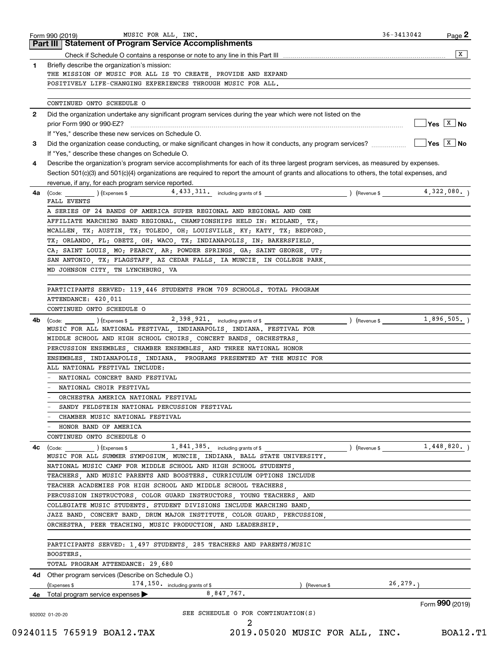| 1.<br>2<br>3<br>4<br>4a<br>4b | Briefly describe the organization's mission:<br>THE MISSION OF MUSIC FOR ALL IS TO CREATE, PROVIDE AND EXPAND<br>POSITIVELY LIFE-CHANGING EXPERIENCES THROUGH MUSIC FOR ALL.<br>CONTINUED ONTO SCHEDULE O<br>Did the organization undertake any significant program services during the year which were not listed on the<br>If "Yes," describe these new services on Schedule O.<br>If "Yes," describe these changes on Schedule O.<br>Describe the organization's program service accomplishments for each of its three largest program services, as measured by expenses.<br>Section 501(c)(3) and 501(c)(4) organizations are required to report the amount of grants and allocations to others, the total expenses, and<br>revenue, if any, for each program service reported.<br>$\begin{array}{ccc} \text{(Code:} & \text{(Expenses $} & \text{4 } , 433 , 311 \text{ .} & \text{including grants of $} \end{array}$<br>FALL EVENTS<br>A SERIES OF 24 BANDS OF AMERICA SUPER REGIONAL AND REGIONAL AND ONE<br>AFFILIATE MARCHING BAND REGIONAL. CHAMPIONSHIPS HELD IN: MIDLAND, TX;<br>MCALLEN, TX; AUSTIN, TX; TOLEDO, OH; LOUISVILLE, KY; KATY, TX; BEDFORD,<br>TX; ORLANDO, FL; OBETZ, OH; WACO, TX; INDIANAPOLIS, IN; BAKERSFIELD,<br>CA; SAINT LOUIS, MO; PEARCY, AR; POWDER SPRINGS, GA; SAINT GEORGE, UT;<br>SAN ANTONIO, TX; FLAGSTAFF, AZ CEDAR FALLS, IA MUNCIE, IN COLLEGE PARK,<br>MD JOHNSON CITY, TN LYNCHBURG, VA<br>PARTICIPANTS SERVED: 119,446 STUDENTS FROM 709 SCHOOLS. TOTAL PROGRAM<br>ATTENDANCE: 420,011<br>CONTINUED ONTO SCHEDULE O<br>MUSIC FOR ALL NATIONAL FESTIVAL, INDIANAPOLIS, INDIANA. FESTIVAL FOR | ) (Revenue \$<br>) (Revenue \$ | x                                                                                      |
|-------------------------------|----------------------------------------------------------------------------------------------------------------------------------------------------------------------------------------------------------------------------------------------------------------------------------------------------------------------------------------------------------------------------------------------------------------------------------------------------------------------------------------------------------------------------------------------------------------------------------------------------------------------------------------------------------------------------------------------------------------------------------------------------------------------------------------------------------------------------------------------------------------------------------------------------------------------------------------------------------------------------------------------------------------------------------------------------------------------------------------------------------------------------------------------------------------------------------------------------------------------------------------------------------------------------------------------------------------------------------------------------------------------------------------------------------------------------------------------------------------------------------------------------------------------------------------------------------------------------------------------------------------------------------------------|--------------------------------|----------------------------------------------------------------------------------------|
|                               |                                                                                                                                                                                                                                                                                                                                                                                                                                                                                                                                                                                                                                                                                                                                                                                                                                                                                                                                                                                                                                                                                                                                                                                                                                                                                                                                                                                                                                                                                                                                                                                                                                              |                                | $\sqrt{}$ Yes $\sqrt{X}$ No<br>$\sqrt{Y}$ es $\sqrt{X}$ No<br>4,322,080.<br>1,896,505. |
|                               |                                                                                                                                                                                                                                                                                                                                                                                                                                                                                                                                                                                                                                                                                                                                                                                                                                                                                                                                                                                                                                                                                                                                                                                                                                                                                                                                                                                                                                                                                                                                                                                                                                              |                                |                                                                                        |
|                               |                                                                                                                                                                                                                                                                                                                                                                                                                                                                                                                                                                                                                                                                                                                                                                                                                                                                                                                                                                                                                                                                                                                                                                                                                                                                                                                                                                                                                                                                                                                                                                                                                                              |                                |                                                                                        |
|                               |                                                                                                                                                                                                                                                                                                                                                                                                                                                                                                                                                                                                                                                                                                                                                                                                                                                                                                                                                                                                                                                                                                                                                                                                                                                                                                                                                                                                                                                                                                                                                                                                                                              |                                |                                                                                        |
|                               |                                                                                                                                                                                                                                                                                                                                                                                                                                                                                                                                                                                                                                                                                                                                                                                                                                                                                                                                                                                                                                                                                                                                                                                                                                                                                                                                                                                                                                                                                                                                                                                                                                              |                                |                                                                                        |
|                               |                                                                                                                                                                                                                                                                                                                                                                                                                                                                                                                                                                                                                                                                                                                                                                                                                                                                                                                                                                                                                                                                                                                                                                                                                                                                                                                                                                                                                                                                                                                                                                                                                                              |                                |                                                                                        |
|                               |                                                                                                                                                                                                                                                                                                                                                                                                                                                                                                                                                                                                                                                                                                                                                                                                                                                                                                                                                                                                                                                                                                                                                                                                                                                                                                                                                                                                                                                                                                                                                                                                                                              |                                |                                                                                        |
|                               |                                                                                                                                                                                                                                                                                                                                                                                                                                                                                                                                                                                                                                                                                                                                                                                                                                                                                                                                                                                                                                                                                                                                                                                                                                                                                                                                                                                                                                                                                                                                                                                                                                              |                                |                                                                                        |
|                               |                                                                                                                                                                                                                                                                                                                                                                                                                                                                                                                                                                                                                                                                                                                                                                                                                                                                                                                                                                                                                                                                                                                                                                                                                                                                                                                                                                                                                                                                                                                                                                                                                                              |                                |                                                                                        |
|                               |                                                                                                                                                                                                                                                                                                                                                                                                                                                                                                                                                                                                                                                                                                                                                                                                                                                                                                                                                                                                                                                                                                                                                                                                                                                                                                                                                                                                                                                                                                                                                                                                                                              |                                |                                                                                        |
|                               |                                                                                                                                                                                                                                                                                                                                                                                                                                                                                                                                                                                                                                                                                                                                                                                                                                                                                                                                                                                                                                                                                                                                                                                                                                                                                                                                                                                                                                                                                                                                                                                                                                              |                                |                                                                                        |
|                               |                                                                                                                                                                                                                                                                                                                                                                                                                                                                                                                                                                                                                                                                                                                                                                                                                                                                                                                                                                                                                                                                                                                                                                                                                                                                                                                                                                                                                                                                                                                                                                                                                                              |                                |                                                                                        |
|                               |                                                                                                                                                                                                                                                                                                                                                                                                                                                                                                                                                                                                                                                                                                                                                                                                                                                                                                                                                                                                                                                                                                                                                                                                                                                                                                                                                                                                                                                                                                                                                                                                                                              |                                |                                                                                        |
|                               |                                                                                                                                                                                                                                                                                                                                                                                                                                                                                                                                                                                                                                                                                                                                                                                                                                                                                                                                                                                                                                                                                                                                                                                                                                                                                                                                                                                                                                                                                                                                                                                                                                              |                                |                                                                                        |
|                               |                                                                                                                                                                                                                                                                                                                                                                                                                                                                                                                                                                                                                                                                                                                                                                                                                                                                                                                                                                                                                                                                                                                                                                                                                                                                                                                                                                                                                                                                                                                                                                                                                                              |                                |                                                                                        |
|                               |                                                                                                                                                                                                                                                                                                                                                                                                                                                                                                                                                                                                                                                                                                                                                                                                                                                                                                                                                                                                                                                                                                                                                                                                                                                                                                                                                                                                                                                                                                                                                                                                                                              |                                |                                                                                        |
|                               |                                                                                                                                                                                                                                                                                                                                                                                                                                                                                                                                                                                                                                                                                                                                                                                                                                                                                                                                                                                                                                                                                                                                                                                                                                                                                                                                                                                                                                                                                                                                                                                                                                              |                                |                                                                                        |
|                               |                                                                                                                                                                                                                                                                                                                                                                                                                                                                                                                                                                                                                                                                                                                                                                                                                                                                                                                                                                                                                                                                                                                                                                                                                                                                                                                                                                                                                                                                                                                                                                                                                                              |                                |                                                                                        |
|                               |                                                                                                                                                                                                                                                                                                                                                                                                                                                                                                                                                                                                                                                                                                                                                                                                                                                                                                                                                                                                                                                                                                                                                                                                                                                                                                                                                                                                                                                                                                                                                                                                                                              |                                |                                                                                        |
|                               |                                                                                                                                                                                                                                                                                                                                                                                                                                                                                                                                                                                                                                                                                                                                                                                                                                                                                                                                                                                                                                                                                                                                                                                                                                                                                                                                                                                                                                                                                                                                                                                                                                              |                                |                                                                                        |
|                               |                                                                                                                                                                                                                                                                                                                                                                                                                                                                                                                                                                                                                                                                                                                                                                                                                                                                                                                                                                                                                                                                                                                                                                                                                                                                                                                                                                                                                                                                                                                                                                                                                                              |                                |                                                                                        |
|                               |                                                                                                                                                                                                                                                                                                                                                                                                                                                                                                                                                                                                                                                                                                                                                                                                                                                                                                                                                                                                                                                                                                                                                                                                                                                                                                                                                                                                                                                                                                                                                                                                                                              |                                |                                                                                        |
|                               |                                                                                                                                                                                                                                                                                                                                                                                                                                                                                                                                                                                                                                                                                                                                                                                                                                                                                                                                                                                                                                                                                                                                                                                                                                                                                                                                                                                                                                                                                                                                                                                                                                              |                                |                                                                                        |
|                               |                                                                                                                                                                                                                                                                                                                                                                                                                                                                                                                                                                                                                                                                                                                                                                                                                                                                                                                                                                                                                                                                                                                                                                                                                                                                                                                                                                                                                                                                                                                                                                                                                                              |                                |                                                                                        |
|                               |                                                                                                                                                                                                                                                                                                                                                                                                                                                                                                                                                                                                                                                                                                                                                                                                                                                                                                                                                                                                                                                                                                                                                                                                                                                                                                                                                                                                                                                                                                                                                                                                                                              |                                |                                                                                        |
|                               |                                                                                                                                                                                                                                                                                                                                                                                                                                                                                                                                                                                                                                                                                                                                                                                                                                                                                                                                                                                                                                                                                                                                                                                                                                                                                                                                                                                                                                                                                                                                                                                                                                              |                                |                                                                                        |
|                               |                                                                                                                                                                                                                                                                                                                                                                                                                                                                                                                                                                                                                                                                                                                                                                                                                                                                                                                                                                                                                                                                                                                                                                                                                                                                                                                                                                                                                                                                                                                                                                                                                                              |                                |                                                                                        |
|                               |                                                                                                                                                                                                                                                                                                                                                                                                                                                                                                                                                                                                                                                                                                                                                                                                                                                                                                                                                                                                                                                                                                                                                                                                                                                                                                                                                                                                                                                                                                                                                                                                                                              |                                |                                                                                        |
|                               | MIDDLE SCHOOL AND HIGH SCHOOL CHOIRS, CONCERT BANDS, ORCHESTRAS,                                                                                                                                                                                                                                                                                                                                                                                                                                                                                                                                                                                                                                                                                                                                                                                                                                                                                                                                                                                                                                                                                                                                                                                                                                                                                                                                                                                                                                                                                                                                                                             |                                |                                                                                        |
|                               | PERCUSSION ENSEMBLES, CHAMBER ENSEMBLES, AND THREE NATIONAL HONOR                                                                                                                                                                                                                                                                                                                                                                                                                                                                                                                                                                                                                                                                                                                                                                                                                                                                                                                                                                                                                                                                                                                                                                                                                                                                                                                                                                                                                                                                                                                                                                            |                                |                                                                                        |
|                               | ENSEMBLES, INDIANAPOLIS, INDIANA. PROGRAMS PRESENTED AT THE MUSIC FOR                                                                                                                                                                                                                                                                                                                                                                                                                                                                                                                                                                                                                                                                                                                                                                                                                                                                                                                                                                                                                                                                                                                                                                                                                                                                                                                                                                                                                                                                                                                                                                        |                                |                                                                                        |
|                               | ALL NATIONAL FESTIVAL INCLUDE:                                                                                                                                                                                                                                                                                                                                                                                                                                                                                                                                                                                                                                                                                                                                                                                                                                                                                                                                                                                                                                                                                                                                                                                                                                                                                                                                                                                                                                                                                                                                                                                                               |                                |                                                                                        |
|                               | NATIONAL CONCERT BAND FESTIVAL                                                                                                                                                                                                                                                                                                                                                                                                                                                                                                                                                                                                                                                                                                                                                                                                                                                                                                                                                                                                                                                                                                                                                                                                                                                                                                                                                                                                                                                                                                                                                                                                               |                                |                                                                                        |
|                               | - NATIONAL CHOIR FESTIVAL                                                                                                                                                                                                                                                                                                                                                                                                                                                                                                                                                                                                                                                                                                                                                                                                                                                                                                                                                                                                                                                                                                                                                                                                                                                                                                                                                                                                                                                                                                                                                                                                                    |                                |                                                                                        |
|                               | ORCHESTRA AMERICA NATIONAL FESTIVAL                                                                                                                                                                                                                                                                                                                                                                                                                                                                                                                                                                                                                                                                                                                                                                                                                                                                                                                                                                                                                                                                                                                                                                                                                                                                                                                                                                                                                                                                                                                                                                                                          |                                |                                                                                        |
|                               | SANDY FELDSTEIN NATIONAL PERCUSSION FESTIVAL                                                                                                                                                                                                                                                                                                                                                                                                                                                                                                                                                                                                                                                                                                                                                                                                                                                                                                                                                                                                                                                                                                                                                                                                                                                                                                                                                                                                                                                                                                                                                                                                 |                                |                                                                                        |
|                               | CHAMBER MUSIC NATIONAL FESTIVAL                                                                                                                                                                                                                                                                                                                                                                                                                                                                                                                                                                                                                                                                                                                                                                                                                                                                                                                                                                                                                                                                                                                                                                                                                                                                                                                                                                                                                                                                                                                                                                                                              |                                |                                                                                        |
|                               | - HONOR BAND OF AMERICA                                                                                                                                                                                                                                                                                                                                                                                                                                                                                                                                                                                                                                                                                                                                                                                                                                                                                                                                                                                                                                                                                                                                                                                                                                                                                                                                                                                                                                                                                                                                                                                                                      |                                |                                                                                        |
|                               | CONTINUED ONTO SCHEDULE O                                                                                                                                                                                                                                                                                                                                                                                                                                                                                                                                                                                                                                                                                                                                                                                                                                                                                                                                                                                                                                                                                                                                                                                                                                                                                                                                                                                                                                                                                                                                                                                                                    |                                |                                                                                        |
| 4с                            | $\left(\text{Code:}\begin{array}{c} \text{Code:} \end{array}\right)$ (Expenses \$ 1, 841, 385, including grants of \$                                                                                                                                                                                                                                                                                                                                                                                                                                                                                                                                                                                                                                                                                                                                                                                                                                                                                                                                                                                                                                                                                                                                                                                                                                                                                                                                                                                                                                                                                                                        | ) (Revenue \$ 1,448,820.)      |                                                                                        |
|                               | MUSIC FOR ALL SUMMER SYMPOSIUM, MUNCIE, INDIANA, BALL STATE UNIVERSITY.                                                                                                                                                                                                                                                                                                                                                                                                                                                                                                                                                                                                                                                                                                                                                                                                                                                                                                                                                                                                                                                                                                                                                                                                                                                                                                                                                                                                                                                                                                                                                                      |                                |                                                                                        |
|                               | NATIONAL MUSIC CAMP FOR MIDDLE SCHOOL AND HIGH SCHOOL STUDENTS,                                                                                                                                                                                                                                                                                                                                                                                                                                                                                                                                                                                                                                                                                                                                                                                                                                                                                                                                                                                                                                                                                                                                                                                                                                                                                                                                                                                                                                                                                                                                                                              |                                |                                                                                        |
|                               | TEACHERS, AND MUSIC PARENTS AND BOOSTERS. CURRICULUM OPTIONS INCLUDE                                                                                                                                                                                                                                                                                                                                                                                                                                                                                                                                                                                                                                                                                                                                                                                                                                                                                                                                                                                                                                                                                                                                                                                                                                                                                                                                                                                                                                                                                                                                                                         |                                |                                                                                        |
|                               | TEACHER ACADEMIES FOR HIGH SCHOOL AND MIDDLE SCHOOL TEACHERS.                                                                                                                                                                                                                                                                                                                                                                                                                                                                                                                                                                                                                                                                                                                                                                                                                                                                                                                                                                                                                                                                                                                                                                                                                                                                                                                                                                                                                                                                                                                                                                                |                                |                                                                                        |
|                               | PERCUSSION INSTRUCTORS, COLOR GUARD INSTRUCTORS, YOUNG TEACHERS, AND                                                                                                                                                                                                                                                                                                                                                                                                                                                                                                                                                                                                                                                                                                                                                                                                                                                                                                                                                                                                                                                                                                                                                                                                                                                                                                                                                                                                                                                                                                                                                                         |                                |                                                                                        |
|                               | COLLEGIATE MUSIC STUDENTS. STUDENT DIVISIONS INCLUDE MARCHING BAND,                                                                                                                                                                                                                                                                                                                                                                                                                                                                                                                                                                                                                                                                                                                                                                                                                                                                                                                                                                                                                                                                                                                                                                                                                                                                                                                                                                                                                                                                                                                                                                          |                                |                                                                                        |
|                               | JAZZ BAND, CONCERT BAND, DRUM MAJOR INSTITUTE, COLOR GUARD, PERCUSSION,                                                                                                                                                                                                                                                                                                                                                                                                                                                                                                                                                                                                                                                                                                                                                                                                                                                                                                                                                                                                                                                                                                                                                                                                                                                                                                                                                                                                                                                                                                                                                                      |                                |                                                                                        |
|                               | ORCHESTRA, PEER TEACHING, MUSIC PRODUCTION, AND LEADERSHIP.                                                                                                                                                                                                                                                                                                                                                                                                                                                                                                                                                                                                                                                                                                                                                                                                                                                                                                                                                                                                                                                                                                                                                                                                                                                                                                                                                                                                                                                                                                                                                                                  |                                |                                                                                        |
|                               | PARTICIPANTS SERVED: 1,497 STUDENTS, 285 TEACHERS AND PARENTS/MUSIC                                                                                                                                                                                                                                                                                                                                                                                                                                                                                                                                                                                                                                                                                                                                                                                                                                                                                                                                                                                                                                                                                                                                                                                                                                                                                                                                                                                                                                                                                                                                                                          |                                |                                                                                        |
|                               | BOOSTERS.                                                                                                                                                                                                                                                                                                                                                                                                                                                                                                                                                                                                                                                                                                                                                                                                                                                                                                                                                                                                                                                                                                                                                                                                                                                                                                                                                                                                                                                                                                                                                                                                                                    |                                |                                                                                        |
|                               | TOTAL PROGRAM ATTENDANCE: 29,680                                                                                                                                                                                                                                                                                                                                                                                                                                                                                                                                                                                                                                                                                                                                                                                                                                                                                                                                                                                                                                                                                                                                                                                                                                                                                                                                                                                                                                                                                                                                                                                                             |                                |                                                                                        |
|                               | 4d Other program services (Describe on Schedule O.)                                                                                                                                                                                                                                                                                                                                                                                                                                                                                                                                                                                                                                                                                                                                                                                                                                                                                                                                                                                                                                                                                                                                                                                                                                                                                                                                                                                                                                                                                                                                                                                          |                                |                                                                                        |
|                               | 174, 150. including grants of \$<br>(Expenses \$<br>) (Revenue \$                                                                                                                                                                                                                                                                                                                                                                                                                                                                                                                                                                                                                                                                                                                                                                                                                                                                                                                                                                                                                                                                                                                                                                                                                                                                                                                                                                                                                                                                                                                                                                            | 26, 279.                       |                                                                                        |
|                               | 8,847,767.<br><b>4e</b> Total program service expenses $\blacktriangleright$                                                                                                                                                                                                                                                                                                                                                                                                                                                                                                                                                                                                                                                                                                                                                                                                                                                                                                                                                                                                                                                                                                                                                                                                                                                                                                                                                                                                                                                                                                                                                                 |                                |                                                                                        |
|                               |                                                                                                                                                                                                                                                                                                                                                                                                                                                                                                                                                                                                                                                                                                                                                                                                                                                                                                                                                                                                                                                                                                                                                                                                                                                                                                                                                                                                                                                                                                                                                                                                                                              |                                | Form 990 (2019)                                                                        |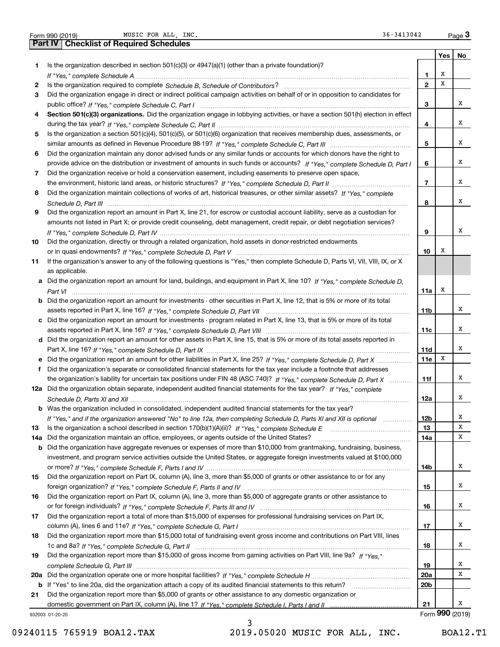| Form 990 (2019) |  |  |
|-----------------|--|--|

|     | MUSIC FOR ALL, INC.<br>36-3413042<br>Form 990 (2019)                                                                                  |                          |                 | Page 3 |
|-----|---------------------------------------------------------------------------------------------------------------------------------------|--------------------------|-----------------|--------|
|     | <b>Checklist of Required Schedules</b><br>Part IV                                                                                     |                          |                 |        |
|     |                                                                                                                                       |                          | Yes             | No     |
| 1   | Is the organization described in section $501(c)(3)$ or $4947(a)(1)$ (other than a private foundation)?                               |                          |                 |        |
|     |                                                                                                                                       | 1                        | X               |        |
| 2   |                                                                                                                                       | $\mathbf{2}$             | X               |        |
| 3   | Did the organization engage in direct or indirect political campaign activities on behalf of or in opposition to candidates for       |                          |                 |        |
|     |                                                                                                                                       | з                        |                 | х      |
| 4   | Section 501(c)(3) organizations. Did the organization engage in lobbying activities, or have a section 501(h) election in effect      |                          |                 |        |
|     |                                                                                                                                       | 4                        |                 | х      |
| 5   | Is the organization a section 501(c)(4), 501(c)(5), or 501(c)(6) organization that receives membership dues, assessments, or          |                          |                 |        |
|     |                                                                                                                                       | 5                        |                 | х      |
| 6   | Did the organization maintain any donor advised funds or any similar funds or accounts for which donors have the right to             |                          |                 |        |
|     | provide advice on the distribution or investment of amounts in such funds or accounts? If "Yes," complete Schedule D, Part I          | 6                        |                 | х      |
|     |                                                                                                                                       |                          |                 |        |
| 7   | Did the organization receive or hold a conservation easement, including easements to preserve open space,                             |                          |                 | х      |
|     |                                                                                                                                       | $\overline{\phantom{a}}$ |                 |        |
| 8   | Did the organization maintain collections of works of art, historical treasures, or other similar assets? If "Yes," complete          |                          |                 |        |
|     |                                                                                                                                       | 8                        |                 | х      |
| 9   | Did the organization report an amount in Part X, line 21, for escrow or custodial account liability, serve as a custodian for         |                          |                 |        |
|     | amounts not listed in Part X; or provide credit counseling, debt management, credit repair, or debt negotiation services?             |                          |                 |        |
|     |                                                                                                                                       | 9                        |                 | х      |
| 10  | Did the organization, directly or through a related organization, hold assets in donor-restricted endowments                          |                          |                 |        |
|     |                                                                                                                                       | 10                       | х               |        |
| 11  | If the organization's answer to any of the following questions is "Yes," then complete Schedule D, Parts VI, VII, VIII, IX, or X      |                          |                 |        |
|     | as applicable.                                                                                                                        |                          |                 |        |
|     | a Did the organization report an amount for land, buildings, and equipment in Part X, line 10? If "Yes," complete Schedule D.         |                          |                 |        |
|     |                                                                                                                                       | 11a                      | х               |        |
|     | <b>b</b> Did the organization report an amount for investments - other securities in Part X, line 12, that is 5% or more of its total |                          |                 |        |
|     |                                                                                                                                       | 11b                      |                 | x      |
|     | c Did the organization report an amount for investments - program related in Part X, line 13, that is 5% or more of its total         |                          |                 |        |
|     |                                                                                                                                       | 11c                      |                 | х      |
|     | d Did the organization report an amount for other assets in Part X, line 15, that is 5% or more of its total assets reported in       |                          |                 |        |
|     |                                                                                                                                       | 11d                      |                 | х      |
|     | e Did the organization report an amount for other liabilities in Part X, line 25? If "Yes," complete Schedule D, Part X               | 11e                      | Х               |        |
|     |                                                                                                                                       |                          |                 |        |
| f   | Did the organization's separate or consolidated financial statements for the tax year include a footnote that addresses               |                          |                 | х      |
|     | the organization's liability for uncertain tax positions under FIN 48 (ASC 740)? If "Yes," complete Schedule D, Part X                | 11f                      |                 |        |
|     | 12a Did the organization obtain separate, independent audited financial statements for the tax year? If "Yes," complete               |                          |                 |        |
|     |                                                                                                                                       | 12a                      |                 | x      |
|     | <b>b</b> Was the organization included in consolidated, independent audited financial statements for the tax year?                    |                          |                 |        |
|     | If "Yes," and if the organization answered "No" to line 12a, then completing Schedule D, Parts XI and XII is optional                 | 12b                      |                 | x      |
| 13  |                                                                                                                                       | 13                       |                 | Х      |
| 14a | Did the organization maintain an office, employees, or agents outside of the United States?                                           | 14a                      |                 | х      |
|     | <b>b</b> Did the organization have aggregate revenues or expenses of more than \$10,000 from grantmaking, fundraising, business,      |                          |                 |        |
|     | investment, and program service activities outside the United States, or aggregate foreign investments valued at \$100,000            |                          |                 |        |
|     |                                                                                                                                       | 14b                      |                 | x      |
| 15  | Did the organization report on Part IX, column (A), line 3, more than \$5,000 of grants or other assistance to or for any             |                          |                 |        |
|     |                                                                                                                                       | 15                       |                 | x      |
| 16  | Did the organization report on Part IX, column (A), line 3, more than \$5,000 of aggregate grants or other assistance to              |                          |                 |        |
|     |                                                                                                                                       | 16                       |                 | x      |
| 17  | Did the organization report a total of more than \$15,000 of expenses for professional fundraising services on Part IX,               |                          |                 |        |
|     |                                                                                                                                       | 17                       |                 | x      |
| 18  | Did the organization report more than \$15,000 total of fundraising event gross income and contributions on Part VIII, lines          |                          |                 |        |
|     |                                                                                                                                       | 18                       |                 | x      |
|     | Did the organization report more than \$15,000 of gross income from gaming activities on Part VIII, line 9a? If "Yes."                |                          |                 |        |
| 19  |                                                                                                                                       |                          |                 | x      |
|     |                                                                                                                                       | 19                       |                 | х      |
| 20a |                                                                                                                                       | 20a                      |                 |        |
|     | b If "Yes" to line 20a, did the organization attach a copy of its audited financial statements to this return?                        | 20 <sub>b</sub>          |                 |        |
| 21  | Did the organization report more than \$5,000 of grants or other assistance to any domestic organization or                           |                          |                 |        |
|     |                                                                                                                                       | 21                       |                 | x      |
|     | 932003 01-20-20                                                                                                                       |                          | Form 990 (2019) |        |

932003 01-20-20

3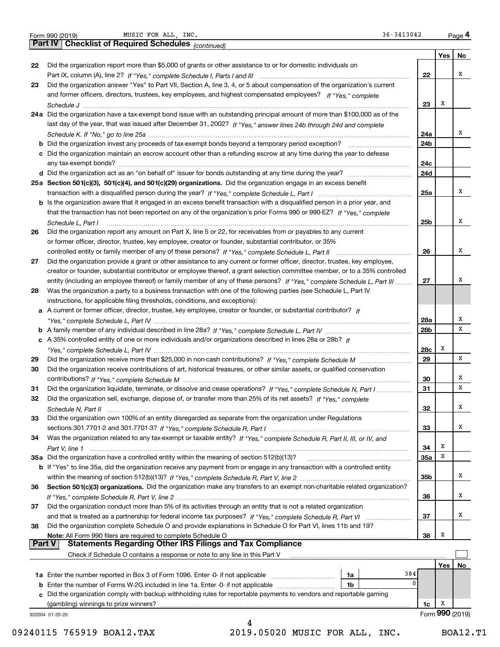| Form 990 (2019 |  |  |
|----------------|--|--|

Form 990 (2019) Page MUSIC FOR ALL, INC. 36-3413042

|               | MUSIC FOR ALL, INC.<br>36-3413042<br>Form 990 (2019)                                                                         |                 |     | Page 4          |
|---------------|------------------------------------------------------------------------------------------------------------------------------|-----------------|-----|-----------------|
|               | Part IV   Checklist of Required Schedules (continued)                                                                        |                 |     |                 |
|               |                                                                                                                              |                 | Yes | No              |
| 22            | Did the organization report more than \$5,000 of grants or other assistance to or for domestic individuals on                |                 |     |                 |
|               |                                                                                                                              | 22              |     | х               |
| 23            | Did the organization answer "Yes" to Part VII, Section A, line 3, 4, or 5 about compensation of the organization's current   |                 |     |                 |
|               | and former officers, directors, trustees, key employees, and highest compensated employees? If "Yes," complete               |                 |     |                 |
|               |                                                                                                                              | 23              | х   |                 |
|               | 24a Did the organization have a tax-exempt bond issue with an outstanding principal amount of more than \$100,000 as of the  |                 |     |                 |
|               | last day of the year, that was issued after December 31, 2002? If "Yes," answer lines 24b through 24d and complete           |                 |     |                 |
|               |                                                                                                                              | 24a             |     | х               |
|               |                                                                                                                              | 24b             |     |                 |
|               | c Did the organization maintain an escrow account other than a refunding escrow at any time during the year to defease       |                 |     |                 |
|               |                                                                                                                              | 24c             |     |                 |
|               |                                                                                                                              | 24d             |     |                 |
|               | 25a Section 501(c)(3), 501(c)(4), and 501(c)(29) organizations. Did the organization engage in an excess benefit             |                 |     |                 |
|               |                                                                                                                              | 25a             |     | х               |
|               | b Is the organization aware that it engaged in an excess benefit transaction with a disqualified person in a prior year, and |                 |     |                 |
|               | that the transaction has not been reported on any of the organization's prior Forms 990 or 990-EZ? If "Yes," complete        |                 |     |                 |
|               | Schedule L, Part I                                                                                                           | 25 <sub>b</sub> |     | х               |
| 26            | Did the organization report any amount on Part X, line 5 or 22, for receivables from or payables to any current              |                 |     |                 |
|               | or former officer, director, trustee, key employee, creator or founder, substantial contributor, or 35%                      |                 |     |                 |
|               |                                                                                                                              | 26              |     | х               |
| 27            | Did the organization provide a grant or other assistance to any current or former officer, director, trustee, key employee,  |                 |     |                 |
|               | creator or founder, substantial contributor or employee thereof, a grant selection committee member, or to a 35% controlled  |                 |     |                 |
|               | entity (including an employee thereof) or family member of any of these persons? If "Yes," complete Schedule L, Part III     | 27              |     | х               |
| 28            | Was the organization a party to a business transaction with one of the following parties (see Schedule L, Part IV            |                 |     |                 |
|               | instructions, for applicable filing thresholds, conditions, and exceptions):                                                 |                 |     |                 |
|               | a A current or former officer, director, trustee, key employee, creator or founder, or substantial contributor? If           |                 |     |                 |
|               |                                                                                                                              | 28a             |     | х               |
|               |                                                                                                                              | 28b             |     | х               |
|               | c A 35% controlled entity of one or more individuals and/or organizations described in lines 28a or 28b? If                  |                 |     |                 |
|               |                                                                                                                              | 28c             | X   |                 |
| 29            |                                                                                                                              | 29              |     | х               |
| 30            | Did the organization receive contributions of art, historical treasures, or other similar assets, or qualified conservation  |                 |     |                 |
|               |                                                                                                                              | 30              |     | х               |
| 31            | Did the organization liquidate, terminate, or dissolve and cease operations? If "Yes," complete Schedule N, Part I           | 31              |     | x               |
| 32            | Did the organization sell, exchange, dispose of, or transfer more than 25% of its net assets? If "Yes," complete             |                 |     |                 |
|               |                                                                                                                              | 32              |     | x               |
| 33            | Did the organization own 100% of an entity disregarded as separate from the organization under Regulations                   |                 |     |                 |
|               |                                                                                                                              | 33              |     | х               |
| 34            | Was the organization related to any tax-exempt or taxable entity? If "Yes," complete Schedule R, Part II, III, or IV, and    |                 |     |                 |
|               |                                                                                                                              | 34              | х   |                 |
|               | 35a Did the organization have a controlled entity within the meaning of section 512(b)(13)?                                  | <b>35a</b>      | х   |                 |
|               | b If "Yes" to line 35a, did the organization receive any payment from or engage in any transaction with a controlled entity  |                 |     |                 |
|               |                                                                                                                              | 35b             |     | х               |
| 36            | Section 501(c)(3) organizations. Did the organization make any transfers to an exempt non-charitable related organization?   |                 |     |                 |
|               |                                                                                                                              | 36              |     | x               |
| 37            | Did the organization conduct more than 5% of its activities through an entity that is not a related organization             |                 |     |                 |
|               |                                                                                                                              | 37              |     | х               |
| 38            | Did the organization complete Schedule O and provide explanations in Schedule O for Part VI, lines 11b and 19?               |                 |     |                 |
|               | Note: All Form 990 filers are required to complete Schedule O                                                                | 38              | х   |                 |
| <b>Part V</b> | <b>Statements Regarding Other IRS Filings and Tax Compliance</b>                                                             |                 |     |                 |
|               | Check if Schedule O contains a response or note to any line in this Part V                                                   |                 |     |                 |
|               |                                                                                                                              |                 | Yes | No              |
|               | 384<br>1a                                                                                                                    |                 |     |                 |
| b             | 0<br>Enter the number of Forms W-2G included in line 1a. Enter -0- if not applicable<br>1b                                   |                 |     |                 |
|               | c Did the organization comply with backup withholding rules for reportable payments to vendors and reportable gaming         |                 |     |                 |
|               |                                                                                                                              | 1c              | x   |                 |
|               | 932004 01-20-20                                                                                                              |                 |     | Form 990 (2019) |
|               | 4                                                                                                                            |                 |     |                 |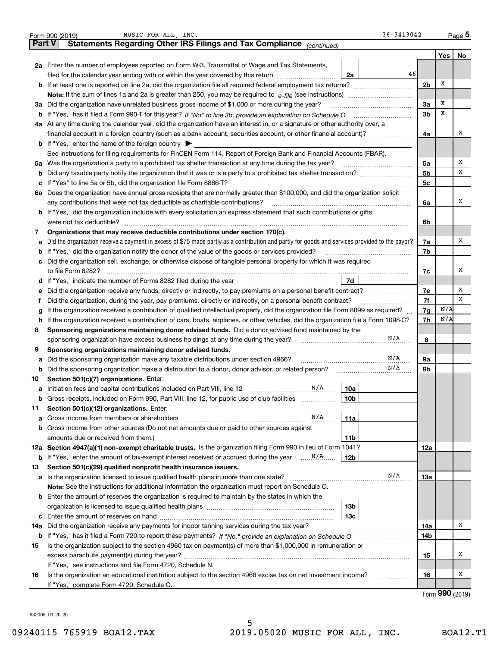|               | 36-3413042<br>MUSIC FOR ALL, INC.<br>Form 990 (2019)                                                                                                         |                |     | $_{\text{Page}}$ 5 |  |  |
|---------------|--------------------------------------------------------------------------------------------------------------------------------------------------------------|----------------|-----|--------------------|--|--|
| <b>Part V</b> | Statements Regarding Other IRS Filings and Tax Compliance (continued)                                                                                        |                |     |                    |  |  |
|               |                                                                                                                                                              |                | Yes | No                 |  |  |
|               | 2a Enter the number of employees reported on Form W-3, Transmittal of Wage and Tax Statements,                                                               |                |     |                    |  |  |
|               | 46<br>filed for the calendar year ending with or within the year covered by this return<br>2a                                                                |                |     |                    |  |  |
|               | <b>b</b> If at least one is reported on line 2a, did the organization file all required federal employment tax returns?                                      | 2 <sub>b</sub> | Х   |                    |  |  |
|               | <b>Note:</b> If the sum of lines 1a and 2a is greater than 250, you may be required to $e$ -file (see instructions) <i>manimummane</i>                       |                |     |                    |  |  |
|               | 3a Did the organization have unrelated business gross income of \$1,000 or more during the year?                                                             | 3a             | х   |                    |  |  |
|               | <b>b</b> If "Yes," has it filed a Form 990-T for this year? If "No" to line 3b, provide an explanation on Schedule O                                         | 3 <sub>b</sub> | х   |                    |  |  |
|               | 4a At any time during the calendar year, did the organization have an interest in, or a signature or other authority over, a                                 |                |     |                    |  |  |
|               |                                                                                                                                                              | 4a             |     | х                  |  |  |
|               | <b>b</b> If "Yes," enter the name of the foreign country $\triangleright$                                                                                    |                |     |                    |  |  |
|               | See instructions for filing requirements for FinCEN Form 114, Report of Foreign Bank and Financial Accounts (FBAR).                                          |                |     |                    |  |  |
|               | 5a Was the organization a party to a prohibited tax shelter transaction at any time during the tax year?                                                     | 5a             |     | х                  |  |  |
|               |                                                                                                                                                              | 5 <sub>b</sub> |     | х                  |  |  |
|               |                                                                                                                                                              | 5c             |     |                    |  |  |
|               | 6a Does the organization have annual gross receipts that are normally greater than \$100,000, and did the organization solicit                               |                |     |                    |  |  |
|               | any contributions that were not tax deductible as charitable contributions?                                                                                  | 6a             |     | x                  |  |  |
|               | <b>b</b> If "Yes," did the organization include with every solicitation an express statement that such contributions or gifts                                |                |     |                    |  |  |
|               | were not tax deductible?                                                                                                                                     | 6b             |     |                    |  |  |
| 7             | Organizations that may receive deductible contributions under section 170(c).                                                                                |                |     |                    |  |  |
| а             | Did the organization receive a payment in excess of \$75 made partly as a contribution and partly for goods and services provided to the payor?              | 7a             |     | x                  |  |  |
|               | <b>b</b> If "Yes," did the organization notify the donor of the value of the goods or services provided?                                                     | 7b             |     |                    |  |  |
|               | c Did the organization sell, exchange, or otherwise dispose of tangible personal property for which it was required                                          |                |     |                    |  |  |
|               | to file Form 8282?                                                                                                                                           | 7с             |     | x                  |  |  |
|               | 7d<br><b>d</b> If "Yes," indicate the number of Forms 8282 filed during the year                                                                             |                |     |                    |  |  |
| е             | Did the organization receive any funds, directly or indirectly, to pay premiums on a personal benefit contract?                                              | 7e             |     | Х                  |  |  |
| Ť             | Did the organization, during the year, pay premiums, directly or indirectly, on a personal benefit contract?                                                 | 7f             |     | х                  |  |  |
| g             | If the organization received a contribution of qualified intellectual property, did the organization file Form 8899 as required?                             | 7g             | N/A |                    |  |  |
| h.            | If the organization received a contribution of cars, boats, airplanes, or other vehicles, did the organization file a Form 1098-C?                           | 7h             | N/A |                    |  |  |
| 8             | Sponsoring organizations maintaining donor advised funds. Did a donor advised fund maintained by the                                                         |                |     |                    |  |  |
|               | N/A<br>sponsoring organization have excess business holdings at any time during the year?                                                                    | 8              |     |                    |  |  |
| 9             | Sponsoring organizations maintaining donor advised funds.                                                                                                    |                |     |                    |  |  |
| а             | N/A<br>Did the sponsoring organization make any taxable distributions under section 4966?                                                                    | 9а             |     |                    |  |  |
| b             | N/A<br>Did the sponsoring organization make a distribution to a donor, donor advisor, or related person?                                                     | 9b             |     |                    |  |  |
| 10            | Section 501(c)(7) organizations. Enter:<br>N/A                                                                                                               |                |     |                    |  |  |
|               | 10a<br>a Initiation fees and capital contributions included on Part VIII, line 12                                                                            |                |     |                    |  |  |
|               | <b>b</b> Gross receipts, included on Form 990, Part VIII, line 12, for public use of club facilities <i>manument</i><br>10b                                  |                |     |                    |  |  |
| 11            | Section 501(c)(12) organizations. Enter:<br>N/A                                                                                                              |                |     |                    |  |  |
| а             | 11a                                                                                                                                                          |                |     |                    |  |  |
|               | <b>b</b> Gross income from other sources (Do not net amounts due or paid to other sources against                                                            |                |     |                    |  |  |
|               | amounts due or received from them.)<br>11b<br>12a Section 4947(a)(1) non-exempt charitable trusts. Is the organization filing Form 990 in lieu of Form 1041? | 12a            |     |                    |  |  |
|               | <b>b</b> If "Yes," enter the amount of tax-exempt interest received or accrued during the year $\ldots$ $N/\mathcal{A}$<br>12b                               |                |     |                    |  |  |
| 13            | Section 501(c)(29) qualified nonprofit health insurance issuers.                                                                                             |                |     |                    |  |  |
|               | N/A                                                                                                                                                          | 13а            |     |                    |  |  |
|               | Note: See the instructions for additional information the organization must report on Schedule O.                                                            |                |     |                    |  |  |
|               | <b>b</b> Enter the amount of reserves the organization is required to maintain by the states in which the                                                    |                |     |                    |  |  |
|               | 13b                                                                                                                                                          |                |     |                    |  |  |
|               | 13с                                                                                                                                                          |                |     |                    |  |  |
| 14a           | Did the organization receive any payments for indoor tanning services during the tax year?                                                                   | 14a            |     | Χ                  |  |  |
|               |                                                                                                                                                              | 14b            |     |                    |  |  |
| 15            | Is the organization subject to the section 4960 tax on payment(s) of more than \$1,000,000 in remuneration or                                                |                |     |                    |  |  |
|               |                                                                                                                                                              | 15             |     | Х                  |  |  |
|               | If "Yes," see instructions and file Form 4720, Schedule N.                                                                                                   |                |     |                    |  |  |
| 16            | Is the organization an educational institution subject to the section 4968 excise tax on net investment income?                                              | 16             |     | х                  |  |  |
|               | .<br>If "Yes," complete Form 4720, Schedule O.                                                                                                               |                |     |                    |  |  |
|               |                                                                                                                                                              |                |     | $000 \text{ m}$    |  |  |

Form (2019) **990**

932005 01-20-20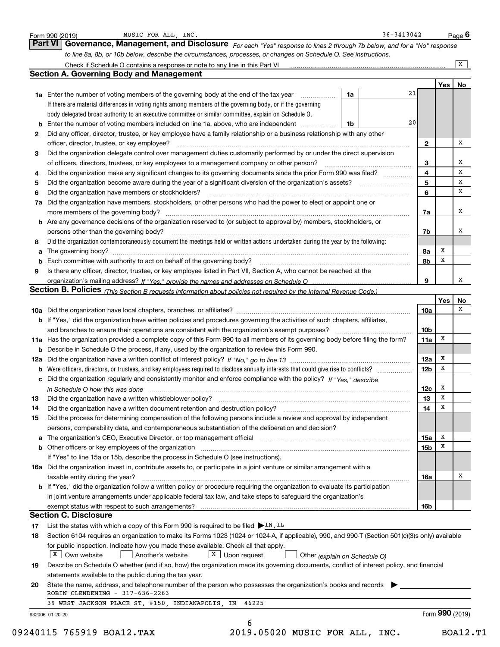|                | to line 8a, 8b, or 10b below, describe the circumstances, processes, or changes on Schedule O. See instructions.                                                                                                                                                                                                      |                 |     | X  |
|----------------|-----------------------------------------------------------------------------------------------------------------------------------------------------------------------------------------------------------------------------------------------------------------------------------------------------------------------|-----------------|-----|----|
|                | <b>Section A. Governing Body and Management</b>                                                                                                                                                                                                                                                                       |                 |     |    |
|                |                                                                                                                                                                                                                                                                                                                       |                 | Yes | No |
|                | 21<br>1a<br>1a Enter the number of voting members of the governing body at the end of the tax year <i>manumum</i>                                                                                                                                                                                                     |                 |     |    |
|                | If there are material differences in voting rights among members of the governing body, or if the governing                                                                                                                                                                                                           |                 |     |    |
|                | body delegated broad authority to an executive committee or similar committee, explain on Schedule O.                                                                                                                                                                                                                 |                 |     |    |
|                | 20<br><b>b</b> Enter the number of voting members included on line 1a, above, who are independent <i>manumum</i><br>1b                                                                                                                                                                                                |                 |     |    |
| 2              | Did any officer, director, trustee, or key employee have a family relationship or a business relationship with any other                                                                                                                                                                                              |                 |     |    |
|                | officer, director, trustee, or key employee?                                                                                                                                                                                                                                                                          | 2               |     | x  |
| 3              | Did the organization delegate control over management duties customarily performed by or under the direct supervision                                                                                                                                                                                                 |                 |     |    |
|                |                                                                                                                                                                                                                                                                                                                       | 3               |     | х  |
| 4              | Did the organization make any significant changes to its governing documents since the prior Form 990 was filed?                                                                                                                                                                                                      | 4               |     | X  |
| 5              |                                                                                                                                                                                                                                                                                                                       | 5               |     | х  |
| 6              | Did the organization have members or stockholders?                                                                                                                                                                                                                                                                    | 6               |     | х  |
| 7a             | Did the organization have members, stockholders, or other persons who had the power to elect or appoint one or                                                                                                                                                                                                        |                 |     |    |
|                |                                                                                                                                                                                                                                                                                                                       | 7a              |     | x  |
|                | <b>b</b> Are any governance decisions of the organization reserved to (or subject to approval by) members, stockholders, or                                                                                                                                                                                           |                 |     |    |
|                | persons other than the governing body?                                                                                                                                                                                                                                                                                | 7b              |     | х  |
| 8              | Did the organization contemporaneously document the meetings held or written actions undertaken during the year by the following:                                                                                                                                                                                     |                 |     |    |
|                |                                                                                                                                                                                                                                                                                                                       | 8a              | х   |    |
|                |                                                                                                                                                                                                                                                                                                                       | 8b              | x   |    |
| 9              | Is there any officer, director, trustee, or key employee listed in Part VII, Section A, who cannot be reached at the                                                                                                                                                                                                  |                 |     |    |
|                |                                                                                                                                                                                                                                                                                                                       | 9               |     | х  |
|                |                                                                                                                                                                                                                                                                                                                       |                 |     |    |
|                | Section B. Policies (This Section B requests information about policies not required by the Internal Revenue Code.)                                                                                                                                                                                                   |                 | Yes | No |
|                |                                                                                                                                                                                                                                                                                                                       | 10a             |     | х  |
|                | b If "Yes," did the organization have written policies and procedures governing the activities of such chapters, affiliates,                                                                                                                                                                                          |                 |     |    |
|                | and branches to ensure their operations are consistent with the organization's exempt purposes?                                                                                                                                                                                                                       | 10 <sub>b</sub> |     |    |
|                | 11a Has the organization provided a complete copy of this Form 990 to all members of its governing body before filing the form?                                                                                                                                                                                       | 11a             | X   |    |
|                | <b>b</b> Describe in Schedule O the process, if any, used by the organization to review this Form 990.                                                                                                                                                                                                                |                 |     |    |
|                |                                                                                                                                                                                                                                                                                                                       | 12a             | x   |    |
|                | <b>b</b> Were officers, directors, or trustees, and key employees required to disclose annually interests that could give rise to conflicts?                                                                                                                                                                          | 12 <sub>b</sub> | x   |    |
|                | c Did the organization regularly and consistently monitor and enforce compliance with the policy? If "Yes," describe                                                                                                                                                                                                  |                 |     |    |
|                |                                                                                                                                                                                                                                                                                                                       | 12c             | x   |    |
| 13             | in Schedule O how this was done manufactured and continuum and contact the O how this was done manufactured and contact the state of the state of the state of the state of the state of the state of the state of the state o<br>Did the organization have a written whistleblower policy?                           | 13              | х   |    |
| 14             | Did the organization have a written document retention and destruction policy?                                                                                                                                                                                                                                        | 14              | х   |    |
| 15             | Did the process for determining compensation of the following persons include a review and approval by independent                                                                                                                                                                                                    |                 |     |    |
|                | persons, comparability data, and contemporaneous substantiation of the deliberation and decision?                                                                                                                                                                                                                     |                 |     |    |
|                | a The organization's CEO, Executive Director, or top management official manufactured content content of the organization's CEO, Executive Director, or top management official manufactured content of the state of the state                                                                                        | 15a             | x   |    |
|                |                                                                                                                                                                                                                                                                                                                       | 15b             | х   |    |
|                | b Other officers or key employees of the organization manufactured content to the organization manufactured by Other officers or key employees of the organization manufactured content of the organization manufactured by Ot<br>If "Yes" to line 15a or 15b, describe the process in Schedule O (see instructions). |                 |     |    |
|                |                                                                                                                                                                                                                                                                                                                       |                 |     |    |
|                | 16a Did the organization invest in, contribute assets to, or participate in a joint venture or similar arrangement with a                                                                                                                                                                                             |                 |     | х  |
|                | taxable entity during the year?                                                                                                                                                                                                                                                                                       | 16a             |     |    |
|                | <b>b</b> If "Yes," did the organization follow a written policy or procedure requiring the organization to evaluate its participation                                                                                                                                                                                 |                 |     |    |
|                | in joint venture arrangements under applicable federal tax law, and take steps to safeguard the organization's                                                                                                                                                                                                        |                 |     |    |
|                |                                                                                                                                                                                                                                                                                                                       | 16b             |     |    |
|                |                                                                                                                                                                                                                                                                                                                       |                 |     |    |
|                | <b>Section C. Disclosure</b>                                                                                                                                                                                                                                                                                          |                 |     |    |
|                | List the states with which a copy of this Form 990 is required to be filed $\triangleright$ IN, IL                                                                                                                                                                                                                    |                 |     |    |
|                | Section 6104 requires an organization to make its Forms 1023 (1024 or 1024-A, if applicable), 990, and 990-T (Section 501(c)(3)s only) available                                                                                                                                                                      |                 |     |    |
|                | for public inspection. Indicate how you made these available. Check all that apply.                                                                                                                                                                                                                                   |                 |     |    |
|                | $X$ Own website<br>$X$ Upon request<br>Another's website<br>Other (explain on Schedule O)                                                                                                                                                                                                                             |                 |     |    |
| 17<br>18<br>19 | Describe on Schedule O whether (and if so, how) the organization made its governing documents, conflict of interest policy, and financial                                                                                                                                                                             |                 |     |    |
|                | statements available to the public during the tax year.                                                                                                                                                                                                                                                               |                 |     |    |
| 20             | State the name, address, and telephone number of the person who possesses the organization's books and records                                                                                                                                                                                                        |                 |     |    |
|                | ROBIN CLENDENING - 317-636-2263<br>39 WEST JACKSON PLACE ST. #150, INDIANAPOLIS, IN 46225                                                                                                                                                                                                                             |                 |     |    |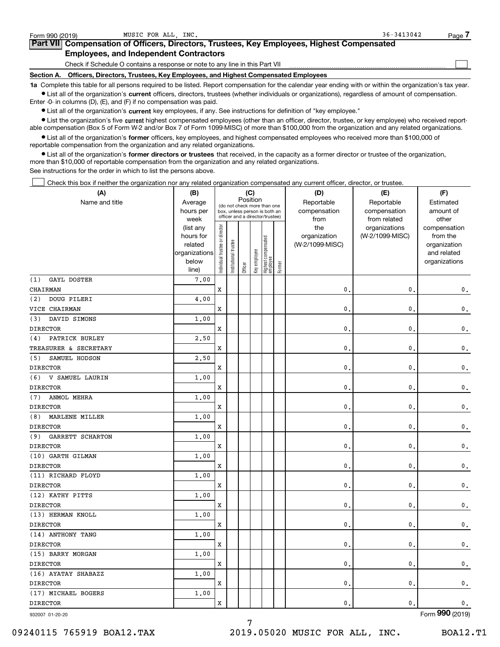| Form 990 (2019) | MUSIC FOR ALL, INC.                                                                        | $36 - 3413042$<br>Page                                                                                                                                     |
|-----------------|--------------------------------------------------------------------------------------------|------------------------------------------------------------------------------------------------------------------------------------------------------------|
|                 | Part VII Compensation of Officers, Directors, Trustees, Key Employees, Highest Compensated |                                                                                                                                                            |
|                 | <b>Employees, and Independent Contractors</b>                                              |                                                                                                                                                            |
|                 | Check if Schedule O contains a response or note to any line in this Part VII               |                                                                                                                                                            |
| Section A.      | Officers, Directors, Trustees, Key Employees, and Highest Compensated Employees            |                                                                                                                                                            |
|                 |                                                                                            | 1a Complete this table for all persons required to be listed. Report compensation for the calendar year ending with or within the organization's tax year. |

**•** List all of the organization's current officers, directors, trustees (whether individuals or organizations), regardless of amount of compensation. Enter -0- in columns (D), (E), and (F) if no compensation was paid.

 $\bullet$  List all of the organization's  $\,$ current key employees, if any. See instructions for definition of "key employee."

**•** List the organization's five current highest compensated employees (other than an officer, director, trustee, or key employee) who received reportable compensation (Box 5 of Form W-2 and/or Box 7 of Form 1099-MISC) of more than \$100,000 from the organization and any related organizations.

**•** List all of the organization's former officers, key employees, and highest compensated employees who received more than \$100,000 of reportable compensation from the organization and any related organizations.

**former directors or trustees**  ¥ List all of the organization's that received, in the capacity as a former director or trustee of the organization, more than \$10,000 of reportable compensation from the organization and any related organizations.

See instructions for the order in which to list the persons above.

Check this box if neither the organization nor any related organization compensated any current officer, director, or trustee.  $\mathcal{L}^{\text{max}}$ 

| (A)                       | (B)               | (C)<br>Position                |                                                                  |         |              |                                 |        | (D)             | (E)                           | (F)                   |
|---------------------------|-------------------|--------------------------------|------------------------------------------------------------------|---------|--------------|---------------------------------|--------|-----------------|-------------------------------|-----------------------|
| Name and title            | Average           |                                | (do not check more than one                                      |         |              |                                 |        | Reportable      | Reportable                    | Estimated             |
|                           | hours per         |                                | box, unless person is both an<br>officer and a director/trustee) |         |              |                                 |        | compensation    | compensation                  | amount of             |
|                           | week<br>(list any |                                |                                                                  |         |              |                                 |        | from<br>the     | from related<br>organizations | other<br>compensation |
|                           | hours for         |                                |                                                                  |         |              |                                 |        | organization    | (W-2/1099-MISC)               | from the              |
|                           | related           |                                |                                                                  |         |              |                                 |        | (W-2/1099-MISC) |                               | organization          |
|                           | organizations     |                                |                                                                  |         |              |                                 |        |                 |                               | and related           |
|                           | below             | Individual trustee or director | Institutional trustee                                            | Officer | Key employee | Highest compensated<br>employee | Former |                 |                               | organizations         |
| (1)<br><b>GAYL DOSTER</b> | line)<br>7.00     |                                |                                                                  |         |              |                                 |        |                 |                               |                       |
| CHAIRMAN                  |                   | x                              |                                                                  |         |              |                                 |        | 0.              | $\mathbf{0}$                  |                       |
| DOUG PILERI<br>(2)        | 4.00              |                                |                                                                  |         |              |                                 |        |                 |                               | $\mathbf 0$ .         |
| VICE CHAIRMAN             |                   | X                              |                                                                  |         |              |                                 |        | $\mathbf{0}$ .  | $\mathbf{0}$                  |                       |
| DAVID SIMONS<br>(3)       | 1,00              |                                |                                                                  |         |              |                                 |        |                 |                               | $\mathbf 0$ .         |
|                           |                   | X                              |                                                                  |         |              |                                 |        | $\mathbf{0}$ .  | $\mathbf{0}$                  |                       |
| <b>DIRECTOR</b>           |                   |                                |                                                                  |         |              |                                 |        |                 |                               | $\mathbf 0$ .         |
| PATRICK BURLEY<br>(4)     | 2.50              |                                |                                                                  |         |              |                                 |        |                 |                               |                       |
| TREASURER & SECRETARY     |                   | x                              |                                                                  |         |              |                                 |        | 0.              | $\mathbf 0$                   | $\mathbf 0$ .         |
| SAMUEL HODSON<br>(5)      | 2,50              |                                |                                                                  |         |              |                                 |        |                 |                               |                       |
| <b>DIRECTOR</b>           |                   | x                              |                                                                  |         |              |                                 |        | 0.              | $\mathbf{0}$                  | $\mathbf 0$ .         |
| V SAMUEL LAURIN<br>(6)    | 1.00              |                                |                                                                  |         |              |                                 |        |                 |                               |                       |
| <b>DIRECTOR</b>           |                   | x                              |                                                                  |         |              |                                 |        | 0.              | $\mathbf{0}$                  | $\mathbf{0}$ .        |
| ANMOL MEHRA<br>(7)        | 1.00              |                                |                                                                  |         |              |                                 |        |                 |                               |                       |
| <b>DIRECTOR</b>           |                   | x                              |                                                                  |         |              |                                 |        | 0.              | $\mathbf{0}$                  | $\mathbf 0$ .         |
| MARLENE MILLER<br>(8)     | 1.00              |                                |                                                                  |         |              |                                 |        |                 |                               |                       |
| <b>DIRECTOR</b>           |                   | x                              |                                                                  |         |              |                                 |        | 0.              | $\mathbf{0}$                  | 0.                    |
| GARRETT SCHARTON<br>(9)   | 1.00              |                                |                                                                  |         |              |                                 |        |                 |                               |                       |
| <b>DIRECTOR</b>           |                   | x                              |                                                                  |         |              |                                 |        | 0.              | $\mathbf{0}$                  | $\mathsf{0}\,.$       |
| (10) GARTH GILMAN         | 1.00              |                                |                                                                  |         |              |                                 |        |                 |                               |                       |
| <b>DIRECTOR</b>           |                   | x                              |                                                                  |         |              |                                 |        | 0.              | $\mathbf{0}$                  | $\mathfrak o$ .       |
| (11) RICHARD FLOYD        | 1.00              |                                |                                                                  |         |              |                                 |        |                 |                               |                       |
| <b>DIRECTOR</b>           |                   | x                              |                                                                  |         |              |                                 |        | 0.              | $\mathbf{0}$                  | 0.                    |
| (12) KATHY PITTS          | 1.00              |                                |                                                                  |         |              |                                 |        |                 |                               |                       |
| <b>DIRECTOR</b>           |                   | x                              |                                                                  |         |              |                                 |        | 0.              | 0                             | $\mathsf{0}\,.$       |
| (13) HERMAN KNOLL         | 1.00              |                                |                                                                  |         |              |                                 |        |                 |                               |                       |
| <b>DIRECTOR</b>           |                   | x                              |                                                                  |         |              |                                 |        | 0.              | $\mathbf{0}$                  | $\mathsf{0}\,.$       |
| (14) ANTHONY TANG         | 1.00              |                                |                                                                  |         |              |                                 |        |                 |                               |                       |
| <b>DIRECTOR</b>           |                   | x                              |                                                                  |         |              |                                 |        | 0.              | $\mathbf{0}$                  | $\mathfrak o$ .       |
| (15) BARRY MORGAN         | 1.00              |                                |                                                                  |         |              |                                 |        |                 |                               |                       |
| <b>DIRECTOR</b>           |                   | x                              |                                                                  |         |              |                                 |        | 0.              | $\mathbf{0}$                  | $\mathbf 0$ .         |
| (16) AYATAY SHABAZZ       | 1.00              |                                |                                                                  |         |              |                                 |        |                 |                               |                       |
| <b>DIRECTOR</b>           |                   | x                              |                                                                  |         |              |                                 |        | $\mathbf{0}$ .  | $\mathbf{0}$                  | $\mathsf{0}\,.$       |
| (17) MICHAEL BOGERS       | 1.00              |                                |                                                                  |         |              |                                 |        |                 |                               |                       |
| <b>DIRECTOR</b>           |                   | X                              |                                                                  |         |              |                                 |        | 0.              | $\mathbf{0}$ .                | $\mathsf{0}\,.$       |

7

932007 01-20-20

Form (2019) **990**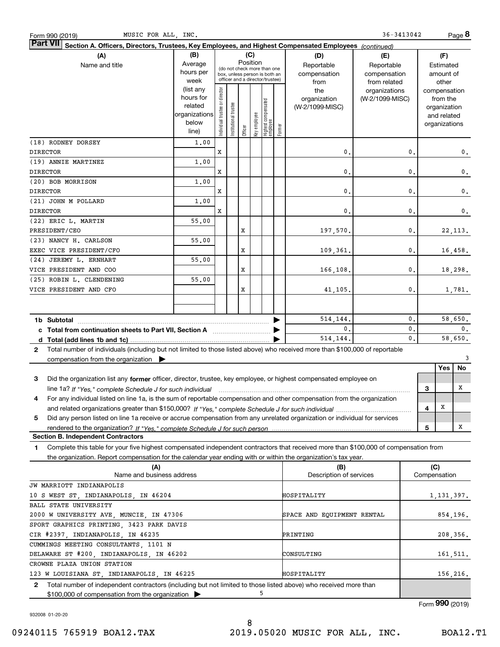| MUSIC FOR ALL, INC.<br>Form 990 (2019)                                                                                                                                              |                   |                                |                       |          |              |                                                                  |        |                            | 36-3413042                       |                |              |                          | Page 8        |
|-------------------------------------------------------------------------------------------------------------------------------------------------------------------------------------|-------------------|--------------------------------|-----------------------|----------|--------------|------------------------------------------------------------------|--------|----------------------------|----------------------------------|----------------|--------------|--------------------------|---------------|
| <b>Part VII</b><br>Section A. Officers, Directors, Trustees <u>, Key Employees, and Highest Compensated Employees (continued)</u>                                                   |                   |                                |                       |          |              |                                                                  |        |                            |                                  |                |              |                          |               |
| (A)                                                                                                                                                                                 | (B)<br>(C)        |                                |                       |          |              |                                                                  |        |                            | (E)                              |                |              | (F)                      |               |
| Name and title                                                                                                                                                                      | Average           |                                |                       | Position |              | (do not check more than one                                      |        | Reportable                 | Reportable                       |                |              | Estimated                |               |
|                                                                                                                                                                                     | hours per         |                                |                       |          |              | box, unless person is both an<br>officer and a director/trustee) |        | compensation               | compensation                     |                |              | amount of                |               |
|                                                                                                                                                                                     | week<br>(list any |                                |                       |          |              |                                                                  |        | from                       | from related                     |                |              | other                    |               |
|                                                                                                                                                                                     | hours for         |                                |                       |          |              |                                                                  |        | the<br>organization        | organizations<br>(W-2/1099-MISC) |                |              | compensation<br>from the |               |
|                                                                                                                                                                                     | related           |                                |                       |          |              |                                                                  |        | (W-2/1099-MISC)            |                                  |                |              | organization             |               |
|                                                                                                                                                                                     | organizations     | Individual trustee or director | Institutional trustee |          |              | Highest compensated<br>employee                                  |        |                            |                                  |                |              | and related              |               |
|                                                                                                                                                                                     | below             |                                |                       |          | Key employee |                                                                  |        |                            |                                  |                |              | organizations            |               |
|                                                                                                                                                                                     | line)             |                                |                       | Officer  |              |                                                                  | Former |                            |                                  |                |              |                          |               |
| (18) RODNEY DORSEY                                                                                                                                                                  | 1,00              |                                |                       |          |              |                                                                  |        |                            |                                  |                |              |                          |               |
| <b>DIRECTOR</b>                                                                                                                                                                     |                   | X                              |                       |          |              |                                                                  |        | $\mathbf{0}$               |                                  | 0.             |              |                          | 0.            |
| (19) ANNIE MARTINEZ                                                                                                                                                                 | 1,00              |                                |                       |          |              |                                                                  |        |                            |                                  |                |              |                          |               |
| <b>DIRECTOR</b>                                                                                                                                                                     |                   | X                              |                       |          |              |                                                                  |        | $\mathbf{0}$ .             |                                  | $\mathbf{0}$ . |              |                          | $\mathbf 0$ . |
| (20) BOB MORRISON                                                                                                                                                                   | 1,00              |                                |                       |          |              |                                                                  |        |                            |                                  |                |              |                          |               |
| <b>DIRECTOR</b>                                                                                                                                                                     |                   | X                              |                       |          |              |                                                                  |        | $\mathbf{0}$ .             |                                  | $\mathbf{0}$ . |              |                          | $\mathbf 0$ . |
| (21) JOHN M POLLARD                                                                                                                                                                 | 1,00              |                                |                       |          |              |                                                                  |        |                            |                                  |                |              |                          |               |
| <b>DIRECTOR</b>                                                                                                                                                                     |                   | X                              |                       |          |              |                                                                  |        | 0.                         |                                  | $\mathbf{0}$ . |              |                          | 0.            |
| (22) ERIC L. MARTIN                                                                                                                                                                 | 55.00             |                                |                       |          |              |                                                                  |        |                            |                                  |                |              |                          |               |
| PRESIDENT/CEO                                                                                                                                                                       |                   |                                |                       | X        |              |                                                                  |        | 197,570.                   |                                  | 0.             |              |                          | 22, 113.      |
| (23) NANCY H. CARLSON                                                                                                                                                               | 55.00             |                                |                       |          |              |                                                                  |        |                            |                                  |                |              |                          |               |
| EXEC VICE PRESIDENT/CFO                                                                                                                                                             |                   |                                |                       | X        |              |                                                                  |        | 109,361.                   |                                  | 0.             |              |                          | 16,458.       |
| (24) JEREMY L. ERNHART                                                                                                                                                              | 55.00             |                                |                       |          |              |                                                                  |        |                            |                                  |                |              |                          |               |
| VICE PRESIDENT AND COO                                                                                                                                                              |                   |                                |                       | X        |              |                                                                  |        | 166,108.                   |                                  | 0.             |              |                          | 18,298.       |
| (25) ROBIN L. CLENDENING                                                                                                                                                            | 55.00             |                                |                       |          |              |                                                                  |        |                            |                                  |                |              |                          |               |
| VICE PRESIDENT AND CFO                                                                                                                                                              |                   |                                |                       | X        |              |                                                                  |        | 41,105.                    |                                  | 0.             |              |                          | 1,781.        |
|                                                                                                                                                                                     |                   |                                |                       |          |              |                                                                  |        |                            |                                  |                |              |                          |               |
|                                                                                                                                                                                     |                   |                                |                       |          |              |                                                                  |        |                            |                                  |                |              |                          |               |
| 1b Subtotal                                                                                                                                                                         |                   |                                |                       |          |              |                                                                  |        | 514,144.                   |                                  | 0.             |              |                          | 58,650.       |
|                                                                                                                                                                                     |                   |                                |                       |          |              |                                                                  |        | 0.                         |                                  | $\mathbf{0}$ . |              |                          | 0.            |
|                                                                                                                                                                                     |                   |                                |                       |          |              |                                                                  |        | 514,144.                   |                                  | $\mathbf{0}$ . |              |                          | 58,650.       |
| Total number of individuals (including but not limited to those listed above) who received more than \$100,000 of reportable<br>$\mathbf{2}$                                        |                   |                                |                       |          |              |                                                                  |        |                            |                                  |                |              |                          |               |
| compensation from the organization $\blacktriangleright$                                                                                                                            |                   |                                |                       |          |              |                                                                  |        |                            |                                  |                |              |                          | 3             |
|                                                                                                                                                                                     |                   |                                |                       |          |              |                                                                  |        |                            |                                  |                |              | Yes                      | No            |
| з<br>Did the organization list any former officer, director, trustee, key employee, or highest compensated employee on                                                              |                   |                                |                       |          |              |                                                                  |        |                            |                                  |                |              |                          |               |
| line 1a? If "Yes," complete Schedule J for such individual manufactured contained and the Yes," complete Schedule J for such individual                                             |                   |                                |                       |          |              |                                                                  |        |                            |                                  |                | 3            |                          | х             |
| For any individual listed on line 1a, is the sum of reportable compensation and other compensation from the organization<br>4                                                       |                   |                                |                       |          |              |                                                                  |        |                            |                                  |                |              |                          |               |
|                                                                                                                                                                                     |                   |                                |                       |          |              |                                                                  |        |                            |                                  |                | 4            | X                        |               |
| Did any person listed on line 1a receive or accrue compensation from any unrelated organization or individual for services<br>5                                                     |                   |                                |                       |          |              |                                                                  |        |                            |                                  |                |              |                          |               |
|                                                                                                                                                                                     |                   |                                |                       |          |              |                                                                  |        |                            |                                  |                | 5            |                          | Χ             |
| <b>Section B. Independent Contractors</b>                                                                                                                                           |                   |                                |                       |          |              |                                                                  |        |                            |                                  |                |              |                          |               |
| Complete this table for your five highest compensated independent contractors that received more than \$100,000 of compensation from<br>1                                           |                   |                                |                       |          |              |                                                                  |        |                            |                                  |                |              |                          |               |
| the organization. Report compensation for the calendar year ending with or within the organization's tax year.                                                                      |                   |                                |                       |          |              |                                                                  |        |                            |                                  |                |              |                          |               |
| (A)<br>Name and business address                                                                                                                                                    |                   |                                |                       |          |              |                                                                  |        | (B)                        |                                  |                | (C)          |                          |               |
|                                                                                                                                                                                     |                   |                                |                       |          |              |                                                                  |        | Description of services    |                                  |                | Compensation |                          |               |
| JW MARRIOTT INDIANAPOLIS                                                                                                                                                            |                   |                                |                       |          |              |                                                                  |        |                            |                                  |                |              |                          |               |
| 10 S WEST ST, INDIANAPOLIS, IN 46204                                                                                                                                                |                   |                                |                       |          |              |                                                                  |        | HOSPITALITY                |                                  |                |              |                          | 1,131,397.    |
| BALL STATE UNIVERSITY                                                                                                                                                               |                   |                                |                       |          |              |                                                                  |        |                            |                                  |                |              |                          |               |
| 2000 W UNIVERSITY AVE, MUNCIE, IN 47306                                                                                                                                             |                   |                                |                       |          |              |                                                                  |        | SPACE AND EQUIPMENT RENTAL |                                  |                |              |                          | 854,196.      |
| SPORT GRAPHICS PRINTING, 3423 PARK DAVIS                                                                                                                                            |                   |                                |                       |          |              |                                                                  |        |                            |                                  |                |              |                          |               |
| CIR #2397, INDIANAPOLIS, IN 46235                                                                                                                                                   |                   |                                |                       |          |              |                                                                  |        | PRINTING                   |                                  |                |              |                          | 208,356.      |
| CUMMINGS MEETING CONSULTANTS, 1101 N                                                                                                                                                |                   |                                |                       |          |              |                                                                  |        |                            |                                  |                |              |                          |               |
| DELAWARE ST #200, INDIANAPOLIS, IN 46202                                                                                                                                            |                   |                                |                       |          |              |                                                                  |        | CONSULTING                 |                                  |                |              |                          | 161,511.      |
| CROWNE PLAZA UNION STATION                                                                                                                                                          |                   |                                |                       |          |              |                                                                  |        |                            |                                  |                |              |                          |               |
| 123 W LOUISIANA ST, INDIANAPOLIS, IN 46225                                                                                                                                          |                   |                                |                       |          |              |                                                                  |        | HOSPITALITY                |                                  |                |              |                          | 156,216.      |
| Total number of independent contractors (including but not limited to those listed above) who received more than<br>$\mathbf{2}$<br>\$100,000 of compensation from the organization |                   |                                |                       |          |              | 5                                                                |        |                            |                                  |                |              |                          |               |
|                                                                                                                                                                                     |                   |                                |                       |          |              |                                                                  |        |                            |                                  |                |              |                          |               |

932008 01-20-20

Form (2019) **990**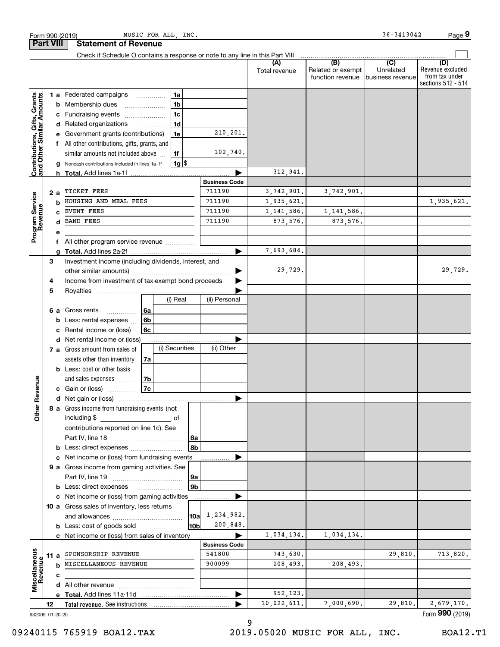|                                                                                                                                                                          |                 | MUSIC FOR ALL, INC.                                                           |                      |               |                          | 36-3413042                  | Page 9                               |
|--------------------------------------------------------------------------------------------------------------------------------------------------------------------------|-----------------|-------------------------------------------------------------------------------|----------------------|---------------|--------------------------|-----------------------------|--------------------------------------|
|                                                                                                                                                                          |                 | <b>Statement of Revenue</b>                                                   |                      |               |                          |                             |                                      |
|                                                                                                                                                                          |                 | Check if Schedule O contains a response or note to any line in this Part VIII |                      | (A)           | (B)<br>Related or exempt | $\overline{C}$<br>Unrelated | (D)<br>Revenue excluded              |
|                                                                                                                                                                          |                 |                                                                               |                      | Total revenue | function revenue         | business revenue            | from tax under<br>sections 512 - 514 |
|                                                                                                                                                                          |                 | 1a<br>1 a Federated campaigns<br>$\cdots$                                     |                      |               |                          |                             |                                      |
|                                                                                                                                                                          | b               | 1 <sub>b</sub><br>Membership dues                                             |                      |               |                          |                             |                                      |
| Form 990 (2019)<br><b>Part VIII</b><br><b>Contributions, Gifts, Grants</b><br>and Other Similar Amounts<br>Program Service<br>Revenue<br>evenue<br>5<br>venue<br>Other R | с               | 1 <sub>c</sub><br>Fundraising events                                          |                      |               |                          |                             |                                      |
|                                                                                                                                                                          |                 | 1 <sub>d</sub><br>d Related organizations<br>.                                |                      |               |                          |                             |                                      |
|                                                                                                                                                                          |                 | 1e<br>Government grants (contributions)                                       | 210,201.             |               |                          |                             |                                      |
|                                                                                                                                                                          |                 | f All other contributions, gifts, grants, and                                 |                      |               |                          |                             |                                      |
|                                                                                                                                                                          |                 | similar amounts not included above<br>1f                                      | 102,740.             |               |                          |                             |                                      |
|                                                                                                                                                                          |                 | $1g$ \$<br>Noncash contributions included in lines 1a-1f                      |                      | 312,941.      |                          |                             |                                      |
|                                                                                                                                                                          |                 |                                                                               | <b>Business Code</b> |               |                          |                             |                                      |
|                                                                                                                                                                          | 2 a             | TICKET FEES                                                                   | 711190               | 3,742,901.    | 3,742,901.               |                             |                                      |
|                                                                                                                                                                          | b               | HOUSING AND MEAL FEES                                                         | 711190               | 1,935,621.    |                          |                             | 1,935,621.                           |
|                                                                                                                                                                          |                 | EVENT FEES                                                                    | 711190               | 1, 141, 586.  | 1, 141, 586.             |                             |                                      |
|                                                                                                                                                                          |                 | <b>BAND FEES</b>                                                              | 711190               | 873,576.      | 873,576.                 |                             |                                      |
|                                                                                                                                                                          | е               |                                                                               |                      |               |                          |                             |                                      |
|                                                                                                                                                                          |                 | All other program service revenue                                             |                      |               |                          |                             |                                      |
|                                                                                                                                                                          | a               |                                                                               |                      | 7,693,684.    |                          |                             |                                      |
|                                                                                                                                                                          | 3               | Investment income (including dividends, interest, and                         |                      |               |                          |                             |                                      |
|                                                                                                                                                                          |                 |                                                                               |                      | 29,729.       |                          |                             | 29,729.                              |
|                                                                                                                                                                          | 4               | Income from investment of tax-exempt bond proceeds                            |                      |               |                          |                             |                                      |
|                                                                                                                                                                          |                 | (i) Real                                                                      | (ii) Personal        |               |                          |                             |                                      |
|                                                                                                                                                                          |                 |                                                                               |                      |               |                          |                             |                                      |
|                                                                                                                                                                          | 6а              | Gross rents<br>6a<br>.<br>6b<br>Less: rental expenses                         |                      |               |                          |                             |                                      |
|                                                                                                                                                                          | b<br>c          | 6c<br>Rental income or (loss)                                                 |                      |               |                          |                             |                                      |
|                                                                                                                                                                          | d               | Net rental income or (loss)                                                   |                      |               |                          |                             |                                      |
|                                                                                                                                                                          |                 | (i) Securities<br>7 a Gross amount from sales of                              | (ii) Other           |               |                          |                             |                                      |
|                                                                                                                                                                          |                 | assets other than inventory<br>7a                                             |                      |               |                          |                             |                                      |
|                                                                                                                                                                          |                 | <b>b</b> Less: cost or other basis                                            |                      |               |                          |                             |                                      |
|                                                                                                                                                                          |                 | and sales expenses<br>7b                                                      |                      |               |                          |                             |                                      |
|                                                                                                                                                                          |                 | 7c<br>c Gain or (loss)                                                        |                      |               |                          |                             |                                      |
|                                                                                                                                                                          |                 |                                                                               |                      |               |                          |                             |                                      |
|                                                                                                                                                                          |                 | 8 a Gross income from fundraising events (not                                 |                      |               |                          |                             |                                      |
|                                                                                                                                                                          |                 | including \$<br>of                                                            |                      |               |                          |                             |                                      |
|                                                                                                                                                                          |                 | contributions reported on line 1c). See                                       |                      |               |                          |                             |                                      |
|                                                                                                                                                                          |                 | 8а                                                                            |                      |               |                          |                             |                                      |
|                                                                                                                                                                          |                 | 8b                                                                            |                      |               |                          |                             |                                      |
|                                                                                                                                                                          |                 | c Net income or (loss) from fundraising events                                |                      |               |                          |                             |                                      |
|                                                                                                                                                                          |                 | 9 a Gross income from gaming activities. See                                  |                      |               |                          |                             |                                      |
|                                                                                                                                                                          |                 | 9а<br>9 <sub>b</sub>                                                          |                      |               |                          |                             |                                      |
|                                                                                                                                                                          |                 | c Net income or (loss) from gaming activities                                 |                      |               |                          |                             |                                      |
|                                                                                                                                                                          |                 | 10 a Gross sales of inventory, less returns                                   |                      |               |                          |                             |                                      |
|                                                                                                                                                                          |                 | 10a                                                                           | 1,234,982.           |               |                          |                             |                                      |
|                                                                                                                                                                          |                 | 10b<br><b>b</b> Less: cost of goods sold                                      | 200,848.             |               |                          |                             |                                      |
|                                                                                                                                                                          |                 | c Net income or (loss) from sales of inventory                                |                      | 1,034,134.    | 1,034,134.               |                             |                                      |
|                                                                                                                                                                          |                 |                                                                               | <b>Business Code</b> |               |                          |                             |                                      |
|                                                                                                                                                                          | 11a             | SPONSORSHIP REVENUE                                                           | 541800               | 743,630.      |                          | 29,810.                     | 713,820.                             |
| Miscellaneous                                                                                                                                                            |                 | MISCELLANEOUS REVENUE                                                         | 900099               | 208,493.      | 208,493.                 |                             |                                      |
| Revenue                                                                                                                                                                  | c               |                                                                               |                      |               |                          |                             |                                      |
|                                                                                                                                                                          |                 |                                                                               |                      |               |                          |                             |                                      |
|                                                                                                                                                                          |                 |                                                                               |                      | 952,123.      |                          |                             |                                      |
|                                                                                                                                                                          | 12              | <b>Total revenue.</b> See instructions                                        |                      | 10,022,611.   | 7,000,690.               | 29,810.                     | 2,679,170.                           |
|                                                                                                                                                                          | 932009 01-20-20 |                                                                               |                      |               |                          |                             | Form 990 (2019)                      |

9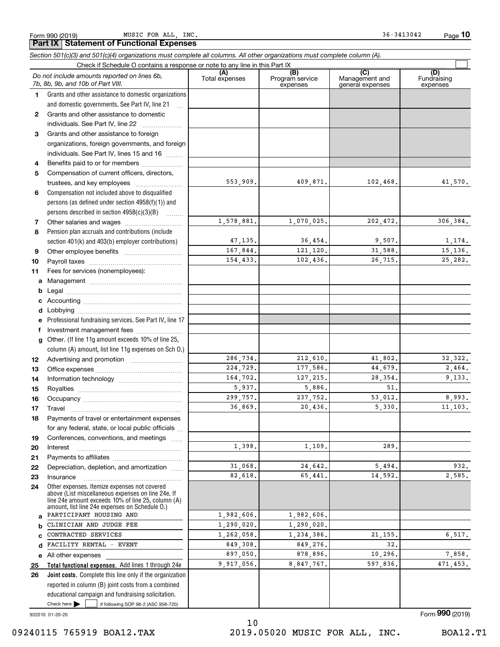Form 990 (2019) Page MUSIC FOR ALL, INC. 36-3413042 **Part IX Statement of Functional Expenses**

|              | Section 501(c)(3) and 501(c)(4) organizations must complete all columns. All other organizations must complete column (A).                                                                                 |                       |                                    |                                    |                                |
|--------------|------------------------------------------------------------------------------------------------------------------------------------------------------------------------------------------------------------|-----------------------|------------------------------------|------------------------------------|--------------------------------|
|              | Check if Schedule O contains a response or note to any line in this Part IX                                                                                                                                |                       |                                    | $\overline{C}$                     |                                |
|              | Do not include amounts reported on lines 6b,<br>7b, 8b, 9b, and 10b of Part VIII.                                                                                                                          | (A)<br>Total expenses | (B)<br>Program service<br>expenses | Management and<br>general expenses | (D)<br>Fundraising<br>expenses |
| 1.           | Grants and other assistance to domestic organizations                                                                                                                                                      |                       |                                    |                                    |                                |
|              | and domestic governments. See Part IV, line 21                                                                                                                                                             |                       |                                    |                                    |                                |
| $\mathbf{2}$ | Grants and other assistance to domestic                                                                                                                                                                    |                       |                                    |                                    |                                |
|              | individuals. See Part IV, line 22                                                                                                                                                                          |                       |                                    |                                    |                                |
| 3            | Grants and other assistance to foreign                                                                                                                                                                     |                       |                                    |                                    |                                |
|              | organizations, foreign governments, and foreign                                                                                                                                                            |                       |                                    |                                    |                                |
|              | individuals. See Part IV, lines 15 and 16                                                                                                                                                                  |                       |                                    |                                    |                                |
| 4            | Benefits paid to or for members                                                                                                                                                                            |                       |                                    |                                    |                                |
| 5            | Compensation of current officers, directors,                                                                                                                                                               |                       |                                    |                                    |                                |
|              | trustees, and key employees                                                                                                                                                                                | 553,909.              | 409,871.                           | 102, 468.                          | 41,570.                        |
| 6            | Compensation not included above to disqualified                                                                                                                                                            |                       |                                    |                                    |                                |
|              | persons (as defined under section 4958(f)(1)) and                                                                                                                                                          |                       |                                    |                                    |                                |
|              | persons described in section 4958(c)(3)(B)                                                                                                                                                                 |                       |                                    |                                    |                                |
| 7            |                                                                                                                                                                                                            | 1,578,881.            | 1,070,025.                         | 202,472.                           | 306,384.                       |
| 8            | Pension plan accruals and contributions (include                                                                                                                                                           |                       |                                    |                                    |                                |
|              | section 401(k) and 403(b) employer contributions)                                                                                                                                                          | 47, 135.              | 36,454.                            | 9,507.                             | 1,174.                         |
| 9            |                                                                                                                                                                                                            | 167,844.              | 121,120.                           | 31,588.                            | 15,136.                        |
| 10           |                                                                                                                                                                                                            | 154,433.              | 102,436.                           | 26,715.                            | 25,282.                        |
| 11           | Fees for services (nonemployees):                                                                                                                                                                          |                       |                                    |                                    |                                |
| a            |                                                                                                                                                                                                            |                       |                                    |                                    |                                |
| b            |                                                                                                                                                                                                            |                       |                                    |                                    |                                |
| c            |                                                                                                                                                                                                            |                       |                                    |                                    |                                |
| d            |                                                                                                                                                                                                            |                       |                                    |                                    |                                |
|              | Professional fundraising services. See Part IV, line 17                                                                                                                                                    |                       |                                    |                                    |                                |
| f            | Investment management fees                                                                                                                                                                                 |                       |                                    |                                    |                                |
| g            | Other. (If line 11g amount exceeds 10% of line 25,                                                                                                                                                         |                       |                                    |                                    |                                |
|              | column (A) amount, list line 11g expenses on Sch 0.)                                                                                                                                                       |                       |                                    |                                    |                                |
| 12           |                                                                                                                                                                                                            | 286,734.              | 212,610.                           | 41,802.                            | 32, 322.                       |
| 13           |                                                                                                                                                                                                            | 224,729.              | 177,586.                           | 44,679.                            | 2,464.                         |
| 14           |                                                                                                                                                                                                            | 164.702.              | 127, 215.                          | 28,354.                            | 9,133.                         |
| 15           |                                                                                                                                                                                                            | 5,937.                | 5,886.                             | 51.                                |                                |
| 16           |                                                                                                                                                                                                            | 299,757.              | 237,752.                           | 53,012.                            | 8,993.                         |
| 17           |                                                                                                                                                                                                            | 36,869.               | 20,436.                            | 5,330.                             | 11, 103.                       |
| 18           | Payments of travel or entertainment expenses                                                                                                                                                               |                       |                                    |                                    |                                |
|              | for any federal, state, or local public officials                                                                                                                                                          |                       |                                    |                                    |                                |
| 19           | Conferences, conventions, and meetings                                                                                                                                                                     |                       |                                    |                                    |                                |
| 20           | Interest                                                                                                                                                                                                   | 1,398.                | 1,109.                             | 289.                               |                                |
| 21           |                                                                                                                                                                                                            |                       |                                    |                                    |                                |
| 22           | Depreciation, depletion, and amortization                                                                                                                                                                  | 31,068.               | 24,642.                            | 5,494.                             | 932.                           |
| 23           | Insurance                                                                                                                                                                                                  | 82.618.               | 65,441.                            | 14,592.                            | 2,585.                         |
| 24           | Other expenses. Itemize expenses not covered<br>above (List miscellaneous expenses on line 24e. If<br>line 24e amount exceeds 10% of line 25, column (A)<br>amount, list line 24e expenses on Schedule O.) |                       |                                    |                                    |                                |
| a            | PARTICIPANT HOUSING AND                                                                                                                                                                                    | 1,982,606.            | 1,982,606.                         |                                    |                                |
| b            | CLINICIAN AND JUDGE FEE                                                                                                                                                                                    | 1,290,020.            | 1,290,020.                         |                                    |                                |
| c            | CONTRACTED SERVICES                                                                                                                                                                                        | 1,262,058.            | 1,234,386.                         | 21, 155.                           | 6, 517.                        |
| d            | FACILITY RENTAL - EVENT                                                                                                                                                                                    | 849,308.              | 849,276.                           | 32.                                |                                |
|              | e All other expenses                                                                                                                                                                                       | 897,050.              | 878,896.                           | 10,296.                            | 7,858.                         |
| 25           | Total functional expenses. Add lines 1 through 24e                                                                                                                                                         | 9,917,056.            | 8,847,767.                         | 597,836.                           | 471,453.                       |
| 26           | Joint costs. Complete this line only if the organization                                                                                                                                                   |                       |                                    |                                    |                                |
|              | reported in column (B) joint costs from a combined                                                                                                                                                         |                       |                                    |                                    |                                |
|              | educational campaign and fundraising solicitation.                                                                                                                                                         |                       |                                    |                                    |                                |
|              | Check here $\blacktriangleright$<br>if following SOP 98-2 (ASC 958-720)                                                                                                                                    |                       |                                    |                                    |                                |

932010 01-20-20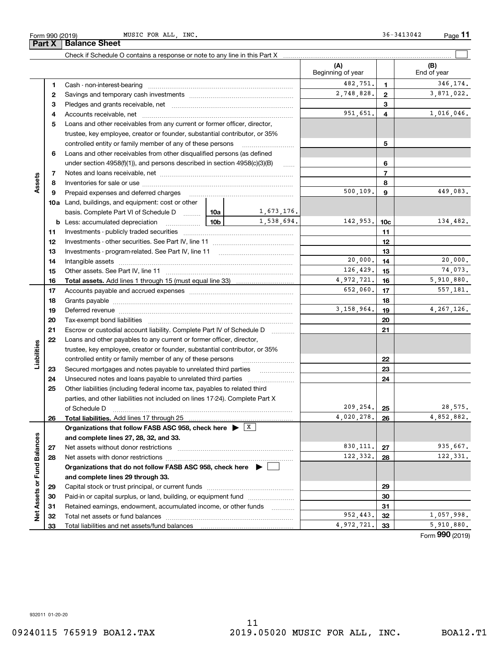MUSIC FOR ALL, INC. 36-3413042

|                             |          | Check if Schedule O contains a response or note to any line in this Part X                                                                                                                                                     |           |                     |                          |                         |                                   |
|-----------------------------|----------|--------------------------------------------------------------------------------------------------------------------------------------------------------------------------------------------------------------------------------|-----------|---------------------|--------------------------|-------------------------|-----------------------------------|
|                             |          |                                                                                                                                                                                                                                |           |                     | (A)<br>Beginning of year |                         | (B)<br>End of year                |
|                             | 1        |                                                                                                                                                                                                                                |           |                     | 482,751.                 | 1                       | 346,174.                          |
|                             | 2        |                                                                                                                                                                                                                                |           |                     | 2,748,828.               | $\mathbf{2}$            | 3,871,022.                        |
|                             | 3        |                                                                                                                                                                                                                                |           |                     |                          | 3                       |                                   |
|                             | 4        |                                                                                                                                                                                                                                |           |                     | 951,651.                 | $\overline{\mathbf{4}}$ | 1,016,046.                        |
|                             | 5        | Loans and other receivables from any current or former officer, director,                                                                                                                                                      |           |                     |                          |                         |                                   |
|                             |          | trustee, key employee, creator or founder, substantial contributor, or 35%                                                                                                                                                     |           |                     |                          |                         |                                   |
|                             |          | controlled entity or family member of any of these persons                                                                                                                                                                     |           |                     |                          | 5                       |                                   |
|                             | 6        | Loans and other receivables from other disqualified persons (as defined                                                                                                                                                        |           |                     |                          |                         |                                   |
|                             |          | under section $4958(f)(1)$ , and persons described in section $4958(c)(3)(B)$                                                                                                                                                  |           | 6                   |                          |                         |                                   |
|                             | 7        |                                                                                                                                                                                                                                |           |                     |                          | $\overline{7}$          |                                   |
| Assets                      | 8        |                                                                                                                                                                                                                                |           |                     |                          | 8                       |                                   |
|                             | 9        | Prepaid expenses and deferred charges                                                                                                                                                                                          |           |                     | 500, 109.                | 9                       | 449,083.                          |
|                             |          | <b>10a</b> Land, buildings, and equipment: cost or other                                                                                                                                                                       |           |                     |                          |                         |                                   |
|                             |          | basis. Complete Part VI of Schedule D    10a                                                                                                                                                                                   |           | 1,673,176.          |                          |                         |                                   |
|                             |          | <u>10b</u><br><b>b</b> Less: accumulated depreciation                                                                                                                                                                          |           | 1,538,694.          | 142,953.                 | 10 <sub>c</sub>         | 134,482.                          |
|                             | 11       |                                                                                                                                                                                                                                |           |                     |                          | 11                      |                                   |
|                             | 12       |                                                                                                                                                                                                                                |           |                     |                          | 12                      |                                   |
|                             | 13       |                                                                                                                                                                                                                                |           |                     |                          | 13                      |                                   |
|                             | 14       |                                                                                                                                                                                                                                |           |                     | 20,000.                  | 14                      | 20,000.                           |
|                             | 15       |                                                                                                                                                                                                                                | 126, 429. | 15                  | 74,073.                  |                         |                                   |
|                             | 16       |                                                                                                                                                                                                                                |           |                     | 4,972,721.               | 16                      | 5,910,880.                        |
|                             | 17       |                                                                                                                                                                                                                                |           |                     | 652,060.                 | 17                      | 557,181.                          |
|                             | 18       |                                                                                                                                                                                                                                |           |                     | 18                       |                         |                                   |
|                             | 19       | Deferred revenue manual contracts and contracts are all the contracts and contracts are contracted and contracts are contracted and contract are contracted and contract are contracted and contract are contracted and contra |           |                     | 3, 158, 964.             | 19                      | 4, 267, 126.                      |
|                             | 20       |                                                                                                                                                                                                                                |           |                     |                          | 20                      |                                   |
|                             | 21       | Escrow or custodial account liability. Complete Part IV of Schedule D                                                                                                                                                          |           | 1.1.1.1.1.1.1.1.1.1 |                          | 21                      |                                   |
|                             | 22       | Loans and other payables to any current or former officer, director,                                                                                                                                                           |           |                     |                          |                         |                                   |
| Liabilities                 |          | trustee, key employee, creator or founder, substantial contributor, or 35%                                                                                                                                                     |           |                     |                          |                         |                                   |
|                             |          | controlled entity or family member of any of these persons                                                                                                                                                                     |           |                     |                          | 22                      |                                   |
|                             | 23       |                                                                                                                                                                                                                                |           |                     |                          | 23                      |                                   |
|                             | 24       | Unsecured notes and loans payable to unrelated third parties                                                                                                                                                                   |           |                     |                          | 24                      |                                   |
|                             | 25       | Other liabilities (including federal income tax, payables to related third                                                                                                                                                     |           |                     |                          |                         |                                   |
|                             |          | parties, and other liabilities not included on lines 17-24). Complete Part X                                                                                                                                                   |           |                     |                          |                         |                                   |
|                             |          | of Schedule D                                                                                                                                                                                                                  |           |                     | 209, 254.<br>4,020,278.  | 25                      | 28,575.<br>$\overline{4,852,882}$ |
|                             | 26       | Total liabilities. Add lines 17 through 25                                                                                                                                                                                     |           |                     |                          | 26                      |                                   |
|                             |          | Organizations that follow FASB ASC 958, check here $\blacktriangleright \begin{array}{c} \perp X \end{array}$                                                                                                                  |           |                     |                          |                         |                                   |
|                             |          | and complete lines 27, 28, 32, and 33.<br>Net assets without donor restrictions                                                                                                                                                |           |                     | 830, 111.                | 27                      | 935,667.                          |
|                             | 27<br>28 |                                                                                                                                                                                                                                |           |                     | 122,332.                 | 28                      | 122,331.                          |
|                             |          | Net assets with donor restrictions<br>Organizations that do not follow FASB ASC 958, check here $\blacktriangleright$                                                                                                          |           |                     |                          |                         |                                   |
|                             |          | and complete lines 29 through 33.                                                                                                                                                                                              |           |                     |                          |                         |                                   |
|                             | 29       |                                                                                                                                                                                                                                |           |                     |                          | 29                      |                                   |
|                             | 30       | Paid-in or capital surplus, or land, building, or equipment fund                                                                                                                                                               |           |                     |                          | 30                      |                                   |
|                             | 31       | Retained earnings, endowment, accumulated income, or other funds                                                                                                                                                               |           |                     |                          | 31                      |                                   |
| Net Assets or Fund Balances | 32       |                                                                                                                                                                                                                                |           |                     | 952,443.                 | 32                      | 1,057,998.                        |
|                             | 33       | Total liabilities and net assets/fund balances                                                                                                                                                                                 |           |                     | 4,972,721.               | 33                      | 5,910,880.                        |
|                             |          |                                                                                                                                                                                                                                |           |                     |                          |                         |                                   |

Form (2019) **990**

932011 01-20-20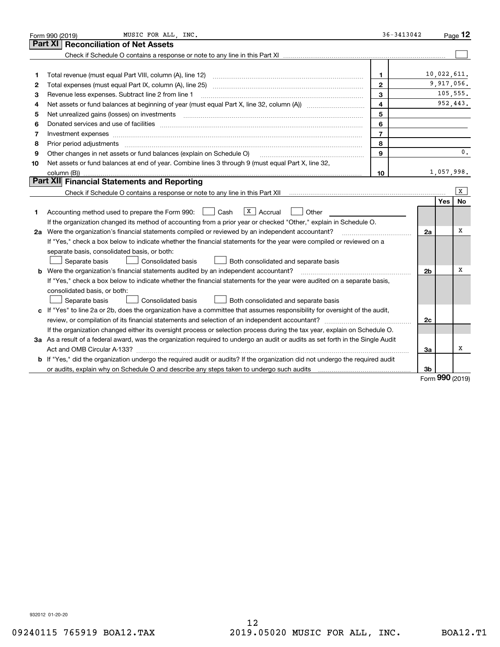|    | MUSIC FOR ALL, INC.<br>Form 990 (2019)                                                                                                                                                                                         | $36 - 3413042$ |                |               | Page $12$ |
|----|--------------------------------------------------------------------------------------------------------------------------------------------------------------------------------------------------------------------------------|----------------|----------------|---------------|-----------|
|    | <b>Reconciliation of Net Assets</b><br>Part XI                                                                                                                                                                                 |                |                |               |           |
|    |                                                                                                                                                                                                                                |                |                |               |           |
|    |                                                                                                                                                                                                                                |                |                |               |           |
| 1  | Total revenue (must equal Part VIII, column (A), line 12)                                                                                                                                                                      | 1.             |                | 10,022,611.   |           |
| 2  |                                                                                                                                                                                                                                | $\mathbf{2}$   |                | 9,917,056.    |           |
| 3  | Revenue less expenses. Subtract line 2 from line 1                                                                                                                                                                             | 3              |                |               | 105,555.  |
| 4  |                                                                                                                                                                                                                                | $\overline{4}$ |                |               | 952,443.  |
| 5  | Net unrealized gains (losses) on investments [11] matter continuum matter is a set of the state of the state of the state of the state of the state of the state of the state of the state of the state of the state of the st | 5              |                |               |           |
| 6  |                                                                                                                                                                                                                                | 6              |                |               |           |
| 7  | Investment expenses www.communication.com/www.communication.com/www.communication.com/www.communication.com/ww                                                                                                                 | $\overline{7}$ |                |               |           |
| 8  | Prior period adjustments                                                                                                                                                                                                       | 8              |                |               |           |
| 9  | Other changes in net assets or fund balances (explain on Schedule O)                                                                                                                                                           | $\mathbf{Q}$   |                |               | 0.        |
| 10 | Net assets or fund balances at end of year. Combine lines 3 through 9 (must equal Part X, line 32,                                                                                                                             |                |                |               |           |
|    | column (B))                                                                                                                                                                                                                    | 10             |                | 1,057,998.    |           |
|    | Part XII Financial Statements and Reporting                                                                                                                                                                                    |                |                |               |           |
|    | Check if Schedule O contains a response or note to any line in this Part XII [11] [12] Check if Schedule O contains a response or note to any line in this Part XII                                                            |                |                |               | x         |
|    |                                                                                                                                                                                                                                |                |                | Yes           | No        |
| 1. | $\sqrt{X}$ Accrual<br>Accounting method used to prepare the Form 990: <u>[</u> Cash<br>Other                                                                                                                                   |                |                |               |           |
|    | If the organization changed its method of accounting from a prior year or checked "Other," explain in Schedule O.                                                                                                              |                |                |               |           |
|    | 2a Were the organization's financial statements compiled or reviewed by an independent accountant?                                                                                                                             |                | 2a             |               | х         |
|    | If "Yes," check a box below to indicate whether the financial statements for the year were compiled or reviewed on a                                                                                                           |                |                |               |           |
|    | separate basis, consolidated basis, or both:                                                                                                                                                                                   |                |                |               |           |
|    | Separate basis<br><b>Consolidated basis</b><br>Both consolidated and separate basis                                                                                                                                            |                |                |               |           |
|    | <b>b</b> Were the organization's financial statements audited by an independent accountant?                                                                                                                                    |                | 2 <sub>b</sub> |               | х         |
|    | If "Yes," check a box below to indicate whether the financial statements for the year were audited on a separate basis,                                                                                                        |                |                |               |           |
|    | consolidated basis, or both:                                                                                                                                                                                                   |                |                |               |           |
|    | Separate basis<br>Consolidated basis<br>Both consolidated and separate basis                                                                                                                                                   |                |                |               |           |
|    | c If "Yes" to line 2a or 2b, does the organization have a committee that assumes responsibility for oversight of the audit,                                                                                                    |                |                |               |           |
|    | review, or compilation of its financial statements and selection of an independent accountant?                                                                                                                                 |                | 2c             |               |           |
|    | If the organization changed either its oversight process or selection process during the tax year, explain on Schedule O.                                                                                                      |                |                |               |           |
|    | 3a As a result of a federal award, was the organization required to undergo an audit or audits as set forth in the Single Audit                                                                                                |                |                |               |           |
|    |                                                                                                                                                                                                                                |                | 3a             |               | x         |
|    | b If "Yes," did the organization undergo the required audit or audits? If the organization did not undergo the required audit                                                                                                  |                |                |               |           |
|    |                                                                                                                                                                                                                                |                | 3b             | $000 \approx$ |           |

Form (2019) **990**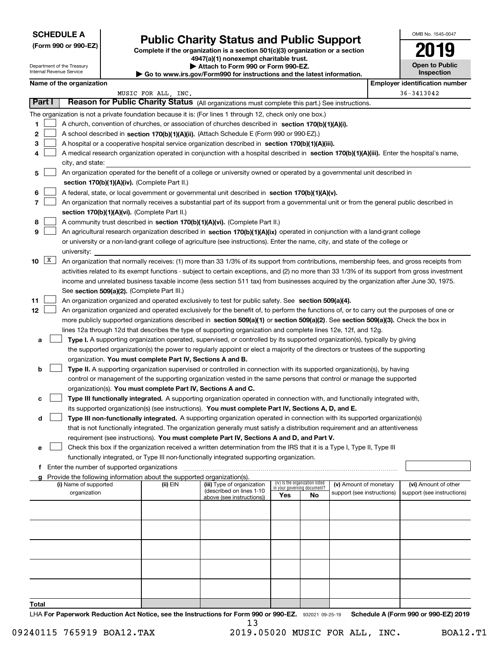Department of the Treasury Internal Revenue Service

**Total**

|  |  |  | (Form 990 or 990-EZ) |
|--|--|--|----------------------|
|--|--|--|----------------------|

### **Public Charity Status and Public Support**

**Complete if the organization is a section 501(c)(3) organization or a section 4947(a)(1) nonexempt charitable trust. | Attach to Form 990 or Form 990-EZ. | Go to www.irs.gov/Form990 for instructions and the latest information.**

| OMB No. 1545-0047                   |
|-------------------------------------|
| 2019                                |
| <b>Open to Public</b><br>Inspection |

| Name of the organization |    |
|--------------------------|----|
|                          | MU |

|    |              | Name of the organization                                                                                                                      | MUSIC FOR ALL, INC. |                                                        |                             |                                 |                            | <b>Employer identification number</b><br>36-3413042 |
|----|--------------|-----------------------------------------------------------------------------------------------------------------------------------------------|---------------------|--------------------------------------------------------|-----------------------------|---------------------------------|----------------------------|-----------------------------------------------------|
|    | Part I       | Reason for Public Charity Status (All organizations must complete this part.) See instructions.                                               |                     |                                                        |                             |                                 |                            |                                                     |
|    |              | The organization is not a private foundation because it is: (For lines 1 through 12, check only one box.)                                     |                     |                                                        |                             |                                 |                            |                                                     |
| 1  |              | A church, convention of churches, or association of churches described in section 170(b)(1)(A)(i).                                            |                     |                                                        |                             |                                 |                            |                                                     |
|    |              |                                                                                                                                               |                     |                                                        |                             |                                 |                            |                                                     |
| 2  |              | A school described in section 170(b)(1)(A)(ii). (Attach Schedule E (Form 990 or 990-EZ).)                                                     |                     |                                                        |                             |                                 |                            |                                                     |
| 3  |              | A hospital or a cooperative hospital service organization described in section $170(b)(1)(A)(iii)$ .                                          |                     |                                                        |                             |                                 |                            |                                                     |
| 4  |              | A medical research organization operated in conjunction with a hospital described in section 170(b)(1)(A)(iii). Enter the hospital's name,    |                     |                                                        |                             |                                 |                            |                                                     |
|    |              | city, and state:                                                                                                                              |                     |                                                        |                             |                                 |                            |                                                     |
| 5  |              | An organization operated for the benefit of a college or university owned or operated by a governmental unit described in                     |                     |                                                        |                             |                                 |                            |                                                     |
|    |              | section 170(b)(1)(A)(iv). (Complete Part II.)                                                                                                 |                     |                                                        |                             |                                 |                            |                                                     |
| 6  |              | A federal, state, or local government or governmental unit described in section 170(b)(1)(A)(v).                                              |                     |                                                        |                             |                                 |                            |                                                     |
| 7  |              | An organization that normally receives a substantial part of its support from a governmental unit or from the general public described in     |                     |                                                        |                             |                                 |                            |                                                     |
|    |              | section 170(b)(1)(A)(vi). (Complete Part II.)                                                                                                 |                     |                                                        |                             |                                 |                            |                                                     |
| 8  |              | A community trust described in section 170(b)(1)(A)(vi). (Complete Part II.)                                                                  |                     |                                                        |                             |                                 |                            |                                                     |
| 9  |              | An agricultural research organization described in section 170(b)(1)(A)(ix) operated in conjunction with a land-grant college                 |                     |                                                        |                             |                                 |                            |                                                     |
|    |              | or university or a non-land-grant college of agriculture (see instructions). Enter the name, city, and state of the college or                |                     |                                                        |                             |                                 |                            |                                                     |
|    |              | university:                                                                                                                                   |                     |                                                        |                             |                                 |                            |                                                     |
| 10 | $\mathbf{X}$ | An organization that normally receives: (1) more than 33 1/3% of its support from contributions, membership fees, and gross receipts from     |                     |                                                        |                             |                                 |                            |                                                     |
|    |              | activities related to its exempt functions - subject to certain exceptions, and (2) no more than 33 1/3% of its support from gross investment |                     |                                                        |                             |                                 |                            |                                                     |
|    |              | income and unrelated business taxable income (less section 511 tax) from businesses acquired by the organization after June 30, 1975.         |                     |                                                        |                             |                                 |                            |                                                     |
|    |              | See section 509(a)(2). (Complete Part III.)                                                                                                   |                     |                                                        |                             |                                 |                            |                                                     |
| 11 |              | An organization organized and operated exclusively to test for public safety. See section 509(a)(4).                                          |                     |                                                        |                             |                                 |                            |                                                     |
| 12 |              | An organization organized and operated exclusively for the benefit of, to perform the functions of, or to carry out the purposes of one or    |                     |                                                        |                             |                                 |                            |                                                     |
|    |              | more publicly supported organizations described in section 509(a)(1) or section 509(a)(2). See section 509(a)(3). Check the box in            |                     |                                                        |                             |                                 |                            |                                                     |
|    |              | lines 12a through 12d that describes the type of supporting organization and complete lines 12e, 12f, and 12g.                                |                     |                                                        |                             |                                 |                            |                                                     |
| а  |              | Type I. A supporting organization operated, supervised, or controlled by its supported organization(s), typically by giving                   |                     |                                                        |                             |                                 |                            |                                                     |
|    |              | the supported organization(s) the power to regularly appoint or elect a majority of the directors or trustees of the supporting               |                     |                                                        |                             |                                 |                            |                                                     |
|    |              | organization. You must complete Part IV, Sections A and B.                                                                                    |                     |                                                        |                             |                                 |                            |                                                     |
| b  |              | Type II. A supporting organization supervised or controlled in connection with its supported organization(s), by having                       |                     |                                                        |                             |                                 |                            |                                                     |
|    |              | control or management of the supporting organization vested in the same persons that control or manage the supported                          |                     |                                                        |                             |                                 |                            |                                                     |
|    |              | organization(s). You must complete Part IV, Sections A and C.                                                                                 |                     |                                                        |                             |                                 |                            |                                                     |
| с  |              | Type III functionally integrated. A supporting organization operated in connection with, and functionally integrated with,                    |                     |                                                        |                             |                                 |                            |                                                     |
|    |              | its supported organization(s) (see instructions). You must complete Part IV, Sections A, D, and E.                                            |                     |                                                        |                             |                                 |                            |                                                     |
| d  |              | Type III non-functionally integrated. A supporting organization operated in connection with its supported organization(s)                     |                     |                                                        |                             |                                 |                            |                                                     |
|    |              | that is not functionally integrated. The organization generally must satisfy a distribution requirement and an attentiveness                  |                     |                                                        |                             |                                 |                            |                                                     |
|    |              | requirement (see instructions). You must complete Part IV, Sections A and D, and Part V.                                                      |                     |                                                        |                             |                                 |                            |                                                     |
|    |              | Check this box if the organization received a written determination from the IRS that it is a Type I, Type II, Type III                       |                     |                                                        |                             |                                 |                            |                                                     |
|    |              | functionally integrated, or Type III non-functionally integrated supporting organization.                                                     |                     |                                                        |                             |                                 |                            |                                                     |
|    |              | f Enter the number of supported organizations                                                                                                 |                     |                                                        |                             |                                 |                            |                                                     |
|    |              | g Provide the following information about the supported organization(s).                                                                      |                     |                                                        |                             |                                 |                            |                                                     |
|    |              | (i) Name of supported                                                                                                                         | (ii) EIN            | (iii) Type of organization<br>(described on lines 1-10 | in your governing document? | (iv) Is the organization listed | (v) Amount of monetary     | (vi) Amount of other                                |
|    |              | organization                                                                                                                                  |                     | above (see instructions))                              | Yes                         | No                              | support (see instructions) | support (see instructions)                          |
|    |              |                                                                                                                                               |                     |                                                        |                             |                                 |                            |                                                     |
|    |              |                                                                                                                                               |                     |                                                        |                             |                                 |                            |                                                     |
|    |              |                                                                                                                                               |                     |                                                        |                             |                                 |                            |                                                     |
|    |              |                                                                                                                                               |                     |                                                        |                             |                                 |                            |                                                     |
|    |              |                                                                                                                                               |                     |                                                        |                             |                                 |                            |                                                     |
|    |              |                                                                                                                                               |                     |                                                        |                             |                                 |                            |                                                     |
|    |              |                                                                                                                                               |                     |                                                        |                             |                                 |                            |                                                     |

LHA For Paperwork Reduction Act Notice, see the Instructions for Form 990 or 990-EZ. 932021 09-25-19 Schedule A (Form 990 or 990-EZ) 2019

13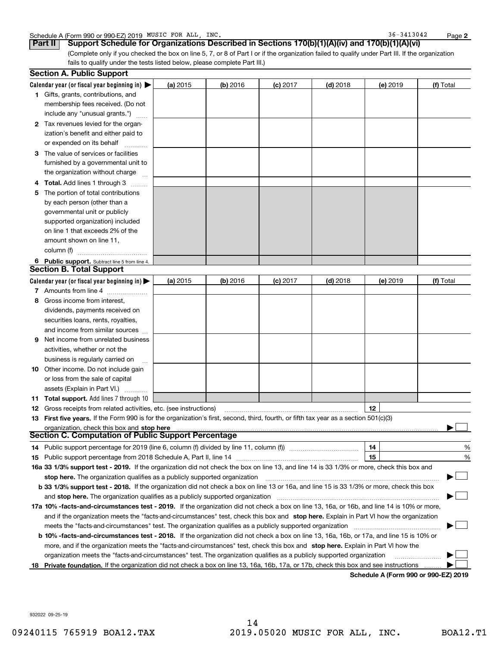|  | Schedule A (Form 990 or 990-EZ) 2019 MUSIC | FOR ALL | INC. | 3413042<br>36. | Page |  |
|--|--------------------------------------------|---------|------|----------------|------|--|
|--|--------------------------------------------|---------|------|----------------|------|--|

36-3413042

**2**

(Complete only if you checked the box on line 5, 7, or 8 of Part I or if the organization failed to qualify under Part III. If the organization fails to qualify under the tests listed below, please complete Part III.) **Part II Support Schedule for Organizations Described in Sections 170(b)(1)(A)(iv) and 170(b)(1)(A)(vi)**

|   | <b>Section A. Public Support</b>                                                                                                               |          |            |            |            |                                              |           |
|---|------------------------------------------------------------------------------------------------------------------------------------------------|----------|------------|------------|------------|----------------------------------------------|-----------|
|   | Calendar year (or fiscal year beginning in) $\blacktriangleright$                                                                              | (a) 2015 | $(b)$ 2016 | $(c)$ 2017 | $(d)$ 2018 | (e) 2019                                     | (f) Total |
|   | <b>1</b> Gifts, grants, contributions, and                                                                                                     |          |            |            |            |                                              |           |
|   | membership fees received. (Do not                                                                                                              |          |            |            |            |                                              |           |
|   | include any "unusual grants.")                                                                                                                 |          |            |            |            |                                              |           |
|   | 2 Tax revenues levied for the organ-                                                                                                           |          |            |            |            |                                              |           |
|   | ization's benefit and either paid to                                                                                                           |          |            |            |            |                                              |           |
|   | or expended on its behalf                                                                                                                      |          |            |            |            |                                              |           |
|   | 3 The value of services or facilities                                                                                                          |          |            |            |            |                                              |           |
|   | furnished by a governmental unit to                                                                                                            |          |            |            |            |                                              |           |
|   | the organization without charge                                                                                                                |          |            |            |            |                                              |           |
| 4 | <b>Total.</b> Add lines 1 through 3                                                                                                            |          |            |            |            |                                              |           |
| 5 | The portion of total contributions                                                                                                             |          |            |            |            |                                              |           |
|   | by each person (other than a                                                                                                                   |          |            |            |            |                                              |           |
|   | governmental unit or publicly                                                                                                                  |          |            |            |            |                                              |           |
|   | supported organization) included                                                                                                               |          |            |            |            |                                              |           |
|   | on line 1 that exceeds 2% of the                                                                                                               |          |            |            |            |                                              |           |
|   | amount shown on line 11,                                                                                                                       |          |            |            |            |                                              |           |
|   | column (f)                                                                                                                                     |          |            |            |            |                                              |           |
|   | 6 Public support. Subtract line 5 from line 4.                                                                                                 |          |            |            |            |                                              |           |
|   | <b>Section B. Total Support</b>                                                                                                                |          |            |            |            |                                              |           |
|   | Calendar year (or fiscal year beginning in) $\blacktriangleright$                                                                              | (a) 2015 | $(b)$ 2016 | $(c)$ 2017 | $(d)$ 2018 | (e) 2019                                     | (f) Total |
|   | 7 Amounts from line 4                                                                                                                          |          |            |            |            |                                              |           |
| 8 | Gross income from interest,                                                                                                                    |          |            |            |            |                                              |           |
|   | dividends, payments received on                                                                                                                |          |            |            |            |                                              |           |
|   | securities loans, rents, royalties,                                                                                                            |          |            |            |            |                                              |           |
|   | and income from similar sources                                                                                                                |          |            |            |            |                                              |           |
| 9 | Net income from unrelated business                                                                                                             |          |            |            |            |                                              |           |
|   | activities, whether or not the                                                                                                                 |          |            |            |            |                                              |           |
|   | business is regularly carried on                                                                                                               |          |            |            |            |                                              |           |
|   | <b>10</b> Other income. Do not include gain                                                                                                    |          |            |            |            |                                              |           |
|   | or loss from the sale of capital                                                                                                               |          |            |            |            |                                              |           |
|   | assets (Explain in Part VI.)                                                                                                                   |          |            |            |            |                                              |           |
|   | <b>11 Total support.</b> Add lines 7 through 10                                                                                                |          |            |            |            |                                              |           |
|   | <b>12</b> Gross receipts from related activities, etc. (see instructions)                                                                      |          |            |            |            | 12                                           |           |
|   | 13 First five years. If the Form 990 is for the organization's first, second, third, fourth, or fifth tax year as a section 501(c)(3)          |          |            |            |            |                                              |           |
|   | organization, check this box and stop here                                                                                                     |          |            |            |            |                                              |           |
|   | Section C. Computation of Public Support Percentage                                                                                            |          |            |            |            |                                              |           |
|   | 14 Public support percentage for 2019 (line 6, column (f) divided by line 11, column (f) <i>mummumumum</i>                                     |          |            |            |            | 14                                           | %         |
|   |                                                                                                                                                |          |            |            |            | 15                                           | %         |
|   | 16a 33 1/3% support test - 2019. If the organization did not check the box on line 13, and line 14 is 33 1/3% or more, check this box and      |          |            |            |            |                                              |           |
|   | stop here. The organization qualifies as a publicly supported organization                                                                     |          |            |            |            |                                              |           |
|   | b 33 1/3% support test - 2018. If the organization did not check a box on line 13 or 16a, and line 15 is 33 1/3% or more, check this box       |          |            |            |            |                                              |           |
|   | and stop here. The organization qualifies as a publicly supported organization                                                                 |          |            |            |            |                                              |           |
|   | 17a 10% -facts-and-circumstances test - 2019. If the organization did not check a box on line 13, 16a, or 16b, and line 14 is 10% or more,     |          |            |            |            |                                              |           |
|   | and if the organization meets the "facts-and-circumstances" test, check this box and stop here. Explain in Part VI how the organization        |          |            |            |            |                                              |           |
|   | meets the "facts and circumstances" test. The organization qualifies as a publicly supported organization <i>manumumumumumum</i>               |          |            |            |            |                                              |           |
|   | <b>b 10% -facts-and-circumstances test - 2018.</b> If the organization did not check a box on line 13, 16a, 16b, or 17a, and line 15 is 10% or |          |            |            |            |                                              |           |
|   | more, and if the organization meets the "facts-and-circumstances" test, check this box and stop here. Explain in Part VI how the               |          |            |            |            |                                              |           |
|   | organization meets the "facts-and-circumstances" test. The organization qualifies as a publicly supported organization                         |          |            |            |            |                                              |           |
|   | 18 Private foundation. If the organization did not check a box on line 13, 16a, 16b, 17a, or 17b, check this box and see instructions          |          |            |            |            | <b>Cabadule A (Fause 000 av 000 EZ) 0040</b> |           |

**Schedule A (Form 990 or 990-EZ) 2019**

932022 09-25-19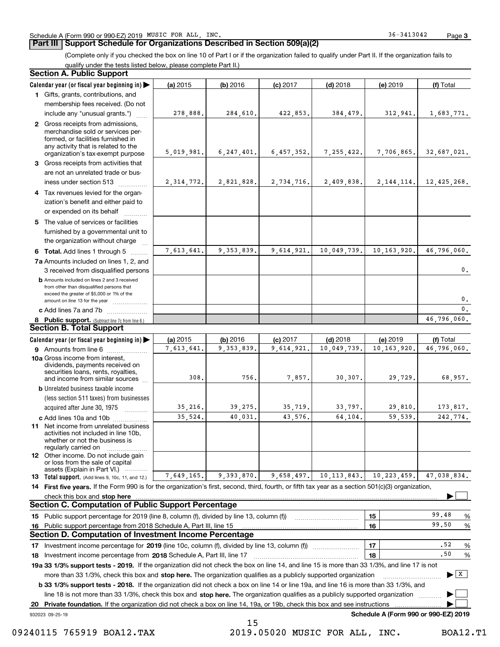### **Part III Support Schedule for Organizations Described in Section 509(a)(2)**

(Complete only if you checked the box on line 10 of Part I or if the organization failed to qualify under Part II. If the organization fails to

qualify under the tests listed below, please complete Part II.)

|    | <b>Section A. Public Support</b>                                                                                                                                                                                                                                 |            |              |            |               |                                      |                                      |
|----|------------------------------------------------------------------------------------------------------------------------------------------------------------------------------------------------------------------------------------------------------------------|------------|--------------|------------|---------------|--------------------------------------|--------------------------------------|
|    | Calendar year (or fiscal year beginning in)                                                                                                                                                                                                                      | (a) 2015   | (b) 2016     | $(c)$ 2017 | $(d)$ 2018    | (e) 2019                             | (f) Total                            |
|    | 1 Gifts, grants, contributions, and                                                                                                                                                                                                                              |            |              |            |               |                                      |                                      |
|    | membership fees received. (Do not                                                                                                                                                                                                                                |            |              |            |               |                                      |                                      |
|    | include any "unusual grants.")                                                                                                                                                                                                                                   | 278,888.   | 284,610.     | 422,853.   | 384,479.      | 312,941.                             | 1,683,771.                           |
|    | 2 Gross receipts from admissions,<br>merchandise sold or services per-<br>formed, or facilities furnished in<br>any activity that is related to the<br>organization's tax-exempt purpose                                                                         | 5,019,981. | 6, 247, 401. | 6,457,352. | 7, 255, 422.  | 7,706,865.                           | 32,687,021.                          |
|    | 3 Gross receipts from activities that                                                                                                                                                                                                                            |            |              |            |               |                                      |                                      |
|    | are not an unrelated trade or bus-<br>iness under section 513                                                                                                                                                                                                    | 2,314,772. | 2,821,828.   | 2,734,716. | 2,409,838.    | 2, 144, 114.                         | 12,425,268.                          |
|    | 4 Tax revenues levied for the organ-                                                                                                                                                                                                                             |            |              |            |               |                                      |                                      |
|    | ization's benefit and either paid to<br>or expended on its behalf                                                                                                                                                                                                |            |              |            |               |                                      |                                      |
|    | 5 The value of services or facilities<br>furnished by a governmental unit to                                                                                                                                                                                     |            |              |            |               |                                      |                                      |
|    | the organization without charge                                                                                                                                                                                                                                  |            |              |            |               |                                      |                                      |
|    | 6 Total. Add lines 1 through 5                                                                                                                                                                                                                                   | 7,613,641. | 9, 353, 839. | 9,614,921. | 10,049,739.   | 10, 163, 920.                        | 46,796,060.                          |
|    | 7a Amounts included on lines 1, 2, and<br>3 received from disqualified persons                                                                                                                                                                                   |            |              |            |               |                                      | 0.                                   |
|    | <b>b</b> Amounts included on lines 2 and 3 received<br>from other than disqualified persons that<br>exceed the greater of \$5,000 or 1% of the<br>amount on line 13 for the year                                                                                 |            |              |            |               |                                      | 0.                                   |
|    | c Add lines 7a and 7b                                                                                                                                                                                                                                            |            |              |            |               |                                      | $\mathbf{0}$ .                       |
|    | 8 Public support. (Subtract line 7c from line 6.)                                                                                                                                                                                                                |            |              |            |               |                                      | 46,796,060.                          |
|    | Section B. Total Support                                                                                                                                                                                                                                         |            |              |            |               |                                      |                                      |
|    | Calendar year (or fiscal year beginning in)                                                                                                                                                                                                                      | (a) 2015   | (b) 2016     | $(c)$ 2017 | $(d)$ 2018    | (e) 2019                             | (f) Total                            |
|    | <b>9</b> Amounts from line 6                                                                                                                                                                                                                                     | 7,613,641. | 9, 353, 839. | 9,614,921. | 10,049,739.   | 10, 163, 920.                        | 46,796,060.                          |
|    | 10a Gross income from interest,<br>dividends, payments received on<br>securities loans, rents, royalties,<br>and income from similar sources                                                                                                                     | 308.       | 756.         | 7,857.     | 30, 307.      | 29,729.                              | 68,957.                              |
|    | <b>b</b> Unrelated business taxable income                                                                                                                                                                                                                       |            |              |            |               |                                      |                                      |
|    | (less section 511 taxes) from businesses                                                                                                                                                                                                                         |            |              |            |               |                                      |                                      |
|    | acquired after June 30, 1975                                                                                                                                                                                                                                     | 35,216.    | 39,275.      | 35,719.    | 33,797.       | 29,810.                              | 173,817.                             |
|    | c Add lines 10a and 10b                                                                                                                                                                                                                                          | 35,524.    | 40,031.      | 43,576.    | 64,104.       | 59,539.                              | 242,774.                             |
|    | <b>11</b> Net income from unrelated business<br>activities not included in line 10b.<br>whether or not the business is<br>regularly carried on                                                                                                                   |            |              |            |               |                                      |                                      |
|    | <b>12</b> Other income. Do not include gain<br>or loss from the sale of capital<br>assets (Explain in Part VI.)                                                                                                                                                  |            |              |            |               |                                      |                                      |
|    | <b>13 Total support.</b> (Add lines 9, 10c, 11, and 12.)                                                                                                                                                                                                         | 7,649,165. | 9,393,870.   | 9,658,497. | 10, 113, 843. | 10, 223, 459.                        | 47,038,834.                          |
|    | 14 First five years. If the Form 990 is for the organization's first, second, third, fourth, or fifth tax year as a section 501(c)(3) organization,                                                                                                              |            |              |            |               |                                      |                                      |
|    | check this box and stop here with an intermediate control to the state of the change of the change of the change of the change of the change of the change of the change of the change of the change of the change of the chan                                   |            |              |            |               |                                      |                                      |
|    | <b>Section C. Computation of Public Support Percentage</b>                                                                                                                                                                                                       |            |              |            |               |                                      |                                      |
|    | 15 Public support percentage for 2019 (line 8, column (f), divided by line 13, column (f))                                                                                                                                                                       |            |              |            |               | 15                                   | 99.48<br>%                           |
|    | 16 Public support percentage from 2018 Schedule A, Part III, line 15                                                                                                                                                                                             |            |              |            |               | 16                                   | 99.50<br>%                           |
|    | <b>Section D. Computation of Investment Income Percentage</b>                                                                                                                                                                                                    |            |              |            |               |                                      |                                      |
|    | 17 Investment income percentage for 2019 (line 10c, column (f), divided by line 13, column (f))                                                                                                                                                                  |            |              |            |               | 17                                   | .52<br>%<br>.50                      |
|    | 18 Investment income percentage from 2018 Schedule A, Part III, line 17<br>19a 33 1/3% support tests - 2019. If the organization did not check the box on line 14, and line 15 is more than 33 1/3%, and line 17 is not                                          |            |              |            |               | 18                                   | %                                    |
|    |                                                                                                                                                                                                                                                                  |            |              |            |               |                                      | $\blacktriangleright$ $\overline{X}$ |
|    | more than 33 1/3%, check this box and stop here. The organization qualifies as a publicly supported organization<br><b>b 33 1/3% support tests - 2018.</b> If the organization did not check a box on line 14 or line 19a, and line 16 is more than 33 1/3%, and |            |              |            |               |                                      |                                      |
|    | line 18 is not more than 33 1/3%, check this box and stop here. The organization qualifies as a publicly supported organization                                                                                                                                  |            |              |            |               |                                      |                                      |
| 20 | Private foundation. If the organization did not check a box on line 14, 19a, or 19b, check this box and see instructions                                                                                                                                         |            |              |            |               |                                      |                                      |
|    | 932023 09-25-19                                                                                                                                                                                                                                                  |            |              |            |               | Schedule A (Form 990 or 990-EZ) 2019 |                                      |
|    |                                                                                                                                                                                                                                                                  |            | 1 E          |            |               |                                      |                                      |

15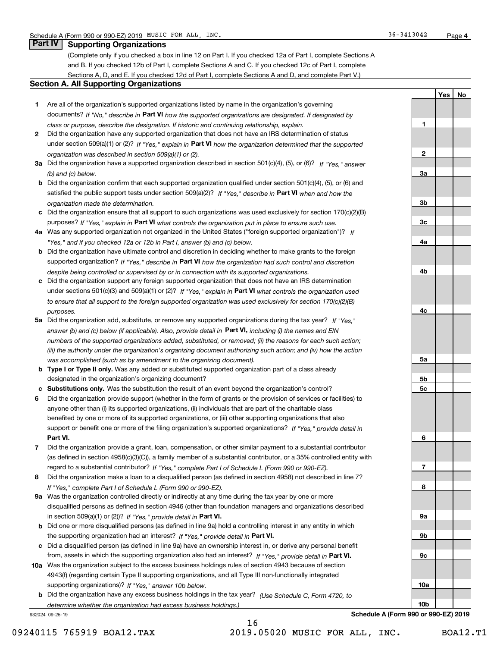### **Part IV Supporting Organizations**

(Complete only if you checked a box in line 12 on Part I. If you checked 12a of Part I, complete Sections A and B. If you checked 12b of Part I, complete Sections A and C. If you checked 12c of Part I, complete Sections A, D, and E. If you checked 12d of Part I, complete Sections A and D, and complete Part V.)

### **Section A. All Supporting Organizations**

- **1** Are all of the organization's supported organizations listed by name in the organization's governing documents? If "No," describe in **Part VI** how the supported organizations are designated. If designated by *class or purpose, describe the designation. If historic and continuing relationship, explain.*
- **2** Did the organization have any supported organization that does not have an IRS determination of status under section 509(a)(1) or (2)? If "Yes," explain in Part VI how the organization determined that the supported *organization was described in section 509(a)(1) or (2).*
- **3a** Did the organization have a supported organization described in section 501(c)(4), (5), or (6)? If "Yes," answer *(b) and (c) below.*
- **b** Did the organization confirm that each supported organization qualified under section 501(c)(4), (5), or (6) and satisfied the public support tests under section 509(a)(2)? If "Yes," describe in **Part VI** when and how the *organization made the determination.*
- **c**Did the organization ensure that all support to such organizations was used exclusively for section 170(c)(2)(B) purposes? If "Yes," explain in **Part VI** what controls the organization put in place to ensure such use.
- **4a***If* Was any supported organization not organized in the United States ("foreign supported organization")? *"Yes," and if you checked 12a or 12b in Part I, answer (b) and (c) below.*
- **b** Did the organization have ultimate control and discretion in deciding whether to make grants to the foreign supported organization? If "Yes," describe in **Part VI** how the organization had such control and discretion *despite being controlled or supervised by or in connection with its supported organizations.*
- **c** Did the organization support any foreign supported organization that does not have an IRS determination under sections 501(c)(3) and 509(a)(1) or (2)? If "Yes," explain in **Part VI** what controls the organization used *to ensure that all support to the foreign supported organization was used exclusively for section 170(c)(2)(B) purposes.*
- **5a** Did the organization add, substitute, or remove any supported organizations during the tax year? If "Yes," answer (b) and (c) below (if applicable). Also, provide detail in **Part VI,** including (i) the names and EIN *numbers of the supported organizations added, substituted, or removed; (ii) the reasons for each such action; (iii) the authority under the organization's organizing document authorizing such action; and (iv) how the action was accomplished (such as by amendment to the organizing document).*
- **b** Type I or Type II only. Was any added or substituted supported organization part of a class already designated in the organization's organizing document?
- **cSubstitutions only.**  Was the substitution the result of an event beyond the organization's control?
- **6** Did the organization provide support (whether in the form of grants or the provision of services or facilities) to **Part VI.** *If "Yes," provide detail in* support or benefit one or more of the filing organization's supported organizations? anyone other than (i) its supported organizations, (ii) individuals that are part of the charitable class benefited by one or more of its supported organizations, or (iii) other supporting organizations that also
- **7**Did the organization provide a grant, loan, compensation, or other similar payment to a substantial contributor *If "Yes," complete Part I of Schedule L (Form 990 or 990-EZ).* regard to a substantial contributor? (as defined in section 4958(c)(3)(C)), a family member of a substantial contributor, or a 35% controlled entity with
- **8** Did the organization make a loan to a disqualified person (as defined in section 4958) not described in line 7? *If "Yes," complete Part I of Schedule L (Form 990 or 990-EZ).*
- **9a** Was the organization controlled directly or indirectly at any time during the tax year by one or more in section 509(a)(1) or (2))? If "Yes," *provide detail in* <code>Part VI.</code> disqualified persons as defined in section 4946 (other than foundation managers and organizations described
- **b** Did one or more disqualified persons (as defined in line 9a) hold a controlling interest in any entity in which the supporting organization had an interest? If "Yes," provide detail in P**art VI**.
- **c**Did a disqualified person (as defined in line 9a) have an ownership interest in, or derive any personal benefit from, assets in which the supporting organization also had an interest? If "Yes," provide detail in P**art VI.**
- **10a** Was the organization subject to the excess business holdings rules of section 4943 because of section supporting organizations)? If "Yes," answer 10b below. 4943(f) (regarding certain Type II supporting organizations, and all Type III non-functionally integrated
- **b** Did the organization have any excess business holdings in the tax year? (Use Schedule C, Form 4720, to *determine whether the organization had excess business holdings.)*

932024 09-25-19

**3b3c4a4b4c5a 5b5c6789a 9b9c10a**

**Schedule A (Form 990 or 990-EZ) 2019**

**10b**

16

**1**

**2**

**3a**

**YesNo**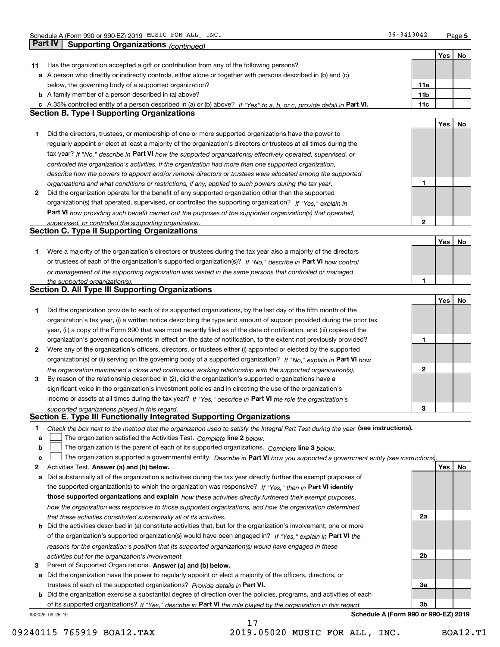**5**

|    | <b>Part IV</b><br>Supporting Organizations (continued)                                                                            |                 |     |    |
|----|-----------------------------------------------------------------------------------------------------------------------------------|-----------------|-----|----|
|    |                                                                                                                                   |                 | Yes | No |
| 11 | Has the organization accepted a gift or contribution from any of the following persons?                                           |                 |     |    |
|    | a A person who directly or indirectly controls, either alone or together with persons described in (b) and (c)                    |                 |     |    |
|    | below, the governing body of a supported organization?                                                                            | 11a             |     |    |
|    | <b>b</b> A family member of a person described in (a) above?                                                                      | 11 <sub>b</sub> |     |    |
|    | c A 35% controlled entity of a person described in (a) or (b) above? If "Yes" to a, b, or c, provide detail in Part VI.           | 11c             |     |    |
|    | <b>Section B. Type I Supporting Organizations</b>                                                                                 |                 |     |    |
|    |                                                                                                                                   |                 | Yes | No |
| 1  | Did the directors, trustees, or membership of one or more supported organizations have the power to                               |                 |     |    |
|    | regularly appoint or elect at least a majority of the organization's directors or trustees at all times during the                |                 |     |    |
|    |                                                                                                                                   |                 |     |    |
|    | tax year? If "No," describe in Part VI how the supported organization(s) effectively operated, supervised, or                     |                 |     |    |
|    | controlled the organization's activities. If the organization had more than one supported organization,                           |                 |     |    |
|    | describe how the powers to appoint and/or remove directors or trustees were allocated among the supported                         | 1               |     |    |
|    | organizations and what conditions or restrictions, if any, applied to such powers during the tax year.                            |                 |     |    |
| 2  | Did the organization operate for the benefit of any supported organization other than the supported                               |                 |     |    |
|    | organization(s) that operated, supervised, or controlled the supporting organization? If "Yes," explain in                        |                 |     |    |
|    | Part VI how providing such benefit carried out the purposes of the supported organization(s) that operated,                       |                 |     |    |
|    | supervised, or controlled the supporting organization.                                                                            | 2               |     |    |
|    | <b>Section C. Type II Supporting Organizations</b>                                                                                |                 |     |    |
|    |                                                                                                                                   |                 | Yes | No |
| 1  | Were a majority of the organization's directors or trustees during the tax year also a majority of the directors                  |                 |     |    |
|    | or trustees of each of the organization's supported organization(s)? If "No." describe in Part VI how control                     |                 |     |    |
|    | or management of the supporting organization was vested in the same persons that controlled or managed                            |                 |     |    |
|    | the supported organization(s).                                                                                                    | 1               |     |    |
|    | <b>Section D. All Type III Supporting Organizations</b>                                                                           |                 |     |    |
|    |                                                                                                                                   |                 | Yes | No |
| 1  | Did the organization provide to each of its supported organizations, by the last day of the fifth month of the                    |                 |     |    |
|    | organization's tax year, (i) a written notice describing the type and amount of support provided during the prior tax             |                 |     |    |
|    | year, (ii) a copy of the Form 990 that was most recently filed as of the date of notification, and (iii) copies of the            |                 |     |    |
|    | organization's governing documents in effect on the date of notification, to the extent not previously provided?                  | 1               |     |    |
| 2  | Were any of the organization's officers, directors, or trustees either (i) appointed or elected by the supported                  |                 |     |    |
|    | organization(s) or (ii) serving on the governing body of a supported organization? If "No," explain in Part VI how                |                 |     |    |
|    | the organization maintained a close and continuous working relationship with the supported organization(s).                       | $\mathbf{2}$    |     |    |
| 3  | By reason of the relationship described in (2), did the organization's supported organizations have a                             |                 |     |    |
|    | significant voice in the organization's investment policies and in directing the use of the organization's                        |                 |     |    |
|    | income or assets at all times during the tax year? If "Yes," describe in Part VI the role the organization's                      |                 |     |    |
|    | supported organizations played in this regard.                                                                                    | 3               |     |    |
|    | Section E. Type III Functionally Integrated Supporting Organizations                                                              |                 |     |    |
| 1  | Check the box next to the method that the organization used to satisfy the Integral Part Test during the year (see instructions). |                 |     |    |
| a  | The organization satisfied the Activities Test. Complete line 2 below.                                                            |                 |     |    |
| b  | The organization is the parent of each of its supported organizations. Complete line 3 below.                                     |                 |     |    |
| c  | The organization supported a governmental entity. Describe in Part VI how you supported a government entity (see instructions).   |                 |     |    |
| 2  | Activities Test. Answer (a) and (b) below.                                                                                        |                 | Yes | No |
| а  | Did substantially all of the organization's activities during the tax year directly further the exempt purposes of                |                 |     |    |
|    | the supported organization(s) to which the organization was responsive? If "Yes," then in Part VI identify                        |                 |     |    |
|    | those supported organizations and explain how these activities directly furthered their exempt purposes,                          |                 |     |    |
|    | how the organization was responsive to those supported organizations, and how the organization determined                         |                 |     |    |
|    | that these activities constituted substantially all of its activities.                                                            | 2a              |     |    |
| b  | Did the activities described in (a) constitute activities that, but for the organization's involvement, one or more               |                 |     |    |
|    | of the organization's supported organization(s) would have been engaged in? If "Yes," explain in Part VI the                      |                 |     |    |
|    | reasons for the organization's position that its supported organization(s) would have engaged in these                            |                 |     |    |
|    | activities but for the organization's involvement.                                                                                | 2b              |     |    |
| з  | Parent of Supported Organizations. Answer (a) and (b) below.                                                                      |                 |     |    |
| а  | Did the organization have the power to regularly appoint or elect a majority of the officers, directors, or                       |                 |     |    |
|    | trustees of each of the supported organizations? Provide details in Part VI.                                                      | За              |     |    |
|    | <b>b</b> Did the organization exercise a substantial degree of direction over the policies, programs, and activities of each      |                 |     |    |
|    | of its supported organizations? If "Yes," describe in Part VI the role played by the organization in this regard.                 | 3b              |     |    |
|    | Schedule A (Form 990 or 990-EZ) 2019<br>932025 09-25-19                                                                           |                 |     |    |
|    | 17                                                                                                                                |                 |     |    |

 <sup>09240115 765919</sup> BOA12.TAX 2019.05020 MUSIC FOR ALL, INC. BOA12.T1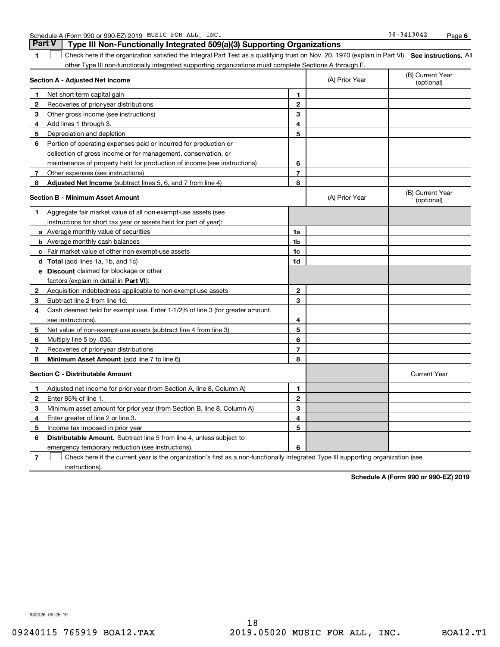|  | Schedule A (Form 990 or 990-EZ) 2019 | MUSIC FOR | ALL | INC. | 3413042<br>36- | Paɑe |  |
|--|--------------------------------------|-----------|-----|------|----------------|------|--|
|--|--------------------------------------|-----------|-----|------|----------------|------|--|

#### **1SEP 10. See instructions.** All antegral Part Test as a qualifying trust on Nov. 20, 1970 (explain in Part VI). See instructions. All **Section A - Adjusted Net Income** other Type III non-functionally integrated supporting organizations must complete Sections A through E. (B) Current Year (optional)(A) Prior Year **Part V Type III Non-Functionally Integrated 509(a)(3) Supporting Organizations**   $\mathcal{L}^{\text{max}}$

|              |                                                                                                                                   |                |                | (optional)                     |
|--------------|-----------------------------------------------------------------------------------------------------------------------------------|----------------|----------------|--------------------------------|
| 1.           | Net short-term capital gain                                                                                                       | 1.             |                |                                |
| $\mathbf{2}$ | Recoveries of prior-year distributions                                                                                            | $\mathbf{2}$   |                |                                |
| 3            | Other gross income (see instructions)                                                                                             | 3              |                |                                |
| 4            | Add lines 1 through 3.                                                                                                            | 4              |                |                                |
| 5            | Depreciation and depletion                                                                                                        | 5              |                |                                |
| 6            | Portion of operating expenses paid or incurred for production or                                                                  |                |                |                                |
|              | collection of gross income or for management, conservation, or                                                                    |                |                |                                |
|              | maintenance of property held for production of income (see instructions)                                                          | 6              |                |                                |
| 7            | Other expenses (see instructions)                                                                                                 | $\overline{7}$ |                |                                |
| 8            | Adjusted Net Income (subtract lines 5, 6, and 7 from line 4)                                                                      | 8              |                |                                |
|              | <b>Section B - Minimum Asset Amount</b>                                                                                           |                | (A) Prior Year | (B) Current Year<br>(optional) |
| 1            | Aggregate fair market value of all non-exempt-use assets (see                                                                     |                |                |                                |
|              | instructions for short tax year or assets held for part of year):                                                                 |                |                |                                |
|              | <b>a</b> Average monthly value of securities                                                                                      | 1a             |                |                                |
|              | <b>b</b> Average monthly cash balances                                                                                            | 1b             |                |                                |
|              | <b>c</b> Fair market value of other non-exempt-use assets                                                                         | 1c             |                |                                |
|              | <b>d</b> Total (add lines 1a, 1b, and 1c)                                                                                         | 1d             |                |                                |
|              | <b>e</b> Discount claimed for blockage or other                                                                                   |                |                |                                |
|              | factors (explain in detail in <b>Part VI</b> ):                                                                                   |                |                |                                |
| 2            | Acquisition indebtedness applicable to non-exempt-use assets                                                                      | $\mathbf{2}$   |                |                                |
| 3            | Subtract line 2 from line 1d.                                                                                                     | 3              |                |                                |
| 4            | Cash deemed held for exempt use. Enter 1-1/2% of line 3 (for greater amount,                                                      |                |                |                                |
|              | see instructions)                                                                                                                 | 4              |                |                                |
| 5            | Net value of non-exempt-use assets (subtract line 4 from line 3)                                                                  | 5              |                |                                |
| 6            | Multiply line 5 by .035.                                                                                                          | 6              |                |                                |
| 7            | Recoveries of prior-year distributions                                                                                            | $\overline{7}$ |                |                                |
| 8            | Minimum Asset Amount (add line 7 to line 6)                                                                                       | 8              |                |                                |
|              | <b>Section C - Distributable Amount</b>                                                                                           |                |                | <b>Current Year</b>            |
| -1           | Adjusted net income for prior year (from Section A, line 8, Column A)                                                             | 1              |                |                                |
| $\mathbf{2}$ | Enter 85% of line 1.                                                                                                              | $\mathbf{2}$   |                |                                |
| 3            | Minimum asset amount for prior year (from Section B, line 8, Column A)                                                            | 3              |                |                                |
| 4            | Enter greater of line 2 or line 3.                                                                                                | 4              |                |                                |
| 5            | Income tax imposed in prior year                                                                                                  | 5              |                |                                |
| 6            | <b>Distributable Amount.</b> Subtract line 5 from line 4, unless subject to                                                       |                |                |                                |
|              | emergency temporary reduction (see instructions).                                                                                 | 6              |                |                                |
| 7            | Check here if the current year is the organization's first as a non-functionally integrated Type III supporting organization (see |                |                |                                |

instructions).

**Schedule A (Form 990 or 990-EZ) 2019**

932026 09-25-19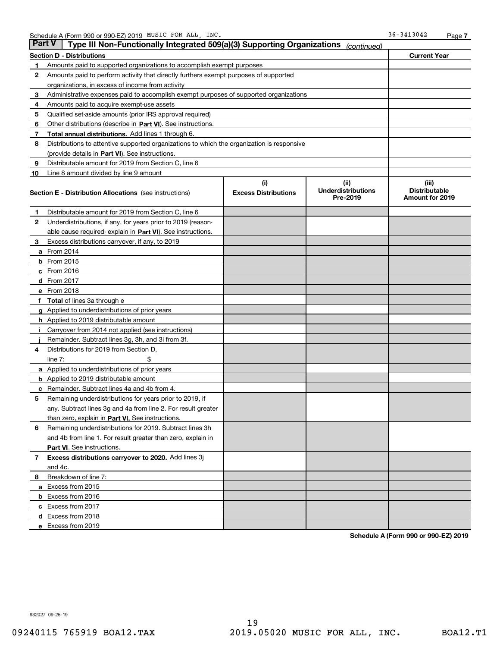| Part V | Type III Non-Functionally Integrated 509(a)(3) Supporting Organizations                    |                             | (continued)                           |                                         |  |  |
|--------|--------------------------------------------------------------------------------------------|-----------------------------|---------------------------------------|-----------------------------------------|--|--|
|        | <b>Section D - Distributions</b>                                                           |                             |                                       | <b>Current Year</b>                     |  |  |
| 1      | Amounts paid to supported organizations to accomplish exempt purposes                      |                             |                                       |                                         |  |  |
| 2      | Amounts paid to perform activity that directly furthers exempt purposes of supported       |                             |                                       |                                         |  |  |
|        | organizations, in excess of income from activity                                           |                             |                                       |                                         |  |  |
| з      | Administrative expenses paid to accomplish exempt purposes of supported organizations      |                             |                                       |                                         |  |  |
| 4      | Amounts paid to acquire exempt-use assets                                                  |                             |                                       |                                         |  |  |
| 5      | Qualified set-aside amounts (prior IRS approval required)                                  |                             |                                       |                                         |  |  |
| 6      | Other distributions (describe in Part VI). See instructions.                               |                             |                                       |                                         |  |  |
| 7      | <b>Total annual distributions.</b> Add lines 1 through 6.                                  |                             |                                       |                                         |  |  |
| 8      | Distributions to attentive supported organizations to which the organization is responsive |                             |                                       |                                         |  |  |
|        | (provide details in Part VI). See instructions.                                            |                             |                                       |                                         |  |  |
| 9      | Distributable amount for 2019 from Section C, line 6                                       |                             |                                       |                                         |  |  |
| 10     | Line 8 amount divided by line 9 amount                                                     |                             |                                       |                                         |  |  |
|        |                                                                                            | (i)                         | (iii)                                 | (iii)                                   |  |  |
|        | <b>Section E - Distribution Allocations</b> (see instructions)                             | <b>Excess Distributions</b> | <b>Underdistributions</b><br>Pre-2019 | <b>Distributable</b><br>Amount for 2019 |  |  |
| 1      | Distributable amount for 2019 from Section C, line 6                                       |                             |                                       |                                         |  |  |
| 2      | Underdistributions, if any, for years prior to 2019 (reason-                               |                             |                                       |                                         |  |  |
|        | able cause required- explain in <b>Part VI</b> ). See instructions.                        |                             |                                       |                                         |  |  |
| з      | Excess distributions carryover, if any, to 2019                                            |                             |                                       |                                         |  |  |
|        | <b>a</b> From 2014                                                                         |                             |                                       |                                         |  |  |
|        | <b>b</b> From 2015                                                                         |                             |                                       |                                         |  |  |
|        | $c$ From 2016                                                                              |                             |                                       |                                         |  |  |
|        | d From 2017                                                                                |                             |                                       |                                         |  |  |
|        | e From 2018                                                                                |                             |                                       |                                         |  |  |
|        | Total of lines 3a through e                                                                |                             |                                       |                                         |  |  |
|        | <b>g</b> Applied to underdistributions of prior years                                      |                             |                                       |                                         |  |  |
|        | <b>h</b> Applied to 2019 distributable amount                                              |                             |                                       |                                         |  |  |
|        | Carryover from 2014 not applied (see instructions)                                         |                             |                                       |                                         |  |  |
|        | Remainder. Subtract lines 3g, 3h, and 3i from 3f.                                          |                             |                                       |                                         |  |  |
| 4      | Distributions for 2019 from Section D,                                                     |                             |                                       |                                         |  |  |
|        | line $7:$                                                                                  |                             |                                       |                                         |  |  |
|        | <b>a</b> Applied to underdistributions of prior years                                      |                             |                                       |                                         |  |  |
|        | <b>b</b> Applied to 2019 distributable amount                                              |                             |                                       |                                         |  |  |
| c      | Remainder. Subtract lines 4a and 4b from 4.                                                |                             |                                       |                                         |  |  |
| 5      | Remaining underdistributions for years prior to 2019, if                                   |                             |                                       |                                         |  |  |
|        | any. Subtract lines 3g and 4a from line 2. For result greater                              |                             |                                       |                                         |  |  |
|        | than zero, explain in Part VI. See instructions.                                           |                             |                                       |                                         |  |  |
| 6      | Remaining underdistributions for 2019. Subtract lines 3h                                   |                             |                                       |                                         |  |  |
|        | and 4b from line 1. For result greater than zero, explain in                               |                             |                                       |                                         |  |  |
|        | Part VI. See instructions.                                                                 |                             |                                       |                                         |  |  |
| 7      | Excess distributions carryover to 2020. Add lines 3j                                       |                             |                                       |                                         |  |  |
|        |                                                                                            |                             |                                       |                                         |  |  |
| 8      | and 4c.<br>Breakdown of line 7:                                                            |                             |                                       |                                         |  |  |
|        |                                                                                            |                             |                                       |                                         |  |  |
|        | a Excess from 2015                                                                         |                             |                                       |                                         |  |  |
|        | <b>b</b> Excess from 2016                                                                  |                             |                                       |                                         |  |  |
|        | c Excess from 2017                                                                         |                             |                                       |                                         |  |  |
|        | d Excess from 2018                                                                         |                             |                                       |                                         |  |  |
|        | e Excess from 2019                                                                         |                             |                                       |                                         |  |  |

**Schedule A (Form 990 or 990-EZ) 2019**

932027 09-25-19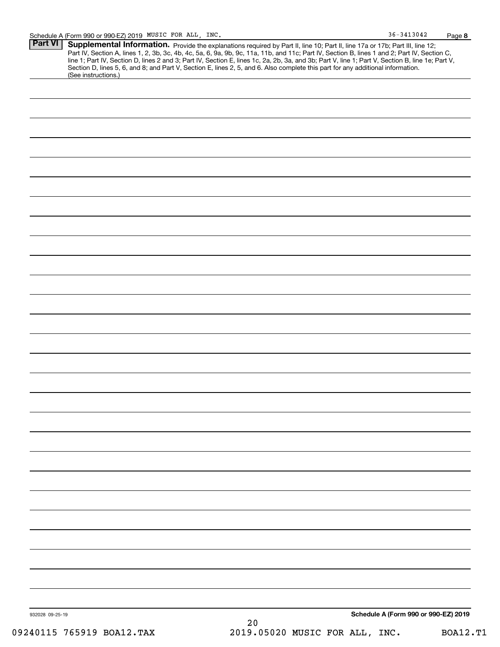| $36 - 3413042$ | Page 8 |
|----------------|--------|
|                |        |

| Part VI   Supplemental Information. Provide the explanations required by Part II, line 10; Part II, line 17a or 17b; Part III, line 12;          |
|--------------------------------------------------------------------------------------------------------------------------------------------------|
| Part IV, Section A, lines 1, 2, 3b, 3c, 4b, 4c, 5a, 6, 9a, 9b, 9c, 11a, 11b, and 11c; Part IV, Section B, lines 1 and 2; Part IV, Section C,     |
| line 1; Part IV, Section D, lines 2 and 3; Part IV, Section E, lines 1c, 2a, 2b, 3a, and 3b; Part V, line 1; Part V, Section B, line 1e; Part V, |
| Section D, lines 5, 6, and 8; and Part V, Section E, lines 2, 5, and 6. Also complete this part for any additional information.                  |
| (See instructions.)                                                                                                                              |

|  | Schedule A (Form 990 or 990-EZ) 2019 |  |
|--|--------------------------------------|--|
|  |                                      |  |
|  |                                      |  |
|  |                                      |  |
|  |                                      |  |
|  |                                      |  |
|  |                                      |  |
|  |                                      |  |
|  |                                      |  |
|  |                                      |  |
|  |                                      |  |
|  |                                      |  |
|  |                                      |  |
|  |                                      |  |
|  |                                      |  |
|  |                                      |  |
|  |                                      |  |
|  |                                      |  |
|  |                                      |  |
|  |                                      |  |
|  |                                      |  |
|  |                                      |  |
|  |                                      |  |
|  |                                      |  |
|  |                                      |  |
|  |                                      |  |
|  |                                      |  |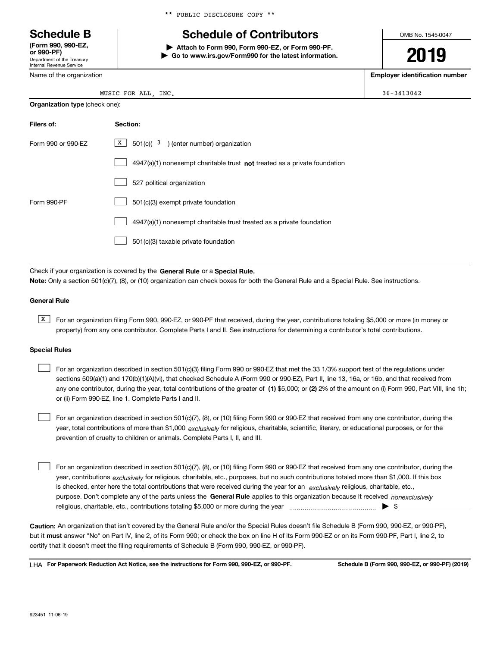Department of the Treasury Internal Revenue Service **(Form 990, 990-EZ, or 990-PF)**

Name of the organization

**Organization type** (check one):

|  |  |  | ** PUBLIC DISCLOSURE COPY ** |  |  |
|--|--|--|------------------------------|--|--|
|--|--|--|------------------------------|--|--|

## **Schedule B Schedule of Contributors**

**| Attach to Form 990, Form 990-EZ, or Form 990-PF. | Go to www.irs.gov/Form990 for the latest information.** OMB No. 1545-0047

# **2019**

**Employer identification number**

| MUSIC FOR ALL<br>________ | INC | $36 - 3413042$ |
|---------------------------|-----|----------------|
|                           |     |                |

| Filers of:         | Section:                                                                    |
|--------------------|-----------------------------------------------------------------------------|
| Form 990 or 990-EZ | $\boxed{\text{X}}$ 501(c)( 3) (enter number) organization                   |
|                    | $4947(a)(1)$ nonexempt charitable trust not treated as a private foundation |
|                    | 527 political organization                                                  |
| Form 990-PF        | 501(c)(3) exempt private foundation                                         |
|                    | 4947(a)(1) nonexempt charitable trust treated as a private foundation       |
|                    | 501(c)(3) taxable private foundation                                        |

Check if your organization is covered by the **General Rule** or a **Special Rule. Note:**  Only a section 501(c)(7), (8), or (10) organization can check boxes for both the General Rule and a Special Rule. See instructions.

#### **General Rule**

 $\overline{X}$  For an organization filing Form 990, 990-EZ, or 990-PF that received, during the year, contributions totaling \$5,000 or more (in money or property) from any one contributor. Complete Parts I and II. See instructions for determining a contributor's total contributions.

#### **Special Rules**

any one contributor, during the year, total contributions of the greater of  $\,$  (1) \$5,000; or **(2)** 2% of the amount on (i) Form 990, Part VIII, line 1h; For an organization described in section 501(c)(3) filing Form 990 or 990-EZ that met the 33 1/3% support test of the regulations under sections 509(a)(1) and 170(b)(1)(A)(vi), that checked Schedule A (Form 990 or 990-EZ), Part II, line 13, 16a, or 16b, and that received from or (ii) Form 990-EZ, line 1. Complete Parts I and II.  $\mathcal{L}^{\text{max}}$ 

year, total contributions of more than \$1,000 *exclusively* for religious, charitable, scientific, literary, or educational purposes, or for the For an organization described in section 501(c)(7), (8), or (10) filing Form 990 or 990-EZ that received from any one contributor, during the prevention of cruelty to children or animals. Complete Parts I, II, and III.  $\mathcal{L}^{\text{max}}$ 

purpose. Don't complete any of the parts unless the **General Rule** applies to this organization because it received *nonexclusively* year, contributions <sub>exclusively</sub> for religious, charitable, etc., purposes, but no such contributions totaled more than \$1,000. If this box is checked, enter here the total contributions that were received during the year for an  $\;$ exclusively religious, charitable, etc., For an organization described in section 501(c)(7), (8), or (10) filing Form 990 or 990-EZ that received from any one contributor, during the religious, charitable, etc., contributions totaling \$5,000 or more during the year  $\Box$ — $\Box$  =  $\Box$  $\mathcal{L}^{\text{max}}$ 

**Caution:**  An organization that isn't covered by the General Rule and/or the Special Rules doesn't file Schedule B (Form 990, 990-EZ, or 990-PF),  **must** but it answer "No" on Part IV, line 2, of its Form 990; or check the box on line H of its Form 990-EZ or on its Form 990-PF, Part I, line 2, to certify that it doesn't meet the filing requirements of Schedule B (Form 990, 990-EZ, or 990-PF).

**For Paperwork Reduction Act Notice, see the instructions for Form 990, 990-EZ, or 990-PF. Schedule B (Form 990, 990-EZ, or 990-PF) (2019)** LHA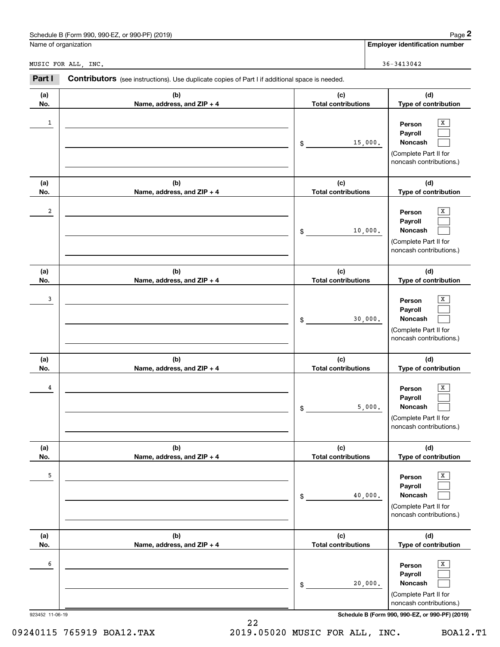| ) (2019)<br>Schedule<br>or 990-PF)<br>___<br>990-E<br>.-orm 990.<br>B (Form | 12000<br>aue |
|-----------------------------------------------------------------------------|--------------|
|                                                                             |              |

|  | Name of organization |
|--|----------------------|
|  |                      |

|                      | Schedule B (Form 990, 990-EZ, or 990-PF) (2019)                                                |                                   | Page 2                                                                                       |
|----------------------|------------------------------------------------------------------------------------------------|-----------------------------------|----------------------------------------------------------------------------------------------|
| Name of organization |                                                                                                |                                   | <b>Employer identification number</b>                                                        |
|                      | MUSIC FOR ALL, INC.                                                                            |                                   | $36 - 3413042$                                                                               |
| Part I               | Contributors (see instructions). Use duplicate copies of Part I if additional space is needed. |                                   |                                                                                              |
| (a)<br>No.           | (b)<br>Name, address, and ZIP + 4                                                              | (c)<br><b>Total contributions</b> | (d)<br>Type of contribution                                                                  |
| 1                    |                                                                                                | 15,000.<br>\$                     | x<br>Person<br>Payroll<br>Noncash<br>(Complete Part II for<br>noncash contributions.)        |
| (a)<br>No.           | (b)<br>Name, address, and ZIP + 4                                                              | (c)<br><b>Total contributions</b> | (d)<br>Type of contribution                                                                  |
| 2                    |                                                                                                | 10,000.<br>\$                     | x<br>Person<br>Payroll<br>Noncash<br>(Complete Part II for<br>noncash contributions.)        |
| (a)<br>No.           | (b)<br>Name, address, and ZIP + 4                                                              | (c)<br><b>Total contributions</b> | (d)<br>Type of contribution                                                                  |
| 3                    |                                                                                                | 30,000.<br>\$                     | x<br>Person<br>Payroll<br>Noncash<br>(Complete Part II for<br>noncash contributions.)        |
| (a)<br>No.           | (b)<br>Name, address, and ZIP + 4                                                              | (c)<br><b>Total contributions</b> | (d)<br>Type of contribution                                                                  |
| 4                    |                                                                                                | 5,000.<br>\$                      | x<br>Person<br>Payroll<br>Noncash<br>(Complete Part II for<br>noncash contributions.)        |
| (a)<br>No.           | (b)<br>Name, address, and ZIP + 4                                                              | (c)<br><b>Total contributions</b> | (d)<br>Type of contribution                                                                  |
| 5                    |                                                                                                | 40,000.<br>\$                     | X<br>Person<br>Payroll<br>Noncash<br>(Complete Part II for<br>noncash contributions.)        |
| (a)<br>No.           | (b)<br>Name, address, and ZIP + 4                                                              | (c)<br><b>Total contributions</b> | (d)<br>Type of contribution                                                                  |
| 6                    |                                                                                                | 20,000.<br>\$                     | X<br>Person<br>Payroll<br><b>Noncash</b><br>(Complete Part II for<br>noncash contributions.) |
| 923452 11-06-19      |                                                                                                |                                   | Schedule B (Form 990, 990-EZ, or 990-PF) (2019)                                              |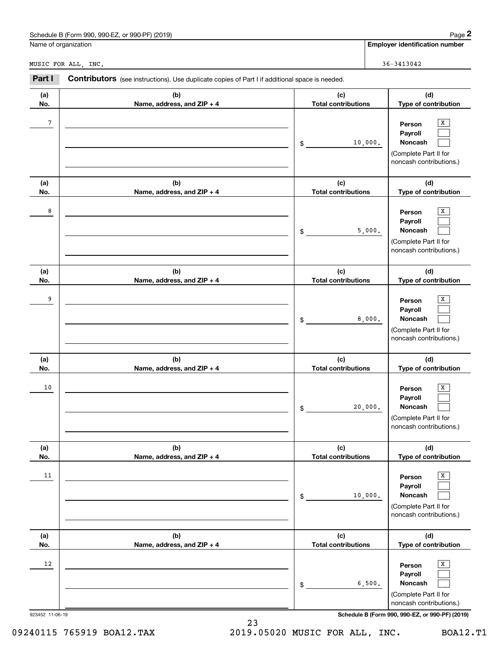| or 990-PF`<br>(2019)<br>990-EZ<br>Schedule<br>. (Form 990)، | Page |
|-------------------------------------------------------------|------|
|                                                             |      |

|                      | Schedule B (Form 990, 990-EZ, or 990-PF) (2019)                                                |                                   | Page 2                                                                                                      |
|----------------------|------------------------------------------------------------------------------------------------|-----------------------------------|-------------------------------------------------------------------------------------------------------------|
| Name of organization |                                                                                                |                                   | <b>Employer identification number</b>                                                                       |
|                      | MUSIC FOR ALL, INC.                                                                            |                                   | $36 - 3413042$                                                                                              |
| Part I               | Contributors (see instructions). Use duplicate copies of Part I if additional space is needed. |                                   |                                                                                                             |
| (a)<br>No.           | (b)<br>Name, address, and ZIP + 4                                                              | (c)<br><b>Total contributions</b> | (d)<br>Type of contribution                                                                                 |
| 7                    |                                                                                                | \$<br>10,000.                     | x<br>Person<br>Payroll<br>Noncash<br>(Complete Part II for<br>noncash contributions.)                       |
| (a)<br>No.           | (b)<br>Name, address, and ZIP + 4                                                              | (c)<br><b>Total contributions</b> | (d)<br>Type of contribution                                                                                 |
| 8                    |                                                                                                | \$<br>5,000.                      | х<br>Person<br>Payroll<br>Noncash<br>(Complete Part II for<br>noncash contributions.)                       |
| (a)<br>No.           | (b)<br>Name, address, and ZIP + 4                                                              | (c)<br><b>Total contributions</b> | (d)<br>Type of contribution                                                                                 |
| 9                    |                                                                                                | \$<br>8,000.                      | X<br>Person<br>Payroll<br>Noncash<br>(Complete Part II for<br>noncash contributions.)                       |
| (a)<br>No.           | (b)<br>Name, address, and ZIP + 4                                                              | (c)<br><b>Total contributions</b> | (d)<br>Type of contribution                                                                                 |
| 10                   |                                                                                                | \$<br>20,000.                     | х<br>Person<br>Payroll<br>Noncash<br>(Complete Part II for<br>noncash contributions.)                       |
| (a)<br>No.           | (b)<br>Name, address, and ZIP + 4                                                              | (c)<br><b>Total contributions</b> | (d)<br>Type of contribution                                                                                 |
| 11                   |                                                                                                | \$<br>10,000.                     | $\overline{\textbf{X}}$<br>Person<br>Payroll<br>Noncash<br>(Complete Part II for<br>noncash contributions.) |
| (a)<br>No.           | (b)<br>Name, address, and ZIP + 4                                                              | (c)<br><b>Total contributions</b> | (d)<br>Type of contribution                                                                                 |
| 12                   |                                                                                                | \$<br>6,500.                      | $\overline{\textbf{X}}$<br>Person<br>Payroll<br>Noncash<br>(Complete Part II for<br>noncash contributions.) |
| 923452 11-06-19      |                                                                                                |                                   | Schedule B (Form 990, 990-EZ, or 990-PF) (2019)                                                             |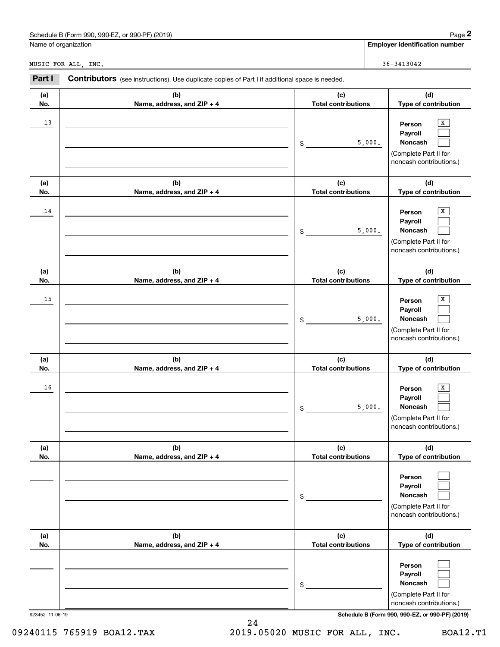| (2019)<br>Schedule<br>990-EZ<br>., 990-P <sup>.</sup><br>$-6.0r^{00}$<br>} (Form 990. | 12000<br>aue |
|---------------------------------------------------------------------------------------|--------------|
|                                                                                       |              |

|                      | Schedule B (Form 990, 990-EZ, or 990-PF) (2019)                                                |                                   | Page 2                                                                                          |
|----------------------|------------------------------------------------------------------------------------------------|-----------------------------------|-------------------------------------------------------------------------------------------------|
| Name of organization |                                                                                                |                                   | <b>Employer identification number</b>                                                           |
|                      | MUSIC FOR ALL, INC.                                                                            |                                   | $36 - 3413042$                                                                                  |
| Part I               | Contributors (see instructions). Use duplicate copies of Part I if additional space is needed. |                                   |                                                                                                 |
| (a)<br>No.           | (b)<br>Name, address, and ZIP + 4                                                              | (c)<br><b>Total contributions</b> | (d)<br>Type of contribution                                                                     |
| 13                   |                                                                                                | \$                                | х<br>Person<br>Payroll<br>Noncash<br>5,000.<br>(Complete Part II for<br>noncash contributions.) |
| (a)<br>No.           | (b)<br>Name, address, and ZIP + 4                                                              | (c)<br><b>Total contributions</b> | (d)<br>Type of contribution                                                                     |
| 14                   |                                                                                                | \$                                | X<br>Person<br>Payroll<br>5,000.<br>Noncash<br>(Complete Part II for<br>noncash contributions.) |
| (a)<br>No.           | (b)<br>Name, address, and ZIP + 4                                                              | (c)<br><b>Total contributions</b> | (d)<br>Type of contribution                                                                     |
| 15                   |                                                                                                | \$                                | Х<br>Person<br>Payroll<br>5,000.<br>Noncash<br>(Complete Part II for<br>noncash contributions.) |
| (a)<br>No.           | (b)<br>Name, address, and ZIP + 4                                                              | (c)<br><b>Total contributions</b> | (d)<br>Type of contribution                                                                     |
| 16                   |                                                                                                | \$                                | х<br>Person<br>Payroll<br>5,000.<br>Noncash<br>(Complete Part II for<br>noncash contributions.) |
| (a)<br>No.           | (b)<br>Name, address, and ZIP + 4                                                              | (c)<br><b>Total contributions</b> | (d)<br>Type of contribution                                                                     |
|                      |                                                                                                | \$                                | Person<br>Payroll<br>Noncash<br>(Complete Part II for<br>noncash contributions.)                |
| (a)<br>No.           | (b)<br>Name, address, and ZIP + 4                                                              | (c)<br><b>Total contributions</b> | (d)<br>Type of contribution                                                                     |
|                      |                                                                                                | \$                                | Person<br>Payroll<br>Noncash<br>(Complete Part II for<br>noncash contributions.)                |

923452 11-06-19 **Schedule B (Form 990, 990-EZ, or 990-PF) (2019)**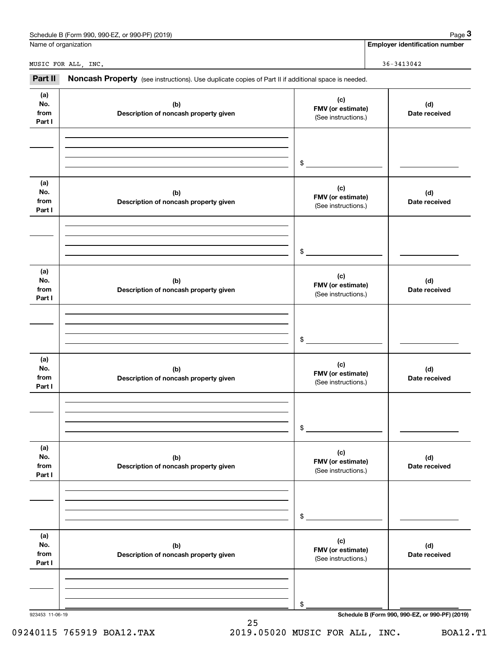|                              | Schedule B (Form 990, 990-EZ, or 990-PF) (2019)                                                     |                                                 | Page 3                                          |
|------------------------------|-----------------------------------------------------------------------------------------------------|-------------------------------------------------|-------------------------------------------------|
|                              | Name of organization                                                                                |                                                 | <b>Employer identification number</b>           |
|                              | MUSIC FOR ALL, INC.                                                                                 |                                                 | $36 - 3413042$                                  |
| Part II                      | Noncash Property (see instructions). Use duplicate copies of Part II if additional space is needed. |                                                 |                                                 |
| (a)<br>No.<br>from<br>Part I | (b)<br>Description of noncash property given                                                        | (c)<br>FMV (or estimate)<br>(See instructions.) | (d)<br>Date received                            |
|                              |                                                                                                     | \$                                              |                                                 |
| (a)<br>No.<br>from<br>Part I | (b)<br>Description of noncash property given                                                        | (c)<br>FMV (or estimate)<br>(See instructions.) | (d)<br>Date received                            |
|                              |                                                                                                     | \$                                              |                                                 |
| (a)<br>No.<br>from<br>Part I | (b)<br>Description of noncash property given                                                        | (c)<br>FMV (or estimate)<br>(See instructions.) | (d)<br>Date received                            |
|                              |                                                                                                     | \$                                              |                                                 |
| (a)<br>No.<br>from<br>Part I | (b)<br>Description of noncash property given                                                        | (c)<br>FMV (or estimate)<br>(See instructions.) | (d)<br>Date received                            |
|                              |                                                                                                     | \$                                              |                                                 |
| (a)<br>No.<br>from<br>Part I | (b)<br>Description of noncash property given                                                        | (c)<br>FMV (or estimate)<br>(See instructions.) | (d)<br>Date received                            |
|                              |                                                                                                     | \$                                              |                                                 |
| (a)<br>No.<br>from<br>Part I | (b)<br>Description of noncash property given                                                        | (c)<br>FMV (or estimate)<br>(See instructions.) | (d)<br>Date received                            |
|                              |                                                                                                     |                                                 |                                                 |
|                              |                                                                                                     | \$                                              | Schedule B (Form 990, 990-EZ, or 990-PF) (2019) |

### 09240115 765919 BOA12.TAX 2019.05020 MUSIC FOR ALL, INC. BOA12.T1

25

Schedule B (Form 990, 990-EZ, or 990-PF) (2019) Schedule B (Form 990, 990-EZ, or 990-PF) (2019)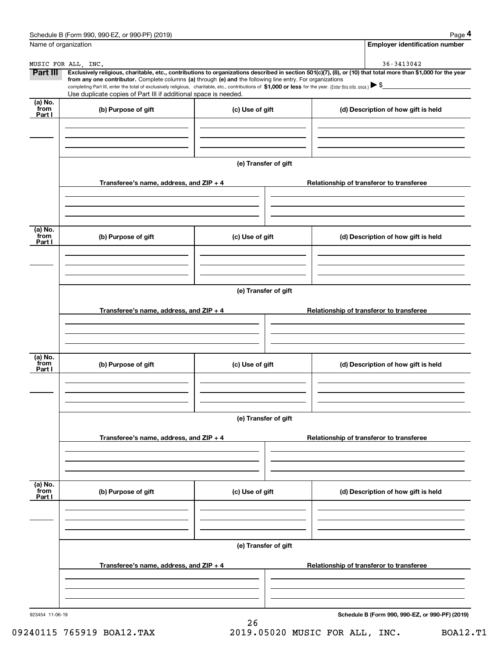|                           | Schedule B (Form 990, 990-EZ, or 990-PF) (2019)                                                                                                                                   |                      | Page 4                                                                                                                                                         |  |
|---------------------------|-----------------------------------------------------------------------------------------------------------------------------------------------------------------------------------|----------------------|----------------------------------------------------------------------------------------------------------------------------------------------------------------|--|
| Name of organization      |                                                                                                                                                                                   |                      | <b>Employer identification number</b>                                                                                                                          |  |
|                           | MUSIC FOR ALL, INC.                                                                                                                                                               |                      | 36-3413042                                                                                                                                                     |  |
| Part III                  | from any one contributor. Complete columns (a) through (e) and the following line entry. For organizations                                                                        |                      | Exclusively religious, charitable, etc., contributions to organizations described in section 501(c)(7), (8), or (10) that total more than \$1,000 for the year |  |
|                           | completing Part III, enter the total of exclusively religious, charitable, etc., contributions of \$1,000 or less for the year. (Enter this info. once.) $\blacktriangleright$ \$ |                      |                                                                                                                                                                |  |
|                           | Use duplicate copies of Part III if additional space is needed.                                                                                                                   |                      |                                                                                                                                                                |  |
| (a) No.<br>from<br>Part I | (b) Purpose of gift                                                                                                                                                               | (c) Use of gift      | (d) Description of how gift is held                                                                                                                            |  |
|                           |                                                                                                                                                                                   |                      |                                                                                                                                                                |  |
|                           |                                                                                                                                                                                   | (e) Transfer of gift |                                                                                                                                                                |  |
|                           | Transferee's name, address, and $ZIP + 4$                                                                                                                                         |                      | Relationship of transferor to transferee                                                                                                                       |  |
|                           |                                                                                                                                                                                   |                      |                                                                                                                                                                |  |
|                           |                                                                                                                                                                                   |                      |                                                                                                                                                                |  |
| (a) No.<br>from<br>Part I | (b) Purpose of gift                                                                                                                                                               | (c) Use of gift      | (d) Description of how gift is held                                                                                                                            |  |
|                           |                                                                                                                                                                                   |                      |                                                                                                                                                                |  |
|                           |                                                                                                                                                                                   | (e) Transfer of gift |                                                                                                                                                                |  |
|                           | Transferee's name, address, and $ZIP + 4$                                                                                                                                         |                      | Relationship of transferor to transferee                                                                                                                       |  |
|                           |                                                                                                                                                                                   |                      |                                                                                                                                                                |  |
|                           |                                                                                                                                                                                   |                      |                                                                                                                                                                |  |
| (a) No.<br>from<br>Part I | (b) Purpose of gift                                                                                                                                                               | (c) Use of gift      | (d) Description of how gift is held                                                                                                                            |  |
|                           |                                                                                                                                                                                   |                      |                                                                                                                                                                |  |
|                           |                                                                                                                                                                                   | (e) Transfer of gift |                                                                                                                                                                |  |
|                           | Transferee's name, address, and $ZIP + 4$                                                                                                                                         |                      | Relationship of transferor to transferee                                                                                                                       |  |
|                           |                                                                                                                                                                                   |                      |                                                                                                                                                                |  |
|                           |                                                                                                                                                                                   |                      |                                                                                                                                                                |  |
| (a) No.<br>from<br>Part I | (b) Purpose of gift                                                                                                                                                               | (c) Use of gift      | (d) Description of how gift is held                                                                                                                            |  |
|                           |                                                                                                                                                                                   |                      |                                                                                                                                                                |  |
|                           |                                                                                                                                                                                   | (e) Transfer of gift |                                                                                                                                                                |  |
|                           | Transferee's name, address, and $ZIP + 4$                                                                                                                                         |                      | Relationship of transferor to transferee                                                                                                                       |  |
|                           |                                                                                                                                                                                   |                      |                                                                                                                                                                |  |
|                           |                                                                                                                                                                                   |                      |                                                                                                                                                                |  |
| 923454 11-06-19           |                                                                                                                                                                                   |                      | Schedule B (Form 990, 990-EZ, or 990-PF) (2019)                                                                                                                |  |

26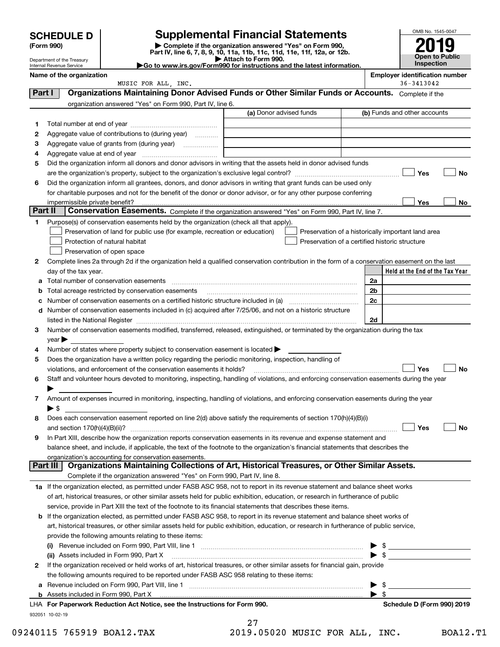| <b>SCHEDULE D</b> |  |
|-------------------|--|
|-------------------|--|

Department of the Treasury

| (Form 990) |  |
|------------|--|
|------------|--|

### **Supplemental Financial Statements**

(Form 990)<br>
Pepartment of the Treasury<br>
Department of the Treasury<br>
Department of the Treasury<br>
Department of the Treasury<br> **Co to www.irs.gov/Form990 for instructions and the latest information.**<br> **Co to www.irs.gov/Form9** 



|         | Internal Revenue Service |                                                                                                                | $\blacktriangleright$ Go to www.irs.gov/Form990 for instructions and the latest information.                                                   |    | <b>Inspection</b>                                  |    |
|---------|--------------------------|----------------------------------------------------------------------------------------------------------------|------------------------------------------------------------------------------------------------------------------------------------------------|----|----------------------------------------------------|----|
|         | Name of the organization |                                                                                                                |                                                                                                                                                |    | <b>Employer identification number</b>              |    |
| Part I  |                          | MUSIC FOR ALL, INC.                                                                                            | Organizations Maintaining Donor Advised Funds or Other Similar Funds or Accounts. Complete if the                                              |    | 36-3413042                                         |    |
|         |                          |                                                                                                                |                                                                                                                                                |    |                                                    |    |
|         |                          | organization answered "Yes" on Form 990, Part IV, line 6.                                                      | (a) Donor advised funds                                                                                                                        |    | (b) Funds and other accounts                       |    |
|         |                          |                                                                                                                |                                                                                                                                                |    |                                                    |    |
| 1       |                          |                                                                                                                |                                                                                                                                                |    |                                                    |    |
| 2       |                          | Aggregate value of contributions to (during year)                                                              |                                                                                                                                                |    |                                                    |    |
| з       |                          | Aggregate value of grants from (during year)                                                                   |                                                                                                                                                |    |                                                    |    |
| 4       |                          |                                                                                                                |                                                                                                                                                |    |                                                    |    |
| 5       |                          |                                                                                                                | Did the organization inform all donors and donor advisors in writing that the assets held in donor advised funds                               |    |                                                    |    |
|         |                          |                                                                                                                |                                                                                                                                                |    | Yes                                                | No |
| 6       |                          |                                                                                                                | Did the organization inform all grantees, donors, and donor advisors in writing that grant funds can be used only                              |    |                                                    |    |
|         |                          |                                                                                                                | for charitable purposes and not for the benefit of the donor or donor advisor, or for any other purpose conferring                             |    |                                                    |    |
| Part II |                          |                                                                                                                |                                                                                                                                                |    | Yes                                                | No |
|         |                          |                                                                                                                | Conservation Easements. Complete if the organization answered "Yes" on Form 990, Part IV, line 7.                                              |    |                                                    |    |
| 1       |                          | Purpose(s) of conservation easements held by the organization (check all that apply).                          |                                                                                                                                                |    |                                                    |    |
|         |                          | Preservation of land for public use (for example, recreation or education)                                     |                                                                                                                                                |    | Preservation of a historically important land area |    |
|         |                          | Protection of natural habitat                                                                                  | Preservation of a certified historic structure                                                                                                 |    |                                                    |    |
|         |                          | Preservation of open space                                                                                     |                                                                                                                                                |    |                                                    |    |
| 2       |                          |                                                                                                                | Complete lines 2a through 2d if the organization held a qualified conservation contribution in the form of a conservation easement on the last |    |                                                    |    |
|         | day of the tax year.     |                                                                                                                |                                                                                                                                                |    | Held at the End of the Tax Year                    |    |
| а       |                          | Total number of conservation easements                                                                         |                                                                                                                                                | 2a |                                                    |    |
| b       |                          | Total acreage restricted by conservation easements                                                             |                                                                                                                                                | 2b |                                                    |    |
| с       |                          |                                                                                                                |                                                                                                                                                | 2c |                                                    |    |
| d       |                          |                                                                                                                | Number of conservation easements included in (c) acquired after 7/25/06, and not on a historic structure                                       |    |                                                    |    |
|         |                          |                                                                                                                |                                                                                                                                                | 2d |                                                    |    |
| 3       |                          |                                                                                                                | Number of conservation easements modified, transferred, released, extinguished, or terminated by the organization during the tax               |    |                                                    |    |
| 4       | year                     | Number of states where property subject to conservation easement is located $\blacktriangleright$              |                                                                                                                                                |    |                                                    |    |
| 5       |                          | Does the organization have a written policy regarding the periodic monitoring, inspection, handling of         |                                                                                                                                                |    |                                                    |    |
|         |                          | violations, and enforcement of the conservation easements it holds?                                            |                                                                                                                                                |    | Yes                                                | No |
| 6       |                          |                                                                                                                | Staff and volunteer hours devoted to monitoring, inspecting, handling of violations, and enforcing conservation easements during the year      |    |                                                    |    |
|         |                          |                                                                                                                |                                                                                                                                                |    |                                                    |    |
| 7       |                          |                                                                                                                | Amount of expenses incurred in monitoring, inspecting, handling of violations, and enforcing conservation easements during the year            |    |                                                    |    |
|         | $\blacktriangleright$ \$ |                                                                                                                |                                                                                                                                                |    |                                                    |    |
| 8       |                          |                                                                                                                | Does each conservation easement reported on line 2(d) above satisfy the requirements of section 170(h)(4)(B)(i)                                |    |                                                    |    |
|         |                          |                                                                                                                |                                                                                                                                                |    | Yes                                                | No |
| 9       |                          |                                                                                                                | In Part XIII, describe how the organization reports conservation easements in its revenue and expense statement and                            |    |                                                    |    |
|         |                          |                                                                                                                | balance sheet, and include, if applicable, the text of the footnote to the organization's financial statements that describes the              |    |                                                    |    |
|         |                          | organization's accounting for conservation easements.                                                          |                                                                                                                                                |    |                                                    |    |
|         | Part III                 |                                                                                                                | Organizations Maintaining Collections of Art, Historical Treasures, or Other Similar Assets.                                                   |    |                                                    |    |
|         |                          | Complete if the organization answered "Yes" on Form 990, Part IV, line 8.                                      |                                                                                                                                                |    |                                                    |    |
|         |                          |                                                                                                                | 1a If the organization elected, as permitted under FASB ASC 958, not to report in its revenue statement and balance sheet works                |    |                                                    |    |
|         |                          |                                                                                                                | of art, historical treasures, or other similar assets held for public exhibition, education, or research in furtherance of public              |    |                                                    |    |
|         |                          | service, provide in Part XIII the text of the footnote to its financial statements that describes these items. |                                                                                                                                                |    |                                                    |    |
| b       |                          |                                                                                                                | If the organization elected, as permitted under FASB ASC 958, to report in its revenue statement and balance sheet works of                    |    |                                                    |    |
|         |                          |                                                                                                                | art, historical treasures, or other similar assets held for public exhibition, education, or research in furtherance of public service,        |    |                                                    |    |
|         |                          | provide the following amounts relating to these items:                                                         |                                                                                                                                                |    |                                                    |    |
|         |                          |                                                                                                                |                                                                                                                                                |    | - \$                                               |    |
|         |                          | (ii) Assets included in Form 990, Part X                                                                       |                                                                                                                                                |    | - \$                                               |    |
| 2       |                          |                                                                                                                | If the organization received or held works of art, historical treasures, or other similar assets for financial gain, provide                   |    |                                                    |    |

932051 10-02-19

Assets included in Form 990, Part X

**b**

**a**Revenue included on Form 990, Part VIII, line 1 ~~~~~~~~~~~~~~~~~~~~~~~~~~~~~~

the following amounts required to be reported under FASB ASC 958 relating to these items:

**For Paperwork Reduction Act Notice, see the Instructions for Form 990. Schedule D (Form 990) 2019** LHA

27

|  | 09240115 765919 BOA12.TAX | 2019.05020 MUSIC FOR ALL, INC. | <b>BOA12.T1</b> |
|--|---------------------------|--------------------------------|-----------------|
|--|---------------------------|--------------------------------|-----------------|

 $\blacktriangleright$  \$

 $\blacktriangleright$  \$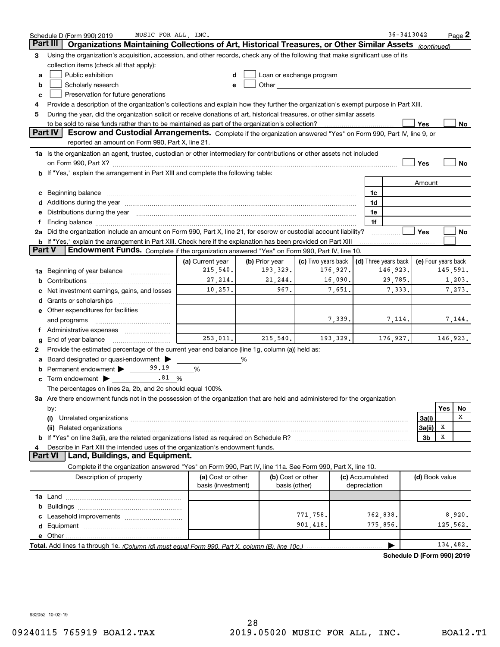|        | MUSIC FOR ALL, INC.<br>Schedule D (Form 990) 2019                                                                                                                                                                              |                                                     |                |                                                                                                                                                                                                                                |           |                      | $36 - 3413042$             |                     |     | $Page$ 2 |
|--------|--------------------------------------------------------------------------------------------------------------------------------------------------------------------------------------------------------------------------------|-----------------------------------------------------|----------------|--------------------------------------------------------------------------------------------------------------------------------------------------------------------------------------------------------------------------------|-----------|----------------------|----------------------------|---------------------|-----|----------|
|        | Organizations Maintaining Collections of Art, Historical Treasures, or Other Similar Assets<br>Part III                                                                                                                        |                                                     |                |                                                                                                                                                                                                                                |           |                      |                            | (continued)         |     |          |
| 3      | Using the organization's acquisition, accession, and other records, check any of the following that make significant use of its                                                                                                |                                                     |                |                                                                                                                                                                                                                                |           |                      |                            |                     |     |          |
|        | collection items (check all that apply):                                                                                                                                                                                       |                                                     |                |                                                                                                                                                                                                                                |           |                      |                            |                     |     |          |
| а      | Public exhibition                                                                                                                                                                                                              |                                                     |                | Loan or exchange program                                                                                                                                                                                                       |           |                      |                            |                     |     |          |
| b      | Scholarly research                                                                                                                                                                                                             |                                                     |                | Other and the control of the control of the control of the control of the control of the control of the control of the control of the control of the control of the control of the control of the control of the control of th |           |                      |                            |                     |     |          |
| c      | Preservation for future generations                                                                                                                                                                                            |                                                     |                |                                                                                                                                                                                                                                |           |                      |                            |                     |     |          |
| 4      | Provide a description of the organization's collections and explain how they further the organization's exempt purpose in Part XIII.                                                                                           |                                                     |                |                                                                                                                                                                                                                                |           |                      |                            |                     |     |          |
| 5      | During the year, did the organization solicit or receive donations of art, historical treasures, or other similar assets                                                                                                       |                                                     |                |                                                                                                                                                                                                                                |           |                      |                            |                     |     |          |
|        | to be sold to raise funds rather than to be maintained as part of the organization's collection?                                                                                                                               |                                                     |                |                                                                                                                                                                                                                                |           |                      |                            | Yes                 |     | No       |
|        | <b>Part IV</b><br>Escrow and Custodial Arrangements. Complete if the organization answered "Yes" on Form 990, Part IV, line 9, or                                                                                              |                                                     |                |                                                                                                                                                                                                                                |           |                      |                            |                     |     |          |
|        | reported an amount on Form 990, Part X, line 21.                                                                                                                                                                               |                                                     |                |                                                                                                                                                                                                                                |           |                      |                            |                     |     |          |
|        | 1a Is the organization an agent, trustee, custodian or other intermediary for contributions or other assets not included                                                                                                       |                                                     |                |                                                                                                                                                                                                                                |           |                      |                            |                     |     |          |
|        |                                                                                                                                                                                                                                |                                                     |                |                                                                                                                                                                                                                                |           |                      |                            | Yes                 |     | No       |
|        | b If "Yes," explain the arrangement in Part XIII and complete the following table:                                                                                                                                             |                                                     |                |                                                                                                                                                                                                                                |           |                      |                            |                     |     |          |
|        |                                                                                                                                                                                                                                |                                                     |                |                                                                                                                                                                                                                                |           |                      |                            | Amount              |     |          |
|        | Beginning balance                                                                                                                                                                                                              |                                                     |                |                                                                                                                                                                                                                                |           | 1c                   |                            |                     |     |          |
|        | Additions during the year manufactured and an account of the year manufactured and account of the year manufactured and account of the year manufactured and account of the year manufactured and account of the year manufact |                                                     |                |                                                                                                                                                                                                                                |           | 1d                   |                            |                     |     |          |
|        | Distributions during the year measurement contains and all the state of the state of the state of the state of                                                                                                                 |                                                     |                |                                                                                                                                                                                                                                |           | 1e                   |                            |                     |     |          |
| f      | Ending balance manufactured and contract the contract of the contract of the contract of the contract of the contract of the contract of the contract of the contract of the contract of the contract of the contract of the c |                                                     |                |                                                                                                                                                                                                                                |           | 1f                   |                            |                     |     |          |
|        | 2a Did the organization include an amount on Form 990, Part X, line 21, for escrow or custodial account liability?                                                                                                             |                                                     |                |                                                                                                                                                                                                                                |           |                      |                            | Yes                 |     | No       |
|        | <b>b</b> If "Yes," explain the arrangement in Part XIII. Check here if the explanation has been provided on Part XIII                                                                                                          |                                                     |                |                                                                                                                                                                                                                                |           |                      |                            |                     |     |          |
| Part V | Endowment Funds. Complete if the organization answered "Yes" on Form 990, Part IV, line 10.                                                                                                                                    |                                                     |                |                                                                                                                                                                                                                                |           |                      |                            |                     |     |          |
|        |                                                                                                                                                                                                                                | (a) Current year                                    | (b) Prior year | (c) Two years back                                                                                                                                                                                                             |           | (d) Three years back |                            | (e) Four years back |     |          |
| 1a     | Beginning of year balance                                                                                                                                                                                                      | 215,540.                                            | 193,329.       |                                                                                                                                                                                                                                | 176,927.  |                      | 146,923.                   |                     |     | 145,591. |
| b      |                                                                                                                                                                                                                                | 27, 214.<br>21,244.<br>16,090.<br>29,785.<br>1,203. |                |                                                                                                                                                                                                                                |           |                      |                            |                     |     |          |
|        | Net investment earnings, gains, and losses                                                                                                                                                                                     | 967.<br>10,257.<br>7,651.<br>7,333.<br>7,273.       |                |                                                                                                                                                                                                                                |           |                      |                            |                     |     |          |
|        |                                                                                                                                                                                                                                |                                                     |                |                                                                                                                                                                                                                                |           |                      |                            |                     |     |          |
|        | e Other expenditures for facilities                                                                                                                                                                                            |                                                     |                |                                                                                                                                                                                                                                |           |                      |                            |                     |     |          |
|        | and programs                                                                                                                                                                                                                   |                                                     |                |                                                                                                                                                                                                                                | 7,339.    |                      | 7,114.                     |                     |     | 7,144.   |
| Ť.     |                                                                                                                                                                                                                                |                                                     |                |                                                                                                                                                                                                                                |           |                      |                            |                     |     |          |
|        | End of year balance                                                                                                                                                                                                            | 253,011.                                            | 215,540.       |                                                                                                                                                                                                                                | 193, 329. |                      | 176,927.                   |                     |     | 146,923. |
| 2      | Provide the estimated percentage of the current year end balance (line 1g, column (a)) held as:                                                                                                                                |                                                     |                |                                                                                                                                                                                                                                |           |                      |                            |                     |     |          |
|        | Board designated or quasi-endowment                                                                                                                                                                                            |                                                     | %              |                                                                                                                                                                                                                                |           |                      |                            |                     |     |          |
|        | 99.19<br>Permanent endowment >                                                                                                                                                                                                 | %                                                   |                |                                                                                                                                                                                                                                |           |                      |                            |                     |     |          |
| с      | .81%<br>Term endowment $\blacktriangleright$                                                                                                                                                                                   |                                                     |                |                                                                                                                                                                                                                                |           |                      |                            |                     |     |          |
|        | The percentages on lines 2a, 2b, and 2c should equal 100%.                                                                                                                                                                     |                                                     |                |                                                                                                                                                                                                                                |           |                      |                            |                     |     |          |
|        | 3a Are there endowment funds not in the possession of the organization that are held and administered for the organization                                                                                                     |                                                     |                |                                                                                                                                                                                                                                |           |                      |                            |                     |     |          |
|        | by:                                                                                                                                                                                                                            |                                                     |                |                                                                                                                                                                                                                                |           |                      |                            |                     | Yes | No       |
|        | (i)                                                                                                                                                                                                                            |                                                     |                |                                                                                                                                                                                                                                |           |                      |                            | 3a(i)               |     | X        |
|        |                                                                                                                                                                                                                                |                                                     |                |                                                                                                                                                                                                                                |           |                      |                            | 3a(ii)              | x   |          |
|        |                                                                                                                                                                                                                                |                                                     |                |                                                                                                                                                                                                                                |           |                      |                            | 3 <sub>b</sub>      | X   |          |
|        | Describe in Part XIII the intended uses of the organization's endowment funds.                                                                                                                                                 |                                                     |                |                                                                                                                                                                                                                                |           |                      |                            |                     |     |          |
|        | <b>Land, Buildings, and Equipment.</b><br><b>Part VI</b>                                                                                                                                                                       |                                                     |                |                                                                                                                                                                                                                                |           |                      |                            |                     |     |          |
|        | Complete if the organization answered "Yes" on Form 990, Part IV, line 11a. See Form 990, Part X, line 10.                                                                                                                     |                                                     |                |                                                                                                                                                                                                                                |           |                      |                            |                     |     |          |
|        | Description of property                                                                                                                                                                                                        | (a) Cost or other                                   |                | (b) Cost or other                                                                                                                                                                                                              |           | (c) Accumulated      |                            | (d) Book value      |     |          |
|        |                                                                                                                                                                                                                                | basis (investment)                                  |                | basis (other)                                                                                                                                                                                                                  |           | depreciation         |                            |                     |     |          |
|        |                                                                                                                                                                                                                                |                                                     |                |                                                                                                                                                                                                                                |           |                      |                            |                     |     |          |
| b      |                                                                                                                                                                                                                                |                                                     |                |                                                                                                                                                                                                                                |           |                      |                            |                     |     |          |
|        |                                                                                                                                                                                                                                |                                                     |                | 771,758.                                                                                                                                                                                                                       |           | 762,838.             |                            |                     |     | 8,920.   |
| d      |                                                                                                                                                                                                                                |                                                     |                | 901,418.                                                                                                                                                                                                                       |           | 775,856.             |                            |                     |     | 125,562. |
|        |                                                                                                                                                                                                                                |                                                     |                |                                                                                                                                                                                                                                |           |                      |                            |                     |     |          |
|        |                                                                                                                                                                                                                                |                                                     |                |                                                                                                                                                                                                                                |           |                      |                            |                     |     | 134,482. |
|        |                                                                                                                                                                                                                                |                                                     |                |                                                                                                                                                                                                                                |           |                      | Schedule D (Form 990) 2019 |                     |     |          |

932052 10-02-19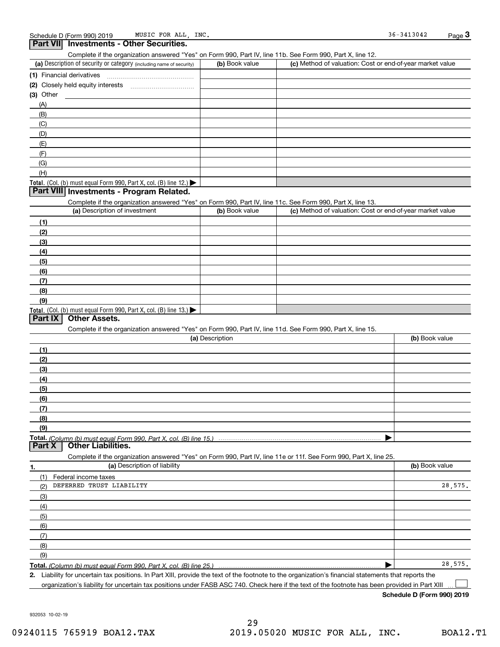**Part VII Investments - Other Securities.** 

| Complete if the organization answered "Yes" on Form 990, Part IV, line 11b. See Form 990, Part X, line 12.        |                 |                                                           |                |
|-------------------------------------------------------------------------------------------------------------------|-----------------|-----------------------------------------------------------|----------------|
| (a) Description of security or category (including name of security)                                              | (b) Book value  | (c) Method of valuation: Cost or end-of-year market value |                |
| (1) Financial derivatives                                                                                         |                 |                                                           |                |
|                                                                                                                   |                 |                                                           |                |
| (3) Other                                                                                                         |                 |                                                           |                |
| (A)                                                                                                               |                 |                                                           |                |
| (B)                                                                                                               |                 |                                                           |                |
| (C)                                                                                                               |                 |                                                           |                |
| (D)                                                                                                               |                 |                                                           |                |
| (E)                                                                                                               |                 |                                                           |                |
| (F)                                                                                                               |                 |                                                           |                |
| (G)                                                                                                               |                 |                                                           |                |
| (H)                                                                                                               |                 |                                                           |                |
| Total. (Col. (b) must equal Form 990, Part X, col. (B) line $12$ .)                                               |                 |                                                           |                |
| Part VIII Investments - Program Related.                                                                          |                 |                                                           |                |
| Complete if the organization answered "Yes" on Form 990, Part IV, line 11c. See Form 990, Part X, line 13.        |                 |                                                           |                |
| (a) Description of investment                                                                                     | (b) Book value  | (c) Method of valuation: Cost or end-of-year market value |                |
| (1)                                                                                                               |                 |                                                           |                |
| (2)                                                                                                               |                 |                                                           |                |
| (3)                                                                                                               |                 |                                                           |                |
|                                                                                                                   |                 |                                                           |                |
| (4)                                                                                                               |                 |                                                           |                |
| (5)                                                                                                               |                 |                                                           |                |
| (6)                                                                                                               |                 |                                                           |                |
| (7)                                                                                                               |                 |                                                           |                |
| (8)                                                                                                               |                 |                                                           |                |
| (9)                                                                                                               |                 |                                                           |                |
| Total. (Col. (b) must equal Form 990, Part X, col. (B) line 13.)<br><b>Other Assets.</b><br>Part IX               |                 |                                                           |                |
|                                                                                                                   |                 |                                                           |                |
| Complete if the organization answered "Yes" on Form 990, Part IV, line 11d. See Form 990, Part X, line 15.        |                 |                                                           |                |
|                                                                                                                   | (a) Description |                                                           | (b) Book value |
| (1)                                                                                                               |                 |                                                           |                |
| (2)                                                                                                               |                 |                                                           |                |
| (3)                                                                                                               |                 |                                                           |                |
| (4)                                                                                                               |                 |                                                           |                |
| (5)                                                                                                               |                 |                                                           |                |
| (6)                                                                                                               |                 |                                                           |                |
| (7)                                                                                                               |                 |                                                           |                |
| (8)                                                                                                               |                 |                                                           |                |
| (9)                                                                                                               |                 |                                                           |                |
| Total. (Column (b) must equal Form 990. Part X, col. (B) line 15.)<br>Part X<br><b>Other Liabilities.</b>         |                 | ▶                                                         |                |
| Complete if the organization answered "Yes" on Form 990, Part IV, line 11e or 11f. See Form 990, Part X, line 25. |                 |                                                           |                |
| (a) Description of liability<br>1.                                                                                |                 |                                                           | (b) Book value |
| (1) Federal income taxes                                                                                          |                 |                                                           |                |
| DEFERRED TRUST LIABILITY<br>(2)                                                                                   |                 |                                                           | 28,575.        |
| (3)                                                                                                               |                 |                                                           |                |
| (4)                                                                                                               |                 |                                                           |                |
|                                                                                                                   |                 |                                                           |                |
| (5)                                                                                                               |                 |                                                           |                |
| (6)                                                                                                               |                 |                                                           |                |
| (7)                                                                                                               |                 |                                                           |                |
| (8)                                                                                                               |                 |                                                           |                |
| (9)                                                                                                               |                 |                                                           |                |
|                                                                                                                   |                 |                                                           | 28,575.        |

*(Column (b) must equal Form 990, Part X, col. (B) line 25.)* 

**2.**Liability for uncertain tax positions. In Part XIII, provide the text of the footnote to the organization's financial statements that reports the organization's liability for uncertain tax positions under FASB ASC 740. Check here if the text of the footnote has been provided in Part XIII  $\mathcal{L}^{\text{max}}$ 

**Schedule D (Form 990) 2019**

932053 10-02-19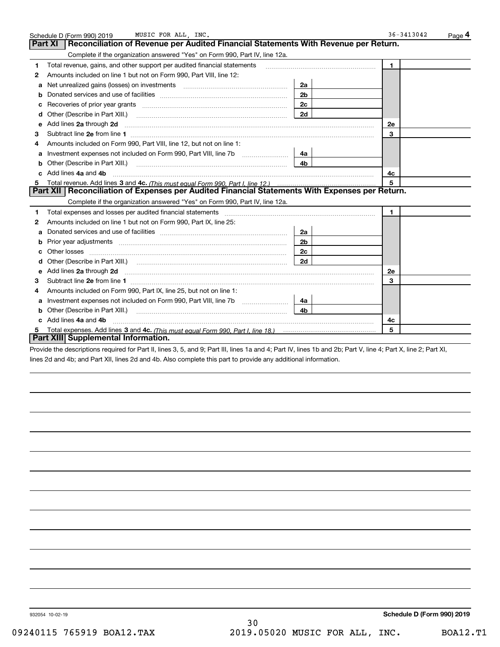|   | Schedule D (Form 990) 2019<br>MUSIC FOR ALL, INC.                                                                                                                                                                                    |                | $36 - 3413042$<br>Page 4 |  |
|---|--------------------------------------------------------------------------------------------------------------------------------------------------------------------------------------------------------------------------------------|----------------|--------------------------|--|
|   | Part XI<br>Reconciliation of Revenue per Audited Financial Statements With Revenue per Return.                                                                                                                                       |                |                          |  |
|   | Complete if the organization answered "Yes" on Form 990, Part IV, line 12a.                                                                                                                                                          |                |                          |  |
| 1 | Total revenue, gains, and other support per audited financial statements                                                                                                                                                             |                | $\blacksquare$           |  |
| 2 | Amounts included on line 1 but not on Form 990, Part VIII, line 12:                                                                                                                                                                  |                |                          |  |
| a | Net unrealized gains (losses) on investments [11] matter contracts and the unrealized gains (losses) on investments                                                                                                                  | 2a             |                          |  |
| b |                                                                                                                                                                                                                                      | 2 <sub>b</sub> |                          |  |
|   |                                                                                                                                                                                                                                      | 2c             |                          |  |
| d |                                                                                                                                                                                                                                      | 2d             |                          |  |
| е | Add lines 2a through 2d                                                                                                                                                                                                              |                | <b>2e</b>                |  |
| З | Subtract line 2e from line 1 <b>manufacture in the contract of the 2e</b> from line 1                                                                                                                                                |                | 3                        |  |
| 4 | Amounts included on Form 990, Part VIII, line 12, but not on line 1:                                                                                                                                                                 |                |                          |  |
|   |                                                                                                                                                                                                                                      | 4a             |                          |  |
|   | Other (Describe in Part XIII.) <b>Construction Construction</b> Chern Construction Chern Chern Chern Chern Chern Chern                                                                                                               | 4b             |                          |  |
|   | c Add lines 4a and 4b                                                                                                                                                                                                                |                | 4с                       |  |
|   |                                                                                                                                                                                                                                      |                | 5                        |  |
|   | Part XII   Reconciliation of Expenses per Audited Financial Statements With Expenses per Return.                                                                                                                                     |                |                          |  |
|   | Complete if the organization answered "Yes" on Form 990, Part IV, line 12a.                                                                                                                                                          |                |                          |  |
| 1 |                                                                                                                                                                                                                                      |                | 1.                       |  |
| 2 | Amounts included on line 1 but not on Form 990, Part IX, line 25:                                                                                                                                                                    |                |                          |  |
| a |                                                                                                                                                                                                                                      | 2a             |                          |  |
| b |                                                                                                                                                                                                                                      | 2 <sub>b</sub> |                          |  |
|   | Other losses <b>with a contract the contract of the contract of the contract of the contract of the contract of the contract of the contract of the contract of the contract of the contract of the contract of the contract of </b> | 2 <sub>c</sub> |                          |  |
| d |                                                                                                                                                                                                                                      | 2d             |                          |  |
|   | Add lines 2a through 2d <b>manufactures</b> and contained the state of the state of the state of the state of the state of the state of the state of the state of the state of the state of the state of the state of the state of   |                | <b>2e</b>                |  |
| з |                                                                                                                                                                                                                                      |                | 3                        |  |
| 4 | Amounts included on Form 990, Part IX, line 25, but not on line 1:                                                                                                                                                                   |                |                          |  |
| a |                                                                                                                                                                                                                                      | 4a             |                          |  |
|   | <b>b</b> Other (Describe in Part XIII.)                                                                                                                                                                                              | 4b             |                          |  |
| c | Add lines 4a and 4b                                                                                                                                                                                                                  |                | 4c                       |  |
|   |                                                                                                                                                                                                                                      |                | 5                        |  |
|   | Part XIII Supplemental Information.                                                                                                                                                                                                  |                |                          |  |

Provide the descriptions required for Part II, lines 3, 5, and 9; Part III, lines 1a and 4; Part IV, lines 1b and 2b; Part V, line 4; Part X, line 2; Part XI, lines 2d and 4b; and Part XII, lines 2d and 4b. Also complete this part to provide any additional information.

30

932054 10-02-19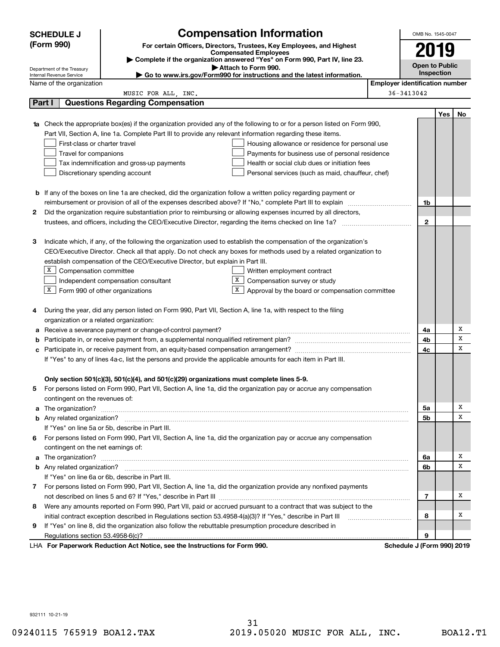|                                                                                                               | <b>SCHEDULE J</b>                                                                                                                                        |                                                                                                                        | <b>Compensation Information</b>                                                                                                  |                                       | OMB No. 1545-0047          |     |    |  |
|---------------------------------------------------------------------------------------------------------------|----------------------------------------------------------------------------------------------------------------------------------------------------------|------------------------------------------------------------------------------------------------------------------------|----------------------------------------------------------------------------------------------------------------------------------|---------------------------------------|----------------------------|-----|----|--|
|                                                                                                               | (Form 990)                                                                                                                                               |                                                                                                                        | For certain Officers, Directors, Trustees, Key Employees, and Highest                                                            |                                       | 2019                       |     |    |  |
|                                                                                                               | <b>Compensated Employees</b>                                                                                                                             |                                                                                                                        |                                                                                                                                  |                                       |                            |     |    |  |
|                                                                                                               | Complete if the organization answered "Yes" on Form 990, Part IV, line 23.<br><b>Open to Public</b><br>Attach to Form 990.<br>Department of the Treasury |                                                                                                                        |                                                                                                                                  |                                       |                            |     |    |  |
|                                                                                                               | Internal Revenue Service                                                                                                                                 |                                                                                                                        | Go to www.irs.gov/Form990 for instructions and the latest information.                                                           |                                       | <b>Inspection</b>          |     |    |  |
|                                                                                                               | Name of the organization                                                                                                                                 |                                                                                                                        |                                                                                                                                  | <b>Employer identification number</b> |                            |     |    |  |
|                                                                                                               |                                                                                                                                                          | MUSIC FOR ALL, INC.                                                                                                    |                                                                                                                                  |                                       | 36-3413042                 |     |    |  |
| Part I                                                                                                        |                                                                                                                                                          | <b>Questions Regarding Compensation</b>                                                                                |                                                                                                                                  |                                       |                            |     |    |  |
|                                                                                                               |                                                                                                                                                          |                                                                                                                        |                                                                                                                                  |                                       |                            | Yes | No |  |
|                                                                                                               |                                                                                                                                                          |                                                                                                                        | <b>1a</b> Check the appropriate box(es) if the organization provided any of the following to or for a person listed on Form 990, |                                       |                            |     |    |  |
|                                                                                                               |                                                                                                                                                          | Part VII, Section A, line 1a. Complete Part III to provide any relevant information regarding these items.             |                                                                                                                                  |                                       |                            |     |    |  |
|                                                                                                               | First-class or charter travel                                                                                                                            |                                                                                                                        | Housing allowance or residence for personal use                                                                                  |                                       |                            |     |    |  |
|                                                                                                               | Travel for companions                                                                                                                                    |                                                                                                                        | Payments for business use of personal residence                                                                                  |                                       |                            |     |    |  |
|                                                                                                               |                                                                                                                                                          | Tax indemnification and gross-up payments                                                                              | Health or social club dues or initiation fees                                                                                    |                                       |                            |     |    |  |
|                                                                                                               |                                                                                                                                                          | Discretionary spending account                                                                                         | Personal services (such as maid, chauffeur, chef)                                                                                |                                       |                            |     |    |  |
|                                                                                                               |                                                                                                                                                          |                                                                                                                        |                                                                                                                                  |                                       |                            |     |    |  |
|                                                                                                               |                                                                                                                                                          | <b>b</b> If any of the boxes on line 1a are checked, did the organization follow a written policy regarding payment or |                                                                                                                                  |                                       |                            |     |    |  |
|                                                                                                               |                                                                                                                                                          |                                                                                                                        |                                                                                                                                  |                                       | 1b                         |     |    |  |
| 2                                                                                                             |                                                                                                                                                          |                                                                                                                        | Did the organization require substantiation prior to reimbursing or allowing expenses incurred by all directors,                 |                                       |                            |     |    |  |
|                                                                                                               |                                                                                                                                                          |                                                                                                                        |                                                                                                                                  |                                       | $\mathbf{2}$               |     |    |  |
|                                                                                                               |                                                                                                                                                          |                                                                                                                        |                                                                                                                                  |                                       |                            |     |    |  |
| З                                                                                                             |                                                                                                                                                          |                                                                                                                        | Indicate which, if any, of the following the organization used to establish the compensation of the organization's               |                                       |                            |     |    |  |
|                                                                                                               |                                                                                                                                                          |                                                                                                                        | CEO/Executive Director. Check all that apply. Do not check any boxes for methods used by a related organization to               |                                       |                            |     |    |  |
|                                                                                                               |                                                                                                                                                          | establish compensation of the CEO/Executive Director, but explain in Part III.                                         |                                                                                                                                  |                                       |                            |     |    |  |
|                                                                                                               | X  <br>Compensation committee<br>Written employment contract                                                                                             |                                                                                                                        |                                                                                                                                  |                                       |                            |     |    |  |
|                                                                                                               | X<br>Compensation survey or study<br>Independent compensation consultant                                                                                 |                                                                                                                        |                                                                                                                                  |                                       |                            |     |    |  |
|                                                                                                               |                                                                                                                                                          | $X$ Form 990 of other organizations                                                                                    | X<br>Approval by the board or compensation committee                                                                             |                                       |                            |     |    |  |
|                                                                                                               |                                                                                                                                                          |                                                                                                                        |                                                                                                                                  |                                       |                            |     |    |  |
| 4                                                                                                             |                                                                                                                                                          | During the year, did any person listed on Form 990, Part VII, Section A, line 1a, with respect to the filing           |                                                                                                                                  |                                       |                            |     |    |  |
|                                                                                                               |                                                                                                                                                          | organization or a related organization:                                                                                |                                                                                                                                  |                                       |                            |     |    |  |
| а                                                                                                             |                                                                                                                                                          | Receive a severance payment or change-of-control payment?                                                              |                                                                                                                                  |                                       | 4a                         |     | Х  |  |
| b                                                                                                             |                                                                                                                                                          |                                                                                                                        |                                                                                                                                  |                                       | 4b                         |     | х  |  |
| с                                                                                                             |                                                                                                                                                          |                                                                                                                        |                                                                                                                                  |                                       | 4c                         |     | х  |  |
| If "Yes" to any of lines 4a-c, list the persons and provide the applicable amounts for each item in Part III. |                                                                                                                                                          |                                                                                                                        |                                                                                                                                  |                                       |                            |     |    |  |
|                                                                                                               |                                                                                                                                                          |                                                                                                                        |                                                                                                                                  |                                       |                            |     |    |  |
|                                                                                                               |                                                                                                                                                          | Only section 501(c)(3), 501(c)(4), and 501(c)(29) organizations must complete lines 5-9.                               |                                                                                                                                  |                                       |                            |     |    |  |
|                                                                                                               |                                                                                                                                                          |                                                                                                                        | For persons listed on Form 990, Part VII, Section A, line 1a, did the organization pay or accrue any compensation                |                                       |                            |     |    |  |
|                                                                                                               | contingent on the revenues of:                                                                                                                           |                                                                                                                        |                                                                                                                                  |                                       |                            |     |    |  |
|                                                                                                               |                                                                                                                                                          |                                                                                                                        | a The organization? <b>Entitation</b> and the organization?                                                                      |                                       | 5a                         |     | х  |  |
|                                                                                                               |                                                                                                                                                          |                                                                                                                        |                                                                                                                                  |                                       | 5b                         |     | х  |  |
|                                                                                                               |                                                                                                                                                          | If "Yes" on line 5a or 5b, describe in Part III.                                                                       |                                                                                                                                  |                                       |                            |     |    |  |
| 6.                                                                                                            |                                                                                                                                                          |                                                                                                                        | For persons listed on Form 990, Part VII, Section A, line 1a, did the organization pay or accrue any compensation                |                                       |                            |     |    |  |
|                                                                                                               | contingent on the net earnings of:                                                                                                                       |                                                                                                                        |                                                                                                                                  |                                       |                            |     | x  |  |
|                                                                                                               |                                                                                                                                                          |                                                                                                                        | a The organization? <b>Entitled Strategies and Strategies and Strategies</b> and The organization?                               |                                       | 6a                         |     | х  |  |
|                                                                                                               |                                                                                                                                                          |                                                                                                                        |                                                                                                                                  |                                       | 6b                         |     |    |  |
|                                                                                                               |                                                                                                                                                          | If "Yes" on line 6a or 6b, describe in Part III.                                                                       |                                                                                                                                  |                                       |                            |     |    |  |
|                                                                                                               |                                                                                                                                                          |                                                                                                                        | 7 For persons listed on Form 990, Part VII, Section A, line 1a, did the organization provide any nonfixed payments               |                                       |                            |     | Х  |  |
|                                                                                                               |                                                                                                                                                          |                                                                                                                        |                                                                                                                                  |                                       | 7                          |     |    |  |
| 8                                                                                                             |                                                                                                                                                          |                                                                                                                        | Were any amounts reported on Form 990, Part VII, paid or accrued pursuant to a contract that was subject to the                  |                                       |                            |     | х  |  |
|                                                                                                               |                                                                                                                                                          | initial contract exception described in Regulations section 53.4958-4(a)(3)? If "Yes," describe in Part III            |                                                                                                                                  |                                       | 8                          |     |    |  |
| 9                                                                                                             |                                                                                                                                                          | If "Yes" on line 8, did the organization also follow the rebuttable presumption procedure described in                 |                                                                                                                                  |                                       |                            |     |    |  |
|                                                                                                               |                                                                                                                                                          |                                                                                                                        |                                                                                                                                  |                                       | 9                          |     |    |  |
|                                                                                                               |                                                                                                                                                          | LHA For Paperwork Reduction Act Notice, see the Instructions for Form 990.                                             |                                                                                                                                  |                                       | Schedule J (Form 990) 2019 |     |    |  |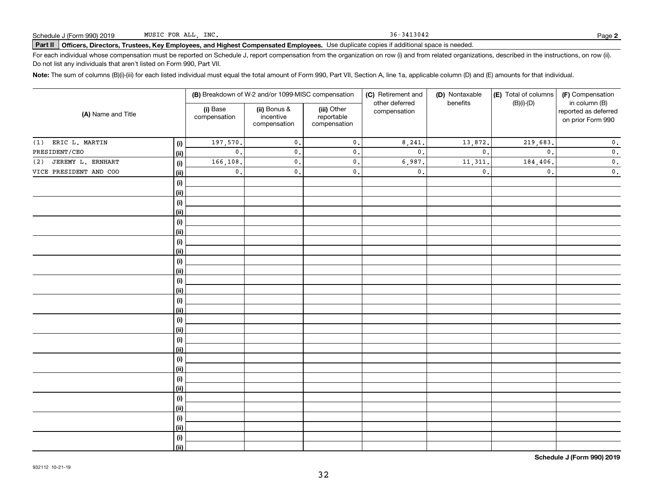36-3413042

## Schedule J (Form 990) 2019 MUSIC FOR ALL,INC**.**<br>Part II │Officers, Directors, Trustees, Key Employees, and Highest Compensated Employees. Use duplicate copies if additional space is needed.

For each individual whose compensation must be reported on Schedule J, report compensation from the organization on row (i) and from related organizations, described in the instructions, on row (ii). Do not list any individuals that aren't listed on Form 990, Part VII.

**Note:**  The sum of columns (B)(i)-(iii) for each listed individual must equal the total amount of Form 990, Part VII, Section A, line 1a, applicable column (D) and (E) amounts for that individual.

|                          |      |                          | (B) Breakdown of W-2 and/or 1099-MISC compensation |                                           | (C) Retirement and<br>other deferred | (D) Nontaxable<br>benefits | (E) Total of columns<br>$(B)(i)-(D)$ | (F) Compensation<br>in column (B)         |
|--------------------------|------|--------------------------|----------------------------------------------------|-------------------------------------------|--------------------------------------|----------------------------|--------------------------------------|-------------------------------------------|
| (A) Name and Title       |      | (i) Base<br>compensation | (ii) Bonus &<br>incentive<br>compensation          | (iii) Other<br>reportable<br>compensation | compensation                         |                            |                                      | reported as deferred<br>on prior Form 990 |
| ERIC L. MARTIN<br>(1)    | (i)  | 197,570.                 | $\mathsf{0}$ .                                     | $\mathbf 0$ .                             | 8,241.                               | 13,872.                    | 219,683.                             | $\mathbf 0$ .                             |
| PRESIDENT/CEO            | (ii) | $\mathbf{0}$ .           | $\mathfrak o$ .                                    | $\mathfrak o$ .                           | $\mathfrak o$ .                      | $\mathbf{0}$ .             | $\mathbf{0}$ .                       | $\mathbf 0$ .                             |
| JEREMY L. ERNHART<br>(2) | (i)  | 166,108.                 | $\mathfrak o$ .                                    | $\mathfrak o$ .                           | 6,987.                               | 11,311                     | 184,406.                             | $\mathbf 0$ .                             |
| VICE PRESIDENT AND COO   | (ii) | $\mathfrak o$ .          | $\mathbf{0}$ .                                     | $\mathbf 0$ .                             | $\mathbf 0$ .                        | $\mathbf{0}$ .             | $\mathbf{0}$ .                       | $\mathbf 0$ .                             |
|                          | (i)  |                          |                                                    |                                           |                                      |                            |                                      |                                           |
|                          | (ii) |                          |                                                    |                                           |                                      |                            |                                      |                                           |
|                          | (i)  |                          |                                                    |                                           |                                      |                            |                                      |                                           |
|                          | (ii) |                          |                                                    |                                           |                                      |                            |                                      |                                           |
|                          | (i)  |                          |                                                    |                                           |                                      |                            |                                      |                                           |
|                          | (ii) |                          |                                                    |                                           |                                      |                            |                                      |                                           |
|                          | (i)  |                          |                                                    |                                           |                                      |                            |                                      |                                           |
|                          | (ii) |                          |                                                    |                                           |                                      |                            |                                      |                                           |
|                          | (i)  |                          |                                                    |                                           |                                      |                            |                                      |                                           |
|                          | (ii) |                          |                                                    |                                           |                                      |                            |                                      |                                           |
|                          | (i)  |                          |                                                    |                                           |                                      |                            |                                      |                                           |
|                          | (ii) |                          |                                                    |                                           |                                      |                            |                                      |                                           |
|                          | (i)  |                          |                                                    |                                           |                                      |                            |                                      |                                           |
|                          | (ii) |                          |                                                    |                                           |                                      |                            |                                      |                                           |
|                          | (i)  |                          |                                                    |                                           |                                      |                            |                                      |                                           |
|                          | (ii) |                          |                                                    |                                           |                                      |                            |                                      |                                           |
|                          | (i)  |                          |                                                    |                                           |                                      |                            |                                      |                                           |
|                          | (ii) |                          |                                                    |                                           |                                      |                            |                                      |                                           |
|                          | (i)  |                          |                                                    |                                           |                                      |                            |                                      |                                           |
|                          | (ii) |                          |                                                    |                                           |                                      |                            |                                      |                                           |
|                          | (i)  |                          |                                                    |                                           |                                      |                            |                                      |                                           |
|                          | (ii) |                          |                                                    |                                           |                                      |                            |                                      |                                           |
|                          | (i)  |                          |                                                    |                                           |                                      |                            |                                      |                                           |
|                          | (ii) |                          |                                                    |                                           |                                      |                            |                                      |                                           |
|                          | (i)  |                          |                                                    |                                           |                                      |                            |                                      |                                           |
|                          | (ii) |                          |                                                    |                                           |                                      |                            |                                      |                                           |
|                          | (i)  |                          |                                                    |                                           |                                      |                            |                                      |                                           |
|                          | (ii) |                          |                                                    |                                           |                                      |                            |                                      |                                           |

**Schedule J (Form 990) 2019**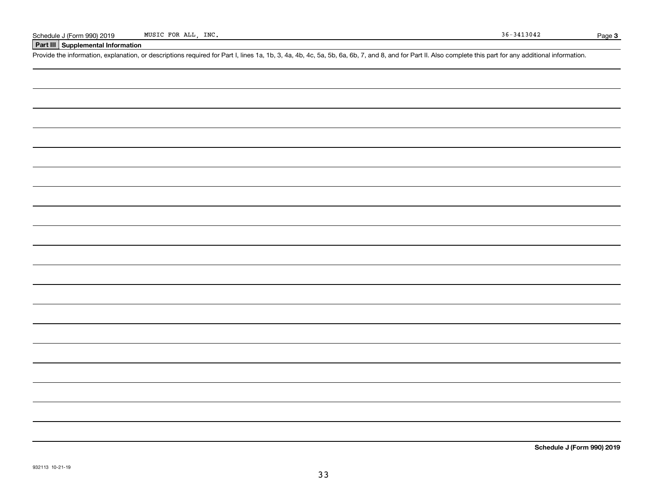### **Part III Supplemental Information**

Schedule J (Form 990) 2019 MUSIC FOR ALL, INC.<br>Part III Supplemental Information<br>Provide the information, explanation, or descriptions required for Part I, lines 1a, 1b, 3, 4a, 4b, 4c, 5a, 5b, 6a, 6b, 7, and 8, and for Par

**Schedule J (Form 990) 2019**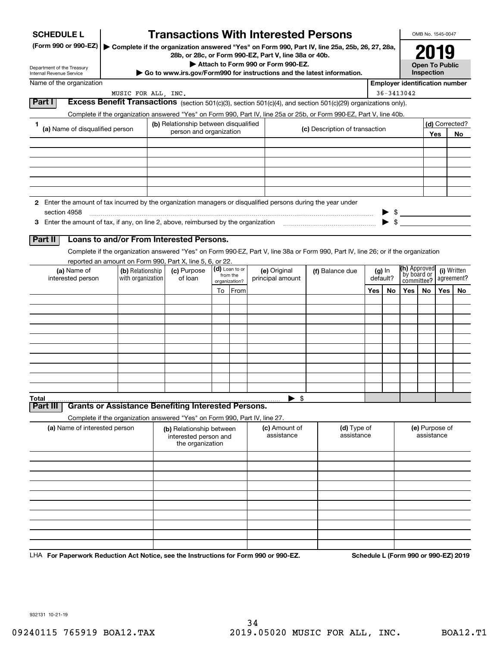| <b>SCHEDULE L</b>                                                                                             |                                       |                                                                            |                            |               | <b>Transactions With Interested Persons</b>                                                                                        |                           |                                       |                              |    |                                                                                                 | OMB No. 1545-0047     |       |                           |
|---------------------------------------------------------------------------------------------------------------|---------------------------------------|----------------------------------------------------------------------------|----------------------------|---------------|------------------------------------------------------------------------------------------------------------------------------------|---------------------------|---------------------------------------|------------------------------|----|-------------------------------------------------------------------------------------------------|-----------------------|-------|---------------------------|
| (Form 990 or 990-EZ)                                                                                          |                                       |                                                                            |                            |               | Complete if the organization answered "Yes" on Form 990, Part IV, line 25a, 25b, 26, 27, 28a,                                      |                           |                                       |                              |    |                                                                                                 |                       |       |                           |
|                                                                                                               |                                       |                                                                            |                            |               | 28b, or 28c, or Form 990-EZ, Part V, line 38a or 40b.<br>Attach to Form 990 or Form 990-EZ.                                        |                           |                                       |                              |    |                                                                                                 | <b>Open To Public</b> |       |                           |
| Department of the Treasury<br>Internal Revenue Service                                                        |                                       |                                                                            |                            |               | $\triangleright$ Go to www.irs.gov/Form990 for instructions and the latest information.                                            |                           |                                       |                              |    |                                                                                                 | Inspection            |       |                           |
| Name of the organization                                                                                      |                                       |                                                                            |                            |               |                                                                                                                                    |                           |                                       |                              |    | <b>Employer identification number</b>                                                           |                       |       |                           |
| Part I                                                                                                        | MUSIC FOR ALL, INC.                   |                                                                            |                            |               | Excess Benefit Transactions (section 501(c)(3), section 501(c)(4), and section 501(c)(29) organizations only).                     |                           |                                       |                              |    | $36 - 3413042$                                                                                  |                       |       |                           |
|                                                                                                               |                                       |                                                                            |                            |               | Complete if the organization answered "Yes" on Form 990, Part IV, line 25a or 25b, or Form 990-EZ, Part V, line 40b.               |                           |                                       |                              |    |                                                                                                 |                       |       |                           |
| 1.<br>(a) Name of disqualified person                                                                         |                                       | (b) Relationship between disqualified                                      |                            |               |                                                                                                                                    |                           | (c) Description of transaction        |                              |    |                                                                                                 |                       |       | (d) Corrected?            |
|                                                                                                               |                                       | person and organization                                                    |                            |               |                                                                                                                                    |                           |                                       |                              |    |                                                                                                 |                       | Yes   | No                        |
|                                                                                                               |                                       |                                                                            |                            |               |                                                                                                                                    |                           |                                       |                              |    |                                                                                                 |                       |       |                           |
|                                                                                                               |                                       |                                                                            |                            |               |                                                                                                                                    |                           |                                       |                              |    |                                                                                                 |                       |       |                           |
|                                                                                                               |                                       |                                                                            |                            |               |                                                                                                                                    |                           |                                       |                              |    |                                                                                                 |                       |       |                           |
|                                                                                                               |                                       |                                                                            |                            |               |                                                                                                                                    |                           |                                       |                              |    |                                                                                                 |                       |       |                           |
| 2 Enter the amount of tax incurred by the organization managers or disqualified persons during the year under |                                       |                                                                            |                            |               |                                                                                                                                    |                           |                                       |                              |    |                                                                                                 |                       |       |                           |
| section 4958                                                                                                  |                                       |                                                                            |                            |               |                                                                                                                                    |                           |                                       |                              |    | $\begin{array}{c} \triangleright \ \ \ \text{\$} \\ \triangleright \ \ \ \text{\$} \end{array}$ |                       |       |                           |
|                                                                                                               |                                       |                                                                            |                            |               |                                                                                                                                    |                           |                                       |                              |    |                                                                                                 |                       |       |                           |
| Part II                                                                                                       |                                       | Loans to and/or From Interested Persons.                                   |                            |               |                                                                                                                                    |                           |                                       |                              |    |                                                                                                 |                       |       |                           |
|                                                                                                               |                                       |                                                                            |                            |               | Complete if the organization answered "Yes" on Form 990-EZ, Part V, line 38a or Form 990, Part IV, line 26; or if the organization |                           |                                       |                              |    |                                                                                                 |                       |       |                           |
|                                                                                                               |                                       | reported an amount on Form 990, Part X, line 5, 6, or 22.                  |                            |               |                                                                                                                                    |                           |                                       |                              |    |                                                                                                 |                       |       |                           |
| (a) Name of<br>interested person                                                                              | (b) Relationship<br>with organization | (c) Purpose<br>of loan                                                     | (d) Loan to or<br>from the |               | (e) Original                                                                                                                       |                           | (f) Balance due<br>(g) In<br>default? |                              |    | (h) Approved<br>`by board or                                                                    |                       |       | (i) Written<br>agreement? |
|                                                                                                               |                                       |                                                                            |                            | organization? | principal amount                                                                                                                   |                           |                                       |                              |    |                                                                                                 | committee?            |       |                           |
|                                                                                                               |                                       |                                                                            | To                         | From          |                                                                                                                                    |                           |                                       | Yes                          | No | Yes                                                                                             | No                    | Yes l | No                        |
|                                                                                                               |                                       |                                                                            |                            |               |                                                                                                                                    |                           |                                       |                              |    |                                                                                                 |                       |       |                           |
|                                                                                                               |                                       |                                                                            |                            |               |                                                                                                                                    |                           |                                       |                              |    |                                                                                                 |                       |       |                           |
|                                                                                                               |                                       |                                                                            |                            |               |                                                                                                                                    |                           |                                       |                              |    |                                                                                                 |                       |       |                           |
|                                                                                                               |                                       |                                                                            |                            |               |                                                                                                                                    |                           |                                       |                              |    |                                                                                                 |                       |       |                           |
|                                                                                                               |                                       |                                                                            |                            |               |                                                                                                                                    |                           |                                       |                              |    |                                                                                                 |                       |       |                           |
|                                                                                                               |                                       |                                                                            |                            |               |                                                                                                                                    |                           |                                       |                              |    |                                                                                                 |                       |       |                           |
|                                                                                                               |                                       |                                                                            |                            |               |                                                                                                                                    |                           |                                       |                              |    |                                                                                                 |                       |       |                           |
| Total                                                                                                         |                                       |                                                                            |                            |               | $\blacktriangleright$ \$                                                                                                           |                           |                                       |                              |    |                                                                                                 |                       |       |                           |
| Part III                                                                                                      |                                       | <b>Grants or Assistance Benefiting Interested Persons.</b>                 |                            |               |                                                                                                                                    |                           |                                       |                              |    |                                                                                                 |                       |       |                           |
|                                                                                                               |                                       | Complete if the organization answered "Yes" on Form 990, Part IV, line 27. |                            |               |                                                                                                                                    |                           |                                       |                              |    |                                                                                                 |                       |       |                           |
| (a) Name of interested person                                                                                 |                                       | (b) Relationship between<br>interested person and<br>the organization      |                            |               | (c) Amount of<br>assistance                                                                                                        | (d) Type of<br>assistance |                                       | (e) Purpose of<br>assistance |    |                                                                                                 |                       |       |                           |
|                                                                                                               |                                       |                                                                            |                            |               |                                                                                                                                    |                           |                                       |                              |    |                                                                                                 |                       |       |                           |
|                                                                                                               |                                       |                                                                            |                            |               |                                                                                                                                    |                           |                                       |                              |    |                                                                                                 |                       |       |                           |
|                                                                                                               |                                       |                                                                            |                            |               |                                                                                                                                    |                           |                                       |                              |    |                                                                                                 |                       |       |                           |
|                                                                                                               |                                       |                                                                            |                            |               |                                                                                                                                    |                           |                                       |                              |    |                                                                                                 |                       |       |                           |
|                                                                                                               |                                       |                                                                            |                            |               |                                                                                                                                    |                           |                                       |                              |    |                                                                                                 |                       |       |                           |
|                                                                                                               |                                       |                                                                            |                            |               |                                                                                                                                    |                           |                                       |                              |    |                                                                                                 |                       |       |                           |
|                                                                                                               |                                       |                                                                            |                            |               |                                                                                                                                    |                           |                                       |                              |    |                                                                                                 |                       |       |                           |
|                                                                                                               |                                       |                                                                            |                            |               |                                                                                                                                    |                           |                                       |                              |    |                                                                                                 |                       |       |                           |
|                                                                                                               |                                       |                                                                            |                            |               |                                                                                                                                    |                           |                                       |                              |    |                                                                                                 |                       |       |                           |

LHA For Paperwork Reduction Act Notice, see the Instructions for Form 990 or 990-EZ. Schedule L (Form 990 or 990-EZ) 2019

932131 10-21-19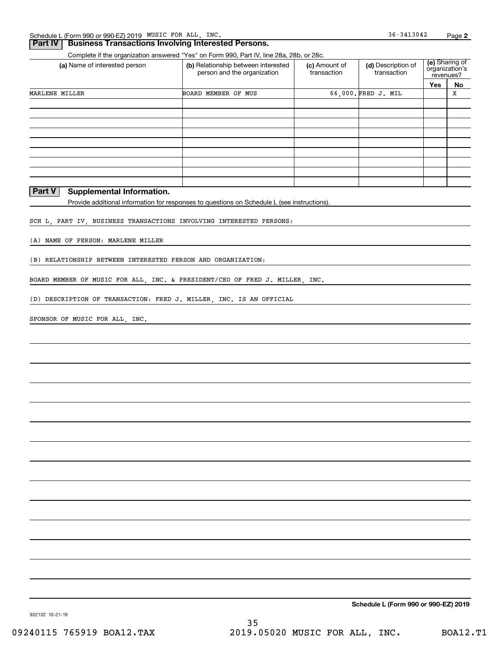### **Part IV Business Transactions Involving Interested Persons.**

Complete if the organization answered "Yes" on Form 990, Part IV, line 28a, 28b, or 28c.

| (a) Name of interested person | (b) Relationship between interested<br>person and the organization | (c) Amount of<br>transaction | (d) Description of<br>transaction | revenues? | <b>(e)</b> Sharing of<br>organization's |
|-------------------------------|--------------------------------------------------------------------|------------------------------|-----------------------------------|-----------|-----------------------------------------|
|                               |                                                                    |                              |                                   | Yes       | No                                      |
| MARLENE MILLER                | BOARD MEMBER OF MUS                                                |                              | 66.000. FRED J. MIL               |           | х                                       |
|                               |                                                                    |                              |                                   |           |                                         |
|                               |                                                                    |                              |                                   |           |                                         |
|                               |                                                                    |                              |                                   |           |                                         |
|                               |                                                                    |                              |                                   |           |                                         |
|                               |                                                                    |                              |                                   |           |                                         |
|                               |                                                                    |                              |                                   |           |                                         |
|                               |                                                                    |                              |                                   |           |                                         |
|                               |                                                                    |                              |                                   |           |                                         |
|                               |                                                                    |                              |                                   |           |                                         |

### **Part V** Supplemental Information.

Provide additional information for responses to questions on Schedule L (see instructions).

SCH L, PART IV, BUSINESS TRANSACTIONS INVOLVING INTERESTED PERSONS:

(A) NAME OF PERSON: MARLENE MILLER

(B) RELATIONSHIP BETWEEN INTERESTED PERSON AND ORGANIZATION:

BOARD MEMBER OF MUSIC FOR ALL, INC. & PRESIDENT/CEO OF FRED J. MILLER, INC.

(D) DESCRIPTION OF TRANSACTION: FRED J. MILLER, INC. IS AN OFFICIAL

SPONSOR OF MUSIC FOR ALL, INC.

**Schedule L (Form 990 or 990-EZ) 2019**

36-3413042

932132 10-21-19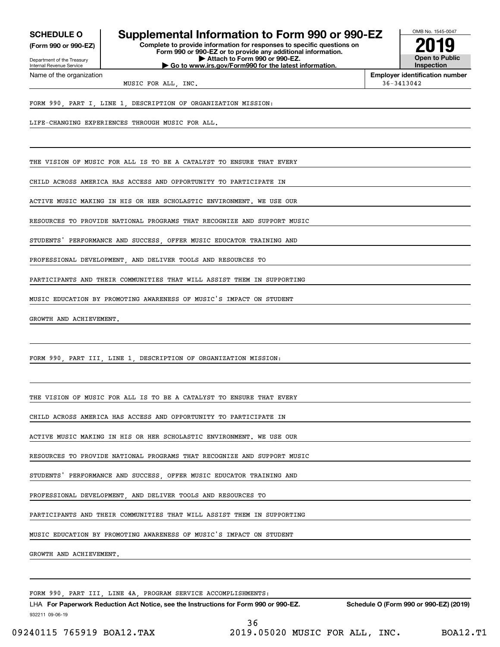**(Form 990 or 990-EZ)**

Department of the Treasury Internal Revenue Service Name of the organization

### **SCHEDULE O Supplemental Information to Form 990 or 990-EZ**

**Complete to provide information for responses to specific questions on Form 990 or 990-EZ or to provide any additional information. | Attach to Form 990 or 990-EZ. | Go to www.irs.gov/Form990 for the latest information.**



**Employer identification number**

MUSIC FOR ALL, INC. 36-3413042

FORM 990, PART I, LINE 1, DESCRIPTION OF ORGANIZATION MISSION:

LIFE-CHANGING EXPERIENCES THROUGH MUSIC FOR ALL.

THE VISION OF MUSIC FOR ALL IS TO BE A CATALYST TO ENSURE THAT EVERY

CHILD ACROSS AMERICA HAS ACCESS AND OPPORTUNITY TO PARTICIPATE IN

ACTIVE MUSIC MAKING IN HIS OR HER SCHOLASTIC ENVIRONMENT. WE USE OUR

RESOURCES TO PROVIDE NATIONAL PROGRAMS THAT RECOGNIZE AND SUPPORT MUSIC

STUDENTS' PERFORMANCE AND SUCCESS OFFER MUSIC EDUCATOR TRAINING AND

PROFESSIONAL DEVELOPMENT AND DELIVER TOOLS AND RESOURCES TO

PARTICIPANTS AND THEIR COMMUNITIES THAT WILL ASSIST THEM IN SUPPORTING

MUSIC EDUCATION BY PROMOTING AWARENESS OF MUSIC'S IMPACT ON STUDENT

GROWTH AND ACHIEVEMENT.

FORM 990, PART III, LINE 1, DESCRIPTION OF ORGANIZATION MISSION:

THE VISION OF MUSIC FOR ALL IS TO BE A CATALYST TO ENSURE THAT EVERY

CHILD ACROSS AMERICA HAS ACCESS AND OPPORTUNITY TO PARTICIPATE IN

ACTIVE MUSIC MAKING IN HIS OR HER SCHOLASTIC ENVIRONMENT. WE USE OUR

RESOURCES TO PROVIDE NATIONAL PROGRAMS THAT RECOGNIZE AND SUPPORT MUSIC

STUDENTS' PERFORMANCE AND SUCCESS OFFER MUSIC EDUCATOR TRAINING AND

PROFESSIONAL DEVELOPMENT, AND DELIVER TOOLS AND RESOURCES TO

PARTICIPANTS AND THEIR COMMUNITIES THAT WILL ASSIST THEM IN SUPPORTING

MUSIC EDUCATION BY PROMOTING AWARENESS OF MUSIC'S IMPACT ON STUDENT

GROWTH AND ACHIEVEMENT.

FORM 990, PART III, LINE 4A, PROGRAM SERVICE ACCOMPLISHMENTS:

932211 09-06-19 LHA For Paperwork Reduction Act Notice, see the Instructions for Form 990 or 990-EZ. Schedule O (Form 990 or 990-EZ) (2019) 36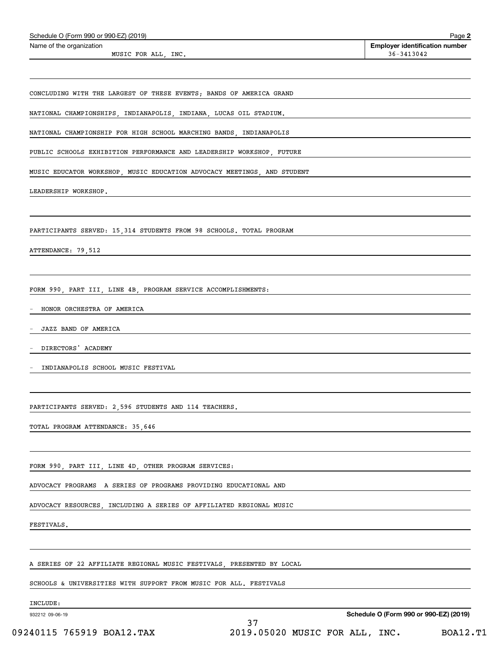| Schedule O (Form 990 or 990-EZ) (2019)                                  | Page 2                                |
|-------------------------------------------------------------------------|---------------------------------------|
| Name of the organization                                                | <b>Employer identification number</b> |
| MUSIC FOR ALL, INC.                                                     | 36-3413042                            |
|                                                                         |                                       |
| CONCLUDING WITH THE LARGEST OF THESE EVENTS; BANDS OF AMERICA GRAND     |                                       |
| NATIONAL CHAMPIONSHIPS, INDIANAPOLIS, INDIANA, LUCAS OIL STADIUM.       |                                       |
| NATIONAL CHAMPIONSHIP FOR HIGH SCHOOL MARCHING BANDS, INDIANAPOLIS      |                                       |
| PUBLIC SCHOOLS EXHIBITION PERFORMANCE AND LEADERSHIP WORKSHOP, FUTURE   |                                       |
| MUSIC EDUCATOR WORKSHOP, MUSIC EDUCATION ADVOCACY MEETINGS, AND STUDENT |                                       |
| LEADERSHIP WORKSHOP.                                                    |                                       |
|                                                                         |                                       |
| PARTICIPANTS SERVED: 15,314 STUDENTS FROM 98 SCHOOLS. TOTAL PROGRAM     |                                       |
| ATTENDANCE: 79,512                                                      |                                       |
|                                                                         |                                       |
|                                                                         |                                       |
| FORM 990, PART III, LINE 4B, PROGRAM SERVICE ACCOMPLISHMENTS:           |                                       |
| HONOR ORCHESTRA OF AMERICA                                              |                                       |
| JAZZ BAND OF AMERICA                                                    |                                       |
| DIRECTORS' ACADEMY                                                      |                                       |
| INDIANAPOLIS SCHOOL MUSIC FESTIVAL                                      |                                       |
|                                                                         |                                       |
| PARTICIPANTS SERVED: 2,596 STUDENTS AND 114 TEACHERS.                   |                                       |
| TOTAL PROGRAM ATTENDANCE: 35,646                                        |                                       |
|                                                                         |                                       |
|                                                                         |                                       |
| FORM 990, PART III, LINE 4D, OTHER PROGRAM SERVICES:                    |                                       |
| ADVOCACY PROGRAMS  A SERIES OF PROGRAMS PROVIDING EDUCATIONAL AND       |                                       |
| ADVOCACY RESOURCES, INCLUDING A SERIES OF AFFILIATED REGIONAL MUSIC     |                                       |
| <b>FESTIVALS.</b>                                                       |                                       |
|                                                                         |                                       |
| A SERIES OF 22 AFFILIATE REGIONAL MUSIC FESTIVALS, PRESENTED BY LOCAL   |                                       |
| SCHOOLS & UNIVERSITIES WITH SUPPORT FROM MUSIC FOR ALL. FESTIVALS       |                                       |
|                                                                         |                                       |

INCLUDE:

932212 09-06-19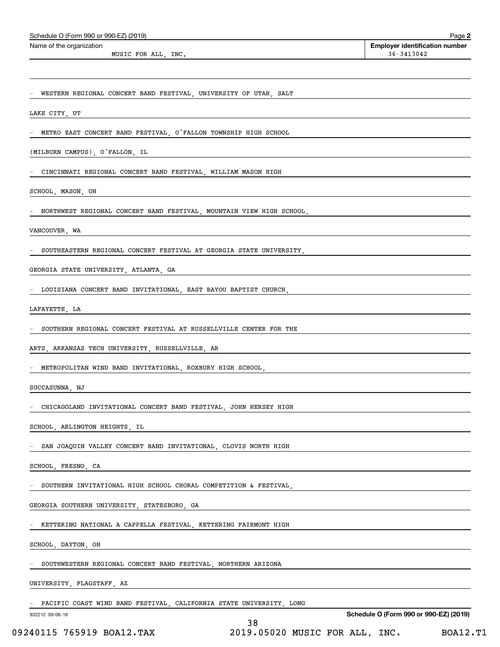| Schedule O (Form 990 or 990-EZ) (2019)<br>Name of the organization                                                                                                                                                                                           | Page 2<br><b>Employer identification number</b> |
|--------------------------------------------------------------------------------------------------------------------------------------------------------------------------------------------------------------------------------------------------------------|-------------------------------------------------|
| MUSIC FOR ALL, INC.                                                                                                                                                                                                                                          | 36-3413042                                      |
|                                                                                                                                                                                                                                                              |                                                 |
| - WESTERN REGIONAL CONCERT BAND FESTIVAL, UNIVERSITY OF UTAH, SALT                                                                                                                                                                                           |                                                 |
| LAKE CITY, UT AND THE CONSTRUCTION OF THE CONSTRUCTION OF THE CONSTRUCTION OF THE CONSTRUCTION OF THE CONSTRUCTION OF THE CONSTRUCTION OF THE CONSTRUCTION OF THE CONSTRUCTION OF THE CONSTRUCTION OF THE CONSTRUCTION OF THE                                |                                                 |
| - METRO EAST CONCERT BAND FESTIVAL, O'FALLON TOWNSHIP HIGH SCHOOL                                                                                                                                                                                            |                                                 |
| (MILBURN CAMPUS), O'FALLON, IL CAMBRE 2007 CONTROL CAMBRE 2008                                                                                                                                                                                               |                                                 |
| - CINCINNATI REGIONAL CONCERT BAND FESTIVAL, WILLIAM MASON HIGH                                                                                                                                                                                              |                                                 |
| SCHOOL, MASON, OH<br><u> 1989 - Jan Samuel Barbara, margaret e</u> n 1989 eta 1989 - Antonio II.a eta 1989 - Antonio II.a eta 1989 - Antonio<br>1980 - Antonio II.a eta 1980 - Antonio II.a eta 1980 - Antonio II.a eta 1980 - Antonio II.a eta 1980 - Anton |                                                 |
| - NORTHWEST REGIONAL CONCERT BAND FESTIVAL, MOUNTAIN VIEW HIGH SCHOOL, THE SOLUTION OF THE SOLUTION OF THE SCHOOL SUPPORT OF THE SOLUTION OF THE SOLUTION OF THE SOLUTION OF THE SOLUTION OF THE SOLUTION OF THE SOLUTION OF T                               |                                                 |
| VANCOUVER, WA<br><u> 1980 - Johann Stoff, fransk politik (d. 1980)</u>                                                                                                                                                                                       |                                                 |
| SOUTHEASTERN REGIONAL CONCERT FESTIVAL AT GEORGIA STATE UNIVERSITY,                                                                                                                                                                                          |                                                 |
| GEORGIA STATE UNIVERSITY, ATLANTA, GA CONTRACTE AND CONTRACT OF THE CONTRACT OF THE CONTRACT OF THE CONTRACT OF THE CONTRACT OF THE CONTRACT OF THE CONTRACT OF THE CONTRACT OF THE CONTRACT OF THE CONTRACT OF THE CONTRACT O                               |                                                 |
| - LOUISIANA CONCERT BAND INVITATIONAL, EAST BAYOU BAPTIST CHURCH,                                                                                                                                                                                            |                                                 |
| LAFAYETTE, LA CONSTITUE DE CONSTITUER EN CONSTITUER DE CONSTITUER DE CONSTITUER DE CONSTITUER DE CONSTITUER DE                                                                                                                                               |                                                 |
| SOUTHERN REGIONAL CONCERT FESTIVAL AT RUSSELLVILLE CENTER FOR THE                                                                                                                                                                                            |                                                 |
| ARTS, ARKANSAS TECH UNIVERSITY, RUSSELLVILLE, AR                                                                                                                                                                                                             |                                                 |
| - METROPOLITAN WIND BAND INVITATIONAL, ROXBURY HIGH SCHOOL,                                                                                                                                                                                                  |                                                 |
| SUCCASUNNA, NJ                                                                                                                                                                                                                                               |                                                 |
| CHICAGOLAND INVITATIONAL CONCERT BAND FESTIVAL, JOHN HERSEY HIGH                                                                                                                                                                                             |                                                 |
| SCHOOL, ARLINGTON HEIGHTS, IL                                                                                                                                                                                                                                |                                                 |
| SAN JOAQUIN VALLEY CONCERT BAND INVITATIONAL, CLOVIS NORTH HIGH                                                                                                                                                                                              |                                                 |
| SCHOOL, FRESNO, CA                                                                                                                                                                                                                                           |                                                 |
| SOUTHERN INVITATIONAL HIGH SCHOOL CHORAL COMPETITION & FESTIVAL                                                                                                                                                                                              |                                                 |
| GEORGIA SOUTHERN UNIVERSITY, STATESBORO, GA                                                                                                                                                                                                                  |                                                 |
| KETTERING NATIONAL A CAPPELLA FESTIVAL, KETTERING FAIRMONT HIGH                                                                                                                                                                                              |                                                 |
| SCHOOL, DAYTON, OH                                                                                                                                                                                                                                           |                                                 |
| SOUTHWESTERN REGIONAL CONCERT BAND FESTIVAL, NORTHERN ARIZONA                                                                                                                                                                                                |                                                 |
| UNIVERSITY, FLAGSTAFF, AZ                                                                                                                                                                                                                                    |                                                 |
| PACIFIC COAST WIND BAND FESTIVAL, CALIFORNIA STATE UNIVERSITY, LONG                                                                                                                                                                                          |                                                 |
| 932212 09-06-19                                                                                                                                                                                                                                              | Schedule O (Form 990 or 990-EZ) (2019)          |

<sup>38</sup> 09240115 765919 BOA12.TAX 2019.05020 MUSIC FOR ALL, INC. BOA12.T1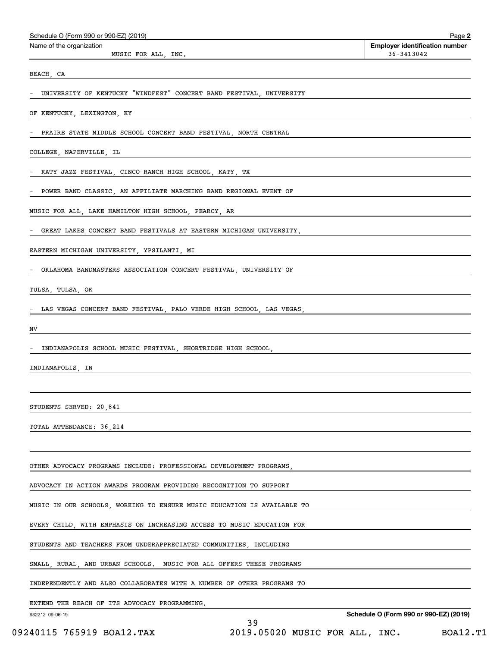| Schedule O (Form 990 or 990-EZ) (2019) |  |  |  |  |
|----------------------------------------|--|--|--|--|
|----------------------------------------|--|--|--|--|

MUSIC FOR ALL, INC.  $36-3413042$ 

Echedule O (Form 990 or 990-EZ) (2019)<br>Name of the organization **number** Name of the organization **page Name of the organization number** 

BEACH, CA

- UNIVERSITY OF KENTUCKY "WINDFEST" CONCERT BAND FESTIVAL, UNIVERSITY

OF KENTUCKY, LEXINGTON, KY

PRAIRE STATE MIDDLE SCHOOL CONCERT BAND FESTIVAL, NORTH CENTRAL

COLLEGE, NAPERVILLE, IL

- KATY JAZZ FESTIVAL, CINCO RANCH HIGH SCHOOL, KATY, TX

- POWER BAND CLASSIC, AN AFFILIATE MARCHING BAND REGIONAL EVENT OF

MUSIC FOR ALL, LAKE HAMILTON HIGH SCHOOL, PEARCY, AR

GREAT LAKES CONCERT BAND FESTIVALS AT EASTERN MICHIGAN UNIVERSITY,

EASTERN MICHIGAN UNIVERSITY, YPSILANTI, MI

- OKLAHOMA BANDMASTERS ASSOCIATION CONCERT FESTIVAL, UNIVERSITY OF

TULSA, TULSA, OK

LAS VEGAS CONCERT BAND FESTIVAL, PALO VERDE HIGH SCHOOL, LAS VEGAS,

NV

- INDIANAPOLIS SCHOOL MUSIC FESTIVAL, SHORTRIDGE HIGH SCHOOL,

INDIANAPOLIS, IN

STUDENTS SERVED: 20,841

TOTAL ATTENDANCE: 36,214

OTHER ADVOCACY PROGRAMS INCLUDE: PROFESSIONAL DEVELOPMENT PROGRAMS,

ADVOCACY IN ACTION AWARDS PROGRAM PROVIDING RECOGNITION TO SUPPORT

MUSIC IN OUR SCHOOLS, WORKING TO ENSURE MUSIC EDUCATION IS AVAILABLE TO

EVERY CHILD, WITH EMPHASIS ON INCREASING ACCESS TO MUSIC EDUCATION FOR

STUDENTS AND TEACHERS FROM UNDERAPPRECIATED COMMUNITIES, INCLUDING

SMALL, RURAL, AND URBAN SCHOOLS. MUSIC FOR ALL OFFERS THESE PROGRAMS

INDEPENDENTLY AND ALSO COLLABORATES WITH A NUMBER OF OTHER PROGRAMS TO

EXTEND THE REACH OF ITS ADVOCACY PROGRAMMING.

932212 09-06-19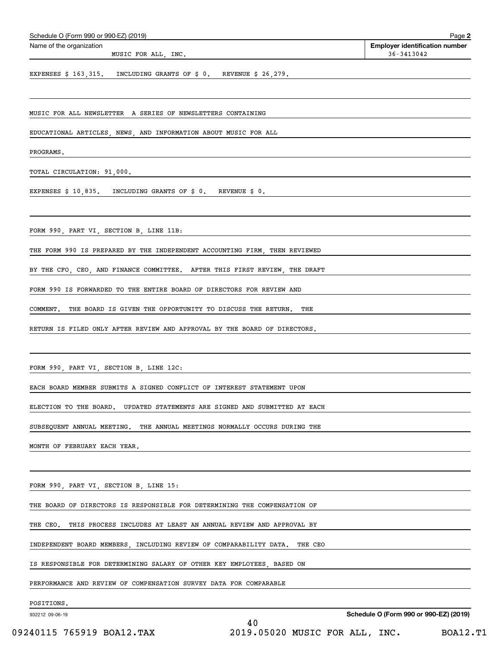| Schedule O (Form 990 or 990-EZ) (2019)                                       | Page 2                                              |
|------------------------------------------------------------------------------|-----------------------------------------------------|
| Name of the organization<br>MUSIC FOR ALL, INC.                              | <b>Employer identification number</b><br>36-3413042 |
| EXPENSES \$ 163,315. INCLUDING GRANTS OF \$ 0. REVENUE \$ 26,279.            |                                                     |
|                                                                              |                                                     |
| MUSIC FOR ALL NEWSLETTER A SERIES OF NEWSLETTERS CONTAINING                  |                                                     |
| EDUCATIONAL ARTICLES, NEWS, AND INFORMATION ABOUT MUSIC FOR ALL              |                                                     |
| PROGRAMS.                                                                    |                                                     |
| TOTAL CIRCULATION: 91,000.                                                   |                                                     |
| EXPENSES \$ 10,835. INCLUDING GRANTS OF \$ 0. REVENUE \$ 0.                  |                                                     |
|                                                                              |                                                     |
| FORM 990, PART VI, SECTION B, LINE 11B:                                      |                                                     |
| THE FORM 990 IS PREPARED BY THE INDEPENDENT ACCOUNTING FIRM, THEN REVIEWED   |                                                     |
| BY THE CFO, CEO, AND FINANCE COMMITTEE. AFTER THIS FIRST REVIEW, THE DRAFT   |                                                     |
| FORM 990 IS FORWARDED TO THE ENTIRE BOARD OF DIRECTORS FOR REVIEW AND        |                                                     |
| COMMENT.<br>THE BOARD IS GIVEN THE OPPORTUNITY TO DISCUSS THE RETURN.<br>THE |                                                     |
| RETURN IS FILED ONLY AFTER REVIEW AND APPROVAL BY THE BOARD OF DIRECTORS.    |                                                     |
|                                                                              |                                                     |
| FORM 990, PART VI, SECTION B, LINE 12C:                                      |                                                     |
| EACH BOARD MEMBER SUBMITS A SIGNED CONFLICT OF INTEREST STATEMENT UPON       |                                                     |
| ELECTION TO THE BOARD. UPDATED STATEMENTS ARE SIGNED AND SUBMITTED AT EACH   |                                                     |
| SUBSEQUENT ANNUAL MEETING. THE ANNUAL MEETINGS NORMALLY OCCURS DURING THE    |                                                     |
|                                                                              |                                                     |
| MONTH OF FEBRUARY EACH YEAR.                                                 |                                                     |
|                                                                              |                                                     |
| FORM 990, PART VI, SECTION B, LINE 15:                                       |                                                     |
| THE BOARD OF DIRECTORS IS RESPONSIBLE FOR DETERMINING THE COMPENSATION OF    |                                                     |
| THIS PROCESS INCLUDES AT LEAST AN ANNUAL REVIEW AND APPROVAL BY<br>THE CEO.  |                                                     |
| INDEPENDENT BOARD MEMBERS, INCLUDING REVIEW OF COMPARABILITY DATA. THE CEO   |                                                     |
| IS RESPONSIBLE FOR DETERMINING SALARY OF OTHER KEY EMPLOYEES, BASED ON       |                                                     |
| PERFORMANCE AND REVIEW OF COMPENSATION SURVEY DATA FOR COMPARABLE            |                                                     |
| POSITIONS.<br>932212 09-06-19                                                | Schedule O (Form 990 or 990-EZ) (2019)              |
| 40                                                                           |                                                     |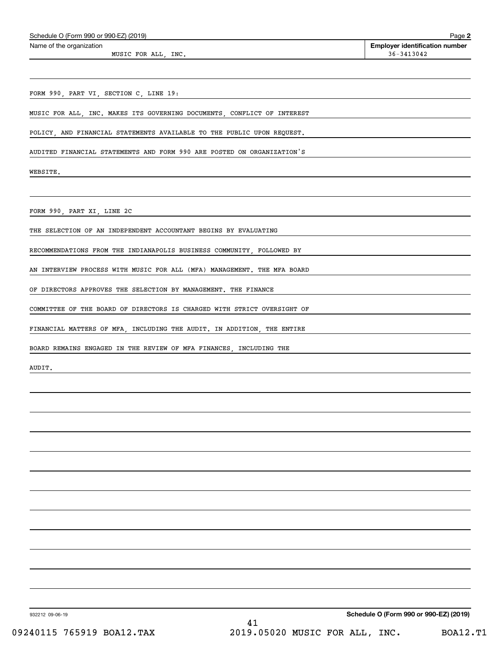| Schedule O (Form 990 or 990-EZ) (2019)                                  | Page 2                                              |
|-------------------------------------------------------------------------|-----------------------------------------------------|
| Name of the organization                                                | <b>Employer identification number</b><br>36-3413042 |
| MUSIC FOR ALL, INC.                                                     |                                                     |
|                                                                         |                                                     |
| FORM 990, PART VI, SECTION C, LINE 19:                                  |                                                     |
|                                                                         |                                                     |
| MUSIC FOR ALL, INC. MAKES ITS GOVERNING DOCUMENTS, CONFLICT OF INTEREST |                                                     |
| POLICY, AND FINANCIAL STATEMENTS AVAILABLE TO THE PUBLIC UPON REQUEST.  |                                                     |
| AUDITED FINANCIAL STATEMENTS AND FORM 990 ARE POSTED ON ORGANIZATION'S  |                                                     |
|                                                                         |                                                     |
| WEBSITE.                                                                |                                                     |
|                                                                         |                                                     |
|                                                                         |                                                     |
| FORM 990, PART XI, LINE 2C                                              |                                                     |
| THE SELECTION OF AN INDEPENDENT ACCOUNTANT BEGINS BY EVALUATING         |                                                     |
| RECOMMENDATIONS FROM THE INDIANAPOLIS BUSINESS COMMUNITY, FOLLOWED BY   |                                                     |
|                                                                         |                                                     |
| AN INTERVIEW PROCESS WITH MUSIC FOR ALL (MFA) MANAGEMENT. THE MFA BOARD |                                                     |
| OF DIRECTORS APPROVES THE SELECTION BY MANAGEMENT. THE FINANCE          |                                                     |
| COMMITTEE OF THE BOARD OF DIRECTORS IS CHARGED WITH STRICT OVERSIGHT OF |                                                     |
|                                                                         |                                                     |
| FINANCIAL MATTERS OF MFA, INCLUDING THE AUDIT. IN ADDITION, THE ENTIRE  |                                                     |
| BOARD REMAINS ENGAGED IN THE REVIEW OF MFA FINANCES, INCLUDING THE      |                                                     |
| AUDIT.                                                                  |                                                     |
|                                                                         |                                                     |
|                                                                         |                                                     |
|                                                                         |                                                     |
|                                                                         |                                                     |
|                                                                         |                                                     |
|                                                                         |                                                     |
|                                                                         |                                                     |
|                                                                         |                                                     |
|                                                                         |                                                     |
|                                                                         |                                                     |
|                                                                         |                                                     |
|                                                                         |                                                     |
|                                                                         |                                                     |
|                                                                         |                                                     |
|                                                                         |                                                     |
|                                                                         |                                                     |

932212 09-06-19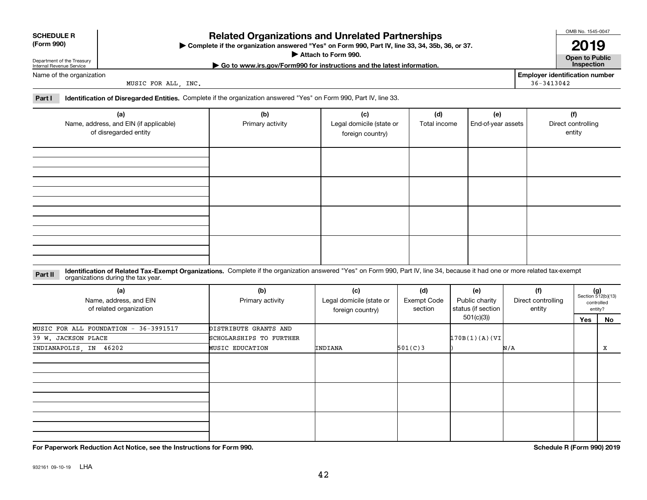## **SCHEDULE R**

### **Related Organizations and Unrelated Partnerships**

**Complete if the organization answered "Yes" on Form 990, Part IV, line 33, 34, 35b, 36, or 37.** |

**Attach to Form 990.**  |

**| Go to www.irs.gov/Form990 for instructions and the latest information. Inspection**

Department of the Treasury Internal Revenue Service Name of the organization

**(Form 990)**

MUSIC FOR ALL, INC.

**Employer identification number** 36-3413042

**Part I Identification of Disregarded Entities.**  Complete if the organization answered "Yes" on Form 990, Part IV, line 33.

| (a)<br>Name, address, and EIN (if applicable)<br>of disregarded entity | (b)<br>Primary activity | (c)<br>Legal domicile (state or<br>foreign country) | (d)<br>Total income | (e)<br>End-of-year assets | (f)<br>Direct controlling<br>entity |
|------------------------------------------------------------------------|-------------------------|-----------------------------------------------------|---------------------|---------------------------|-------------------------------------|
|                                                                        |                         |                                                     |                     |                           |                                     |
|                                                                        |                         |                                                     |                     |                           |                                     |
|                                                                        |                         |                                                     |                     |                           |                                     |
|                                                                        |                         |                                                     |                     |                           |                                     |

**Identification of Related Tax-Exempt Organizations.** Complete if the organization answered "Yes" on Form 990, Part IV, line 34, because it had one or more related tax-exempt **Part II** organizations during the tax year.

| (a)<br>Name, address, and EIN<br>of related organization | (b)<br>Primary activity | (c)<br>Legal domicile (state or<br>foreign country) | (d)<br><b>Exempt Code</b><br>section | (e)<br>Public charity<br>status (if section | (f)<br>Direct controlling<br>entity |     | $(g)$<br>Section 512(b)(13)<br>controlled<br>entity? |
|----------------------------------------------------------|-------------------------|-----------------------------------------------------|--------------------------------------|---------------------------------------------|-------------------------------------|-----|------------------------------------------------------|
|                                                          |                         |                                                     |                                      | 501(c)(3))                                  |                                     | Yes | No                                                   |
| MUSIC FOR ALL FOUNDATION - 36-3991517                    | DISTRIBUTE GRANTS AND   |                                                     |                                      |                                             |                                     |     |                                                      |
| 39 W. JACKSON PLACE                                      | SCHOLARSHIPS TO FURTHER |                                                     |                                      | 170B(1)(A)(VI)                              |                                     |     |                                                      |
| INDIANAPOLIS, IN 46202                                   | <b>MUSIC EDUCATION</b>  | INDIANA                                             | 501(C)3                              |                                             | N/A                                 |     | X                                                    |
|                                                          |                         |                                                     |                                      |                                             |                                     |     |                                                      |
|                                                          |                         |                                                     |                                      |                                             |                                     |     |                                                      |
|                                                          |                         |                                                     |                                      |                                             |                                     |     |                                                      |

**For Paperwork Reduction Act Notice, see the Instructions for Form 990. Schedule R (Form 990) 2019**

OMB No. 1545-0047

**Open to Public 2019**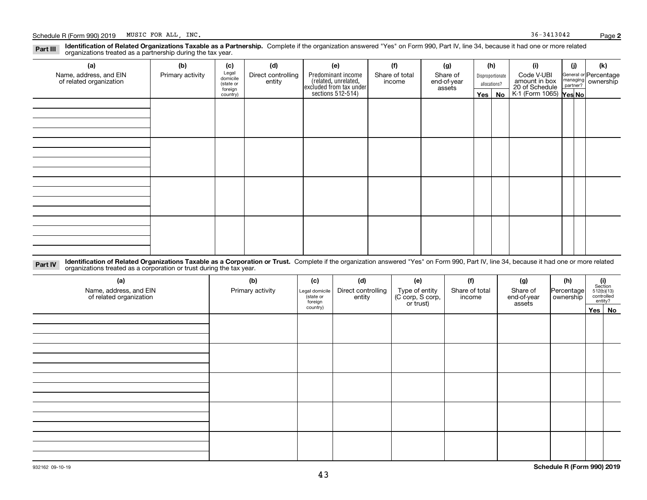#### **Identification of Related Organizations Taxable as a Partnership.** Complete if the organization answered "Yes" on Form 990, Part IV, line 34, because it had one or more related **Part III** organizations treated as a partnership during the tax year.

| ັ<br>$\overline{\phantom{a}}$                     |                  |                                |                              |                                                                                           |                          |                         |         |                                  |                                               |     |                                                         |
|---------------------------------------------------|------------------|--------------------------------|------------------------------|-------------------------------------------------------------------------------------------|--------------------------|-------------------------|---------|----------------------------------|-----------------------------------------------|-----|---------------------------------------------------------|
| (a)                                               | (b)              | (c)                            | (d)                          | (e)                                                                                       | (f)                      | (g)                     |         | (h)                              | (i)                                           | (i) | (k)                                                     |
| Name, address, and EIN<br>of related organization | Primary activity | Legal<br>domicile<br>(state or | Direct controlling<br>entity | Predominant income<br>related, unrelated,<br>excluded from tax under<br>sections 512-514) | Share of total<br>income | Share of<br>end-of-year |         | Disproportionate<br>allocations? | Code V-UBI<br>amount in box<br>20 of Schedule |     | General or Percentage<br>managing ownership<br>partner? |
|                                                   |                  | foreign                        |                              |                                                                                           |                          | assets                  |         |                                  | $K-1$ (Form 1065) $\sqrt{Yes No }$            |     |                                                         |
|                                                   |                  | country)                       |                              |                                                                                           |                          |                         | Yes $ $ | No                               |                                               |     |                                                         |
|                                                   |                  |                                |                              |                                                                                           |                          |                         |         |                                  |                                               |     |                                                         |
|                                                   |                  |                                |                              |                                                                                           |                          |                         |         |                                  |                                               |     |                                                         |
|                                                   |                  |                                |                              |                                                                                           |                          |                         |         |                                  |                                               |     |                                                         |
|                                                   |                  |                                |                              |                                                                                           |                          |                         |         |                                  |                                               |     |                                                         |
|                                                   |                  |                                |                              |                                                                                           |                          |                         |         |                                  |                                               |     |                                                         |
|                                                   |                  |                                |                              |                                                                                           |                          |                         |         |                                  |                                               |     |                                                         |
|                                                   |                  |                                |                              |                                                                                           |                          |                         |         |                                  |                                               |     |                                                         |
|                                                   |                  |                                |                              |                                                                                           |                          |                         |         |                                  |                                               |     |                                                         |
|                                                   |                  |                                |                              |                                                                                           |                          |                         |         |                                  |                                               |     |                                                         |
|                                                   |                  |                                |                              |                                                                                           |                          |                         |         |                                  |                                               |     |                                                         |
|                                                   |                  |                                |                              |                                                                                           |                          |                         |         |                                  |                                               |     |                                                         |
|                                                   |                  |                                |                              |                                                                                           |                          |                         |         |                                  |                                               |     |                                                         |
|                                                   |                  |                                |                              |                                                                                           |                          |                         |         |                                  |                                               |     |                                                         |
|                                                   |                  |                                |                              |                                                                                           |                          |                         |         |                                  |                                               |     |                                                         |
|                                                   |                  |                                |                              |                                                                                           |                          |                         |         |                                  |                                               |     |                                                         |
|                                                   |                  |                                |                              |                                                                                           |                          |                         |         |                                  |                                               |     |                                                         |
|                                                   |                  |                                |                              |                                                                                           |                          |                         |         |                                  |                                               |     |                                                         |

**Identification of Related Organizations Taxable as a Corporation or Trust.** Complete if the organization answered "Yes" on Form 990, Part IV, line 34, because it had one or more related **Part IV** organizations treated as a corporation or trust during the tax year.

| (a)<br>Name, address, and EIN<br>of related organization | (b)<br>Primary activity | (c)<br>Legal domicile<br>(state or<br>foreign | (d)<br>Direct controlling<br>entity | (e)<br>Type of entity<br>(C corp, S corp,<br>or trust) | (f)<br>Share of total<br>income | (g)<br>Share of<br>end-of-year<br>assets | (h)<br> Percentage <br>ownership | $\begin{array}{c} \textbf{(i)}\\ \text{Section}\\ 512 \text{(b)} \text{(13)}\\ \text{controlled}\\ \text{entity?} \end{array}$ |  |  |
|----------------------------------------------------------|-------------------------|-----------------------------------------------|-------------------------------------|--------------------------------------------------------|---------------------------------|------------------------------------------|----------------------------------|--------------------------------------------------------------------------------------------------------------------------------|--|--|
|                                                          |                         | country)                                      |                                     |                                                        |                                 |                                          |                                  | Yes No                                                                                                                         |  |  |
|                                                          |                         |                                               |                                     |                                                        |                                 |                                          |                                  |                                                                                                                                |  |  |
|                                                          |                         |                                               |                                     |                                                        |                                 |                                          |                                  |                                                                                                                                |  |  |
|                                                          |                         |                                               |                                     |                                                        |                                 |                                          |                                  |                                                                                                                                |  |  |
|                                                          |                         |                                               |                                     |                                                        |                                 |                                          |                                  |                                                                                                                                |  |  |
|                                                          |                         |                                               |                                     |                                                        |                                 |                                          |                                  |                                                                                                                                |  |  |
|                                                          |                         |                                               |                                     |                                                        |                                 |                                          |                                  |                                                                                                                                |  |  |
|                                                          |                         |                                               |                                     |                                                        |                                 |                                          |                                  |                                                                                                                                |  |  |
|                                                          |                         |                                               |                                     |                                                        |                                 |                                          |                                  |                                                                                                                                |  |  |
|                                                          |                         |                                               |                                     |                                                        |                                 |                                          |                                  |                                                                                                                                |  |  |
|                                                          |                         |                                               |                                     |                                                        |                                 |                                          |                                  |                                                                                                                                |  |  |
|                                                          |                         |                                               |                                     |                                                        |                                 |                                          |                                  |                                                                                                                                |  |  |
|                                                          |                         |                                               |                                     |                                                        |                                 |                                          |                                  |                                                                                                                                |  |  |
|                                                          |                         |                                               |                                     |                                                        |                                 |                                          |                                  |                                                                                                                                |  |  |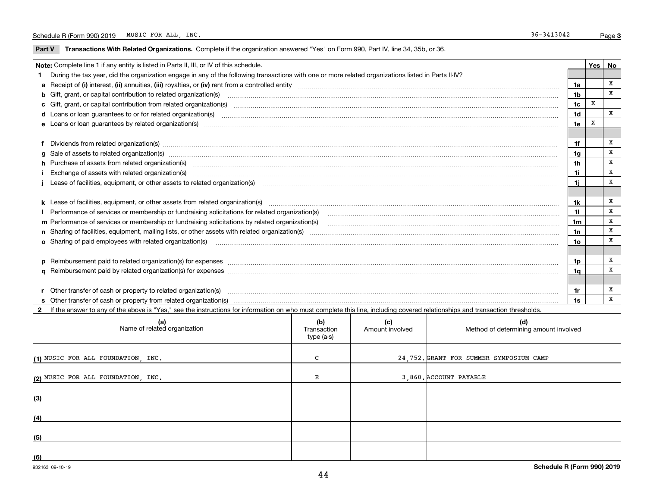$\overline{\phantom{0}}$ 

**Part V** T**ransactions With Related Organizations.** Complete if the organization answered "Yes" on Form 990, Part IV, line 34, 35b, or 36.

| Note: Complete line 1 if any entity is listed in Parts II, III, or IV of this schedule. |                                                                                                                                                                                                                                |                |   |             |  |  |
|-----------------------------------------------------------------------------------------|--------------------------------------------------------------------------------------------------------------------------------------------------------------------------------------------------------------------------------|----------------|---|-------------|--|--|
|                                                                                         | During the tax year, did the organization engage in any of the following transactions with one or more related organizations listed in Parts II-IV?                                                                            |                |   |             |  |  |
|                                                                                         |                                                                                                                                                                                                                                | 1a             |   | x           |  |  |
|                                                                                         |                                                                                                                                                                                                                                | 1 <sub>b</sub> |   | x           |  |  |
|                                                                                         |                                                                                                                                                                                                                                | 1 <sub>c</sub> | X |             |  |  |
|                                                                                         |                                                                                                                                                                                                                                | 1 <sub>d</sub> |   | X           |  |  |
|                                                                                         |                                                                                                                                                                                                                                | 1e             |   |             |  |  |
|                                                                                         |                                                                                                                                                                                                                                |                |   |             |  |  |
|                                                                                         | f Dividends from related organization(s) manufactured contains and contained and contained contained and contained and contained and contained and contained and contained and contained and contained and contained and conta | 1f             |   | X           |  |  |
|                                                                                         | g Sale of assets to related organization(s) www.assettion.com/www.assettion.com/www.assettion.com/www.assettion.com/www.assettion.com/www.assettion.com/www.assettion.com/www.assettion.com/www.assettion.com/www.assettion.co | 1 <sub>g</sub> |   | $\mathbf x$ |  |  |
|                                                                                         | h Purchase of assets from related organization(s) manufactured and content to content the content of the content of the content of the content of the content of the content of the content of the content of the content of t | 1h             |   | X           |  |  |
|                                                                                         |                                                                                                                                                                                                                                | 1i             |   | X           |  |  |
|                                                                                         | j Lease of facilities, equipment, or other assets to related organization(s) manufaction content and the manufacture of facilities, equipment, or other assets to related organization(s) manufaction content and the manufact | 1i             |   | X           |  |  |
|                                                                                         |                                                                                                                                                                                                                                |                |   |             |  |  |
|                                                                                         | k Lease of facilities, equipment, or other assets from related organization(s) manufaction content and content to the assets from related organization(s) manufaction content and content and content and content and content  | 1k             |   | X           |  |  |
|                                                                                         | I Performance of services or membership or fundraising solicitations for related organization(s)                                                                                                                               | 11             |   | x           |  |  |
|                                                                                         | m Performance of services or membership or fundraising solicitations by related organization(s)                                                                                                                                | 1m             |   | X           |  |  |
|                                                                                         |                                                                                                                                                                                                                                | 1n             |   | X           |  |  |
|                                                                                         |                                                                                                                                                                                                                                | 10             |   | X           |  |  |
|                                                                                         |                                                                                                                                                                                                                                |                |   |             |  |  |
|                                                                                         | p Reimbursement paid to related organization(s) for expenses [1111] and manufactured manufactured manufactured manufactured manufactured manufactured manufactured manufactured manufactured manufactured manufactured manufac | 1p             |   | X           |  |  |
|                                                                                         |                                                                                                                                                                                                                                | 1a             |   | x           |  |  |
|                                                                                         |                                                                                                                                                                                                                                |                |   |             |  |  |
|                                                                                         | r Other transfer of cash or property to related organization(s)                                                                                                                                                                | 1r             |   | х           |  |  |
|                                                                                         |                                                                                                                                                                                                                                | 1s             |   | X           |  |  |

**2**If the answer to any of the above is "Yes," see the instructions for information on who must complete this line, including covered relationships and transaction thresholds.

| (a)<br>Name of related organization | (b)<br>Transaction<br>type (a-s) | (c)<br>Amount involved | (d)<br>Method of determining amount involved |
|-------------------------------------|----------------------------------|------------------------|----------------------------------------------|
| (1) MUSIC FOR ALL FOUNDATION, INC.  | C                                |                        | 24,752. GRANT FOR SUMMER SYMPOSIUM CAMP      |
| (2) MUSIC FOR ALL FOUNDATION, INC.  | Е                                |                        | 3,860. ACCOUNT PAYABLE                       |
| (3)                                 |                                  |                        |                                              |
| (4)                                 |                                  |                        |                                              |
| (5)                                 |                                  |                        |                                              |
| (6)                                 |                                  |                        |                                              |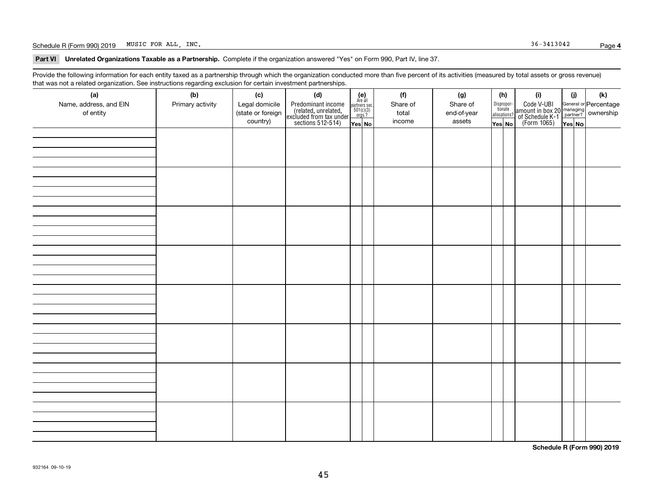#### Schedule R (Form 990) 2019 Page MUSIC FOR ALL, INC. 36-3413042

**Part VI Unrelated Organizations Taxable as a Partnership. Complete if the organization answered "Yes" on Form 990, Part IV, line 37.** 

Provide the following information for each entity taxed as a partnership through which the organization conducted more than five percent of its activities (measured by total assets or gross revenue) that was not a related organization. See instructions regarding exclusion for certain investment partnerships.

| ັ                      | ັ<br>ັ           |                   | . .                                                                                        |                                                                                              |          |             |                                  |                                                                                                        |        |     |
|------------------------|------------------|-------------------|--------------------------------------------------------------------------------------------|----------------------------------------------------------------------------------------------|----------|-------------|----------------------------------|--------------------------------------------------------------------------------------------------------|--------|-----|
| (a)                    | (b)              | (c)               | (d)                                                                                        | (e)<br>Are all                                                                               | (f)      | (g)         | (h)                              | (i)                                                                                                    | (i)    | (k) |
| Name, address, and EIN | Primary activity | Legal domicile    |                                                                                            | $\begin{array}{c}\n\text{partners} & \text{sec.} \\ 501(c)(3) & \text{orgs.?} \n\end{array}$ | Share of | Share of    | Disproportionate<br>allocations? |                                                                                                        |        |     |
| of entity              |                  | (state or foreign |                                                                                            |                                                                                              | total    | end-of-year |                                  |                                                                                                        |        |     |
|                        |                  | country)          | Predominant income<br>(related, unrelated,<br>excluded from tax under<br>sections 512-514) | Yes No                                                                                       | income   | assets      | Yes No                           | Code V-UBI<br>amount in box 20 managing<br>of Schedule K-1 partner? ownership<br>(Form 1065)<br>ves No | Yes No |     |
|                        |                  |                   |                                                                                            |                                                                                              |          |             |                                  |                                                                                                        |        |     |
|                        |                  |                   |                                                                                            |                                                                                              |          |             |                                  |                                                                                                        |        |     |
|                        |                  |                   |                                                                                            |                                                                                              |          |             |                                  |                                                                                                        |        |     |
|                        |                  |                   |                                                                                            |                                                                                              |          |             |                                  |                                                                                                        |        |     |
|                        |                  |                   |                                                                                            |                                                                                              |          |             |                                  |                                                                                                        |        |     |
|                        |                  |                   |                                                                                            |                                                                                              |          |             |                                  |                                                                                                        |        |     |
|                        |                  |                   |                                                                                            |                                                                                              |          |             |                                  |                                                                                                        |        |     |
|                        |                  |                   |                                                                                            |                                                                                              |          |             |                                  |                                                                                                        |        |     |
|                        |                  |                   |                                                                                            |                                                                                              |          |             |                                  |                                                                                                        |        |     |
|                        |                  |                   |                                                                                            |                                                                                              |          |             |                                  |                                                                                                        |        |     |
|                        |                  |                   |                                                                                            |                                                                                              |          |             |                                  |                                                                                                        |        |     |
|                        |                  |                   |                                                                                            |                                                                                              |          |             |                                  |                                                                                                        |        |     |
|                        |                  |                   |                                                                                            |                                                                                              |          |             |                                  |                                                                                                        |        |     |
|                        |                  |                   |                                                                                            |                                                                                              |          |             |                                  |                                                                                                        |        |     |
|                        |                  |                   |                                                                                            |                                                                                              |          |             |                                  |                                                                                                        |        |     |
|                        |                  |                   |                                                                                            |                                                                                              |          |             |                                  |                                                                                                        |        |     |
|                        |                  |                   |                                                                                            |                                                                                              |          |             |                                  |                                                                                                        |        |     |
|                        |                  |                   |                                                                                            |                                                                                              |          |             |                                  |                                                                                                        |        |     |
|                        |                  |                   |                                                                                            |                                                                                              |          |             |                                  |                                                                                                        |        |     |
|                        |                  |                   |                                                                                            |                                                                                              |          |             |                                  |                                                                                                        |        |     |
|                        |                  |                   |                                                                                            |                                                                                              |          |             |                                  |                                                                                                        |        |     |
|                        |                  |                   |                                                                                            |                                                                                              |          |             |                                  |                                                                                                        |        |     |
|                        |                  |                   |                                                                                            |                                                                                              |          |             |                                  |                                                                                                        |        |     |
|                        |                  |                   |                                                                                            |                                                                                              |          |             |                                  |                                                                                                        |        |     |
|                        |                  |                   |                                                                                            |                                                                                              |          |             |                                  |                                                                                                        |        |     |
|                        |                  |                   |                                                                                            |                                                                                              |          |             |                                  |                                                                                                        |        |     |
|                        |                  |                   |                                                                                            |                                                                                              |          |             |                                  |                                                                                                        |        |     |
|                        |                  |                   |                                                                                            |                                                                                              |          |             |                                  |                                                                                                        |        |     |
|                        |                  |                   |                                                                                            |                                                                                              |          |             |                                  |                                                                                                        |        |     |
|                        |                  |                   |                                                                                            |                                                                                              |          |             |                                  |                                                                                                        |        |     |
|                        |                  |                   |                                                                                            |                                                                                              |          |             |                                  |                                                                                                        |        |     |
|                        |                  |                   |                                                                                            |                                                                                              |          |             |                                  |                                                                                                        |        |     |
|                        |                  |                   |                                                                                            |                                                                                              |          |             |                                  |                                                                                                        |        |     |
|                        |                  |                   |                                                                                            |                                                                                              |          |             |                                  |                                                                                                        |        |     |
|                        |                  |                   |                                                                                            |                                                                                              |          |             |                                  |                                                                                                        |        |     |
|                        |                  |                   |                                                                                            |                                                                                              |          |             |                                  |                                                                                                        |        |     |
|                        |                  |                   |                                                                                            |                                                                                              |          |             |                                  |                                                                                                        |        |     |

**Schedule R (Form 990) 2019**